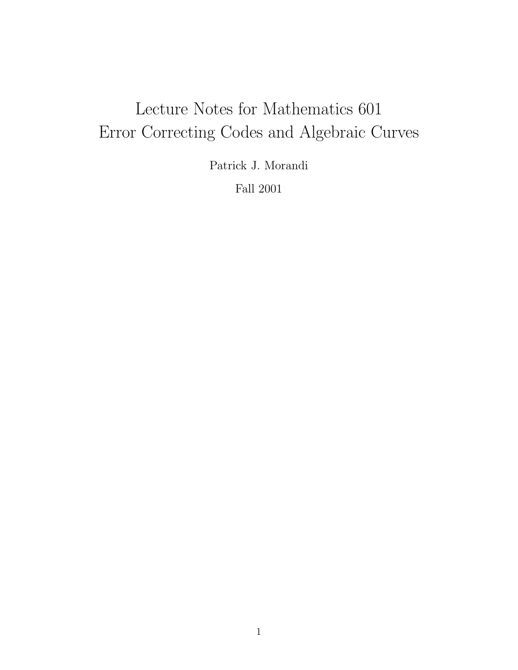# Lecture Notes for Mathematics 601 Error Correcting Codes and Algebraic Curves

Patrick J. Morandi

Fall 2001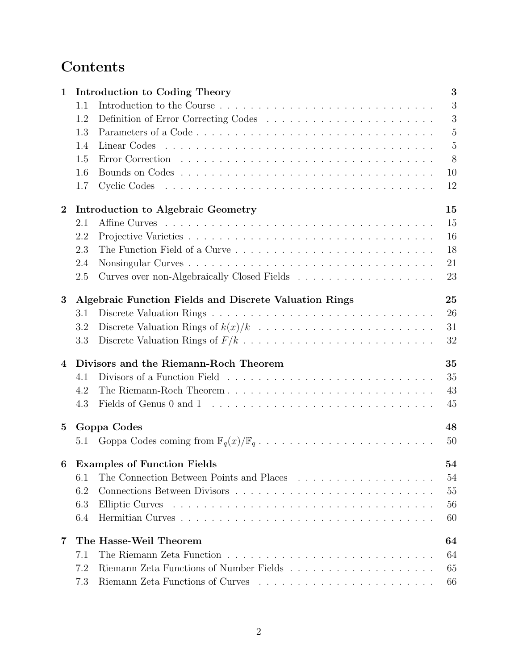## Contents

| $\mathbf{1}$     | Introduction to Coding Theory                          | 3              |
|------------------|--------------------------------------------------------|----------------|
|                  | 1.1                                                    | 3              |
|                  | 1.2                                                    | 3              |
|                  | 1.3                                                    | $\overline{5}$ |
|                  | 1.4                                                    | $\overline{5}$ |
|                  | 1.5                                                    | 8              |
|                  | 1.6                                                    | 10             |
|                  | 1.7                                                    | 12             |
| $\overline{2}$   | Introduction to Algebraic Geometry                     | 15             |
|                  | 2.1                                                    | 15             |
|                  | 2.2                                                    | 16             |
|                  | 2.3                                                    | 18             |
|                  | 2.4                                                    | 21             |
|                  | 2.5                                                    | 23             |
| 3                | Algebraic Function Fields and Discrete Valuation Rings | 25             |
|                  | 3.1                                                    | 26             |
|                  | 3.2                                                    | 31             |
|                  | 3.3                                                    | 32             |
| 4                | Divisors and the Riemann-Roch Theorem                  | 35             |
|                  | 4.1                                                    | 35             |
|                  | 4.2                                                    | 43             |
|                  | 4.3                                                    | 45             |
| 5 <sup>5</sup>   | Goppa Codes                                            | 48             |
|                  | 5.1                                                    | 50             |
| $\boldsymbol{6}$ | <b>Examples of Function Fields</b>                     | 54             |
|                  | 6.1                                                    | 54             |
|                  | 6.2                                                    | 55             |
|                  | 6.3                                                    | 56             |
|                  | 6.4                                                    | 60             |
| 7                | The Hasse-Weil Theorem                                 | 64             |
|                  | 7.1                                                    | 64             |
|                  | 7.2                                                    | 65             |
|                  | 7.3                                                    | 66             |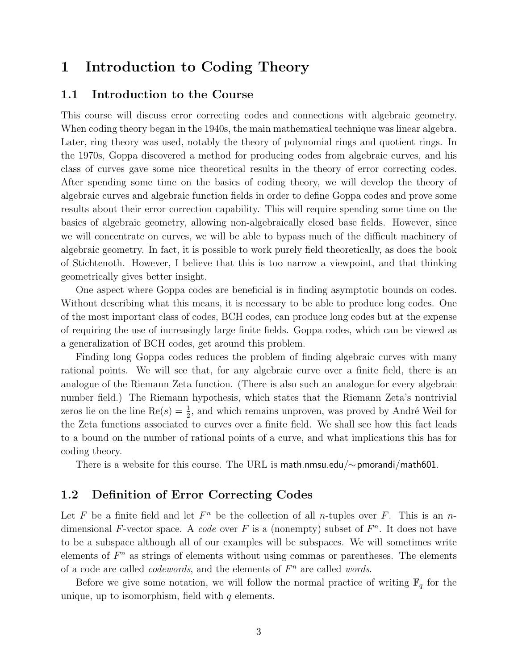### 1 Introduction to Coding Theory

#### 1.1 Introduction to the Course

This course will discuss error correcting codes and connections with algebraic geometry. When coding theory began in the 1940s, the main mathematical technique was linear algebra. Later, ring theory was used, notably the theory of polynomial rings and quotient rings. In the 1970s, Goppa discovered a method for producing codes from algebraic curves, and his class of curves gave some nice theoretical results in the theory of error correcting codes. After spending some time on the basics of coding theory, we will develop the theory of algebraic curves and algebraic function fields in order to define Goppa codes and prove some results about their error correction capability. This will require spending some time on the basics of algebraic geometry, allowing non-algebraically closed base fields. However, since we will concentrate on curves, we will be able to bypass much of the difficult machinery of algebraic geometry. In fact, it is possible to work purely field theoretically, as does the book of Stichtenoth. However, I believe that this is too narrow a viewpoint, and that thinking geometrically gives better insight.

One aspect where Goppa codes are beneficial is in finding asymptotic bounds on codes. Without describing what this means, it is necessary to be able to produce long codes. One of the most important class of codes, BCH codes, can produce long codes but at the expense of requiring the use of increasingly large finite fields. Goppa codes, which can be viewed as a generalization of BCH codes, get around this problem.

Finding long Goppa codes reduces the problem of finding algebraic curves with many rational points. We will see that, for any algebraic curve over a finite field, there is an analogue of the Riemann Zeta function. (There is also such an analogue for every algebraic number field.) The Riemann hypothesis, which states that the Riemann Zeta's nontrivial zeros lie on the line  $\text{Re}(s) = \frac{1}{2}$ , and which remains unproven, was proved by André Weil for the Zeta functions associated to curves over a finite field. We shall see how this fact leads to a bound on the number of rational points of a curve, and what implications this has for coding theory.

There is a website for this course. The URL is math.nmsu.edu/∼pmorandi/math601.

#### 1.2 Definition of Error Correcting Codes

Let F be a finite field and let  $F<sup>n</sup>$  be the collection of all *n*-tuples over F. This is an *n*dimensional F-vector space. A code over F is a (nonempty) subset of  $F<sup>n</sup>$ . It does not have to be a subspace although all of our examples will be subspaces. We will sometimes write elements of  $F<sup>n</sup>$  as strings of elements without using commas or parentheses. The elements of a code are called *codewords*, and the elements of  $F<sup>n</sup>$  are called *words*.

Before we give some notation, we will follow the normal practice of writing  $\mathbb{F}_q$  for the unique, up to isomorphism, field with  $q$  elements.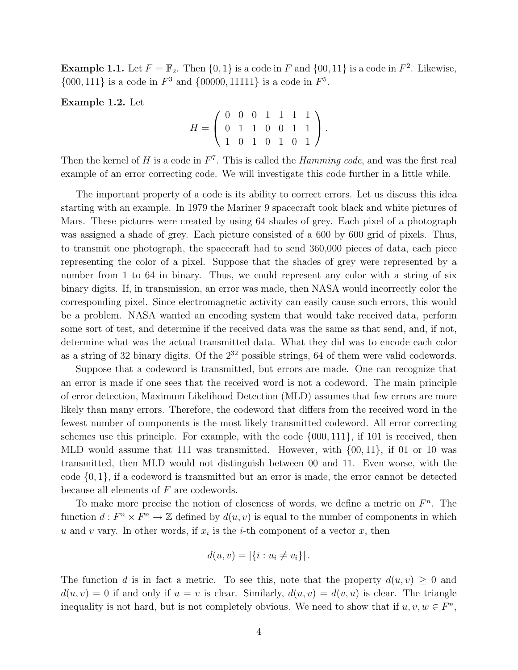**Example 1.1.** Let  $F = \mathbb{F}_2$ . Then  $\{0, 1\}$  is a code in F and  $\{00, 11\}$  is a code in  $F^2$ . Likewise,  $\{000, 111\}$  is a code in  $F^3$  and  $\{00000, 11111\}$  is a code in  $F^5$ .

Example 1.2. Let

$$
H = \left(\begin{array}{cccccc} 0 & 0 & 0 & 1 & 1 & 1 & 1 \\ 0 & 1 & 1 & 0 & 0 & 1 & 1 \\ 1 & 0 & 1 & 0 & 1 & 0 & 1 \end{array}\right).
$$

Then the kernel of  $H$  is a code in  $F<sup>7</sup>$ . This is called the *Hamming code*, and was the first real example of an error correcting code. We will investigate this code further in a little while.

The important property of a code is its ability to correct errors. Let us discuss this idea starting with an example. In 1979 the Mariner 9 spacecraft took black and white pictures of Mars. These pictures were created by using 64 shades of grey. Each pixel of a photograph was assigned a shade of grey. Each picture consisted of a 600 by 600 grid of pixels. Thus, to transmit one photograph, the spacecraft had to send 360,000 pieces of data, each piece representing the color of a pixel. Suppose that the shades of grey were represented by a number from 1 to 64 in binary. Thus, we could represent any color with a string of six binary digits. If, in transmission, an error was made, then NASA would incorrectly color the corresponding pixel. Since electromagnetic activity can easily cause such errors, this would be a problem. NASA wanted an encoding system that would take received data, perform some sort of test, and determine if the received data was the same as that send, and, if not, determine what was the actual transmitted data. What they did was to encode each color as a string of 32 binary digits. Of the  $2^{32}$  possible strings, 64 of them were valid codewords.

Suppose that a codeword is transmitted, but errors are made. One can recognize that an error is made if one sees that the received word is not a codeword. The main principle of error detection, Maximum Likelihood Detection (MLD) assumes that few errors are more likely than many errors. Therefore, the codeword that differs from the received word in the fewest number of components is the most likely transmitted codeword. All error correcting schemes use this principle. For example, with the code {000, 111}, if 101 is received, then MLD would assume that 111 was transmitted. However, with {00, 11}, if 01 or 10 was transmitted, then MLD would not distinguish between 00 and 11. Even worse, with the code  $\{0,1\}$ , if a codeword is transmitted but an error is made, the error cannot be detected because all elements of F are codewords.

To make more precise the notion of closeness of words, we define a metric on  $F<sup>n</sup>$ . The function  $d: F^n \times F^n \to \mathbb{Z}$  defined by  $d(u, v)$  is equal to the number of components in which u and v vary. In other words, if  $x_i$  is the *i*-th component of a vector x, then

$$
d(u, v) = |\{i : u_i \neq v_i\}|.
$$

The function d is in fact a metric. To see this, note that the property  $d(u, v) \geq 0$  and  $d(u, v) = 0$  if and only if  $u = v$  is clear. Similarly,  $d(u, v) = d(v, u)$  is clear. The triangle inequality is not hard, but is not completely obvious. We need to show that if  $u, v, w \in F<sup>n</sup>$ ,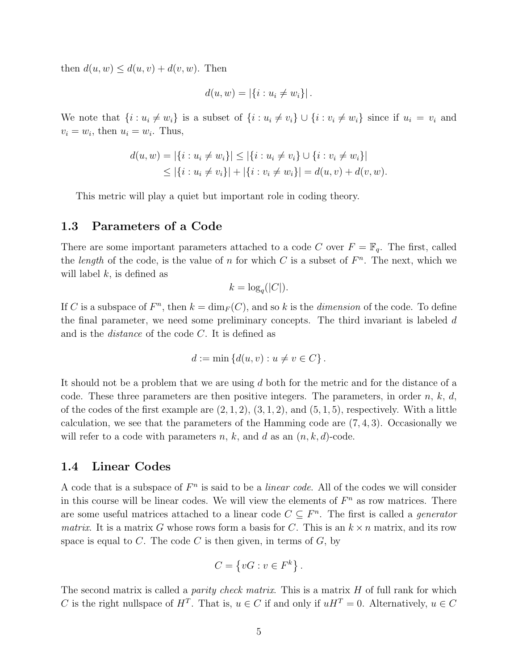then  $d(u, w) \leq d(u, v) + d(v, w)$ . Then

$$
d(u, w) = |\{i : u_i \neq w_i\}|.
$$

We note that  $\{i : u_i \neq w_i\}$  is a subset of  $\{i : u_i \neq v_i\} \cup \{i : v_i \neq w_i\}$  since if  $u_i = v_i$  and  $v_i = w_i$ , then  $u_i = w_i$ . Thus,

$$
d(u, w) = |\{i : u_i \neq w_i\}| \leq |\{i : u_i \neq v_i\} \cup \{i : v_i \neq w_i\}|
$$
  
\n
$$
\leq |\{i : u_i \neq v_i\}| + |\{i : v_i \neq w_i\}| = d(u, v) + d(v, w).
$$

This metric will play a quiet but important role in coding theory.

#### 1.3 Parameters of a Code

There are some important parameters attached to a code C over  $F = \mathbb{F}_q$ . The first, called the *length* of the code, is the value of n for which C is a subset of  $F<sup>n</sup>$ . The next, which we will label  $k$ , is defined as

$$
k = \log_q(|C|).
$$

If C is a subspace of  $F<sup>n</sup>$ , then  $k = \dim_F(C)$ , and so k is the *dimension* of the code. To define the final parameter, we need some preliminary concepts. The third invariant is labeled d and is the distance of the code C. It is defined as

$$
d := \min \left\{ d(u, v) : u \neq v \in C \right\}.
$$

It should not be a problem that we are using d both for the metric and for the distance of a code. These three parameters are then positive integers. The parameters, in order  $n, k, d$ , of the codes of the first example are  $(2, 1, 2), (3, 1, 2),$  and  $(5, 1, 5)$ , respectively. With a little calculation, we see that the parameters of the Hamming code are  $(7, 4, 3)$ . Occasionally we will refer to a code with parameters  $n, k$ , and  $d$  as an  $(n, k, d)$ -code.

#### 1.4 Linear Codes

A code that is a subspace of  $F<sup>n</sup>$  is said to be a *linear code*. All of the codes we will consider in this course will be linear codes. We will view the elements of  $F<sup>n</sup>$  as row matrices. There are some useful matrices attached to a linear code  $C \subseteq F<sup>n</sup>$ . The first is called a *generator matrix.* It is a matrix G whose rows form a basis for C. This is an  $k \times n$  matrix, and its row space is equal to C. The code C is then given, in terms of  $G$ , by

$$
C = \left\{ vG : v \in F^k \right\}.
$$

The second matrix is called a *parity check matrix*. This is a matrix  $H$  of full rank for which C is the right nullspace of  $H^T$ . That is,  $u \in C$  if and only if  $uH^T = 0$ . Alternatively,  $u \in C$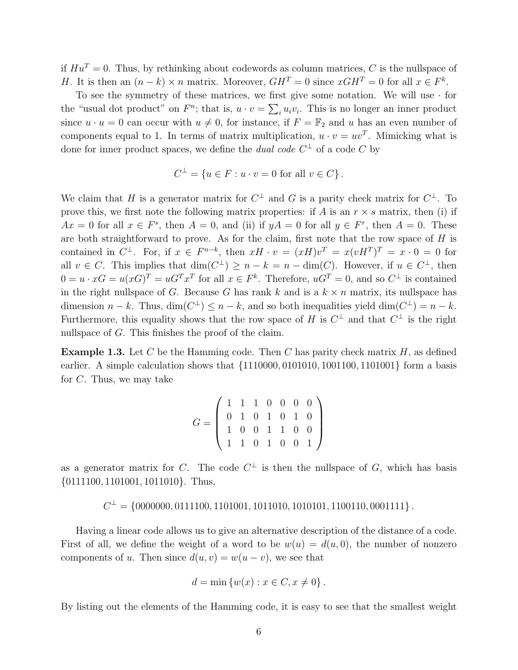if  $Hu^T = 0$ . Thus, by rethinking about codewords as column matrices, C is the nullspace of *H*. It is then an  $(n - k) \times n$  matrix. Moreover,  $GH^T = 0$  since  $xGH^T = 0$  for all  $x \in F^k$ .

To see the symmetry of these matrices, we first give some notation. We will use  $\cdot$  for the "usual dot product" on  $F^n$ ; that is,  $u \cdot v = \sum_i u_i v_i$ . This is no longer an inner product since  $u \cdot u = 0$  can occur with  $u \neq 0$ , for instance, if  $F = \mathbb{F}_2$  and u has an even number of components equal to 1. In terms of matrix multiplication,  $u \cdot v = uv^T$ . Mimicking what is done for inner product spaces, we define the *dual code*  $C^{\perp}$  of a code C by

$$
C^{\perp} = \{ u \in F : u \cdot v = 0 \text{ for all } v \in C \}.
$$

We claim that H is a generator matrix for  $C^{\perp}$  and G is a parity check matrix for  $C^{\perp}$ . To prove this, we first note the following matrix properties: if A is an  $r \times s$  matrix, then (i) if  $Ax = 0$  for all  $x \in F^s$ , then  $A = 0$ , and (ii) if  $yA = 0$  for all  $y \in F^r$ , then  $A = 0$ . These are both straightforward to prove. As for the claim, first note that the row space of  $H$  is contained in  $C^{\perp}$ . For, if  $x \in F^{n-k}$ , then  $xH \cdot v = (xH)v^{T} = x(vH^{T})^{T} = x \cdot 0 = 0$  for all  $v \in C$ . This implies that  $\dim(C^{\perp}) \geq n - k = n - \dim(C)$ . However, if  $u \in C^{\perp}$ , then  $0 = u \cdot xG = u(xG)^T = uG^T x^T$  for all  $x \in F^k$ . Therefore,  $uG^T = 0$ , and so  $C^{\perp}$  is contained in the right nullspace of G. Because G has rank k and is a  $k \times n$  matrix, its nullspace has dimension  $n - k$ . Thus,  $\dim(C^{\perp}) \leq n - k$ , and so both inequalities yield  $\dim(C^{\perp}) = n - k$ . Furthermore, this equality shows that the row space of H is  $C^{\perp}$  and that  $C^{\perp}$  is the right nullspace of G. This finishes the proof of the claim.

**Example 1.3.** Let C be the Hamming code. Then C has parity check matrix  $H$ , as defined earlier. A simple calculation shows that {1110000, 0101010, 1001100, 1101001} form a basis for C. Thus, we may take

$$
G = \left(\begin{array}{cccccc} 1 & 1 & 1 & 0 & 0 & 0 & 0 \\ 0 & 1 & 0 & 1 & 0 & 1 & 0 \\ 1 & 0 & 0 & 1 & 1 & 0 & 0 \\ 1 & 1 & 0 & 1 & 0 & 0 & 1 \end{array}\right)
$$

as a generator matrix for C. The code  $C^{\perp}$  is then the nullspace of G, which has basis {0111100, 1101001, 1011010}. Thus,

$$
C^{\perp} = \{0000000, 0111100, 1101001, 1011010, 1010101, 1100110, 0001111\}.
$$

Having a linear code allows us to give an alternative description of the distance of a code. First of all, we define the weight of a word to be  $w(u) = d(u, 0)$ , the number of nonzero components of u. Then since  $d(u, v) = w(u - v)$ , we see that

$$
d = \min \{w(x) : x \in C, x \neq 0\}.
$$

By listing out the elements of the Hamming code, it is easy to see that the smallest weight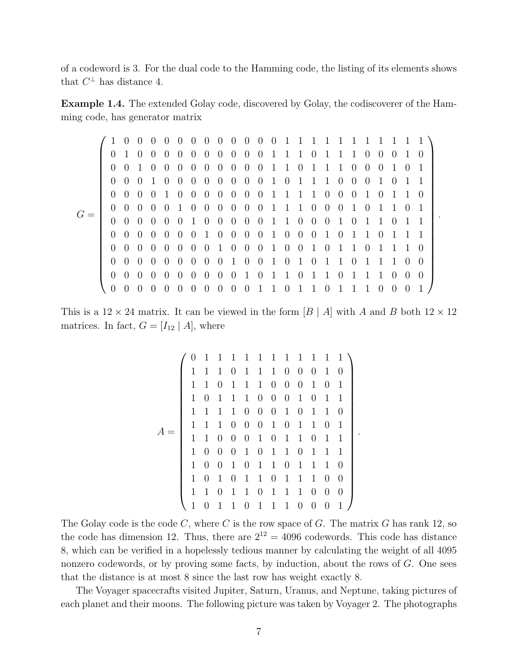of a codeword is 3. For the dual code to the Hamming code, the listing of its elements shows that  $C^{\perp}$  has distance 4.

Example 1.4. The extended Golay code, discovered by Golay, the codiscoverer of the Hamming code, has generator matrix

|       |          | -0                  | - () |                  |                     |                |                |                |                                       |  |  |  |           |  |                     |          |                |                                       |                  |  |
|-------|----------|---------------------|------|------------------|---------------------|----------------|----------------|----------------|---------------------------------------|--|--|--|-----------|--|---------------------|----------|----------------|---------------------------------------|------------------|--|
|       |          | $0 \t1 \t0$         |      | $\overline{0}$   | $0 \quad 0$         | $\Box$ 0       |                |                | 0 0 0 0 0 1 1 1 0 1 1 1 0 0 0         |  |  |  |           |  |                     |          |                | $\overline{1}$                        | $\left( \right)$ |  |
|       |          | $0 \quad 0 \quad 1$ |      | $\left( \right)$ | $0 \quad 0$         | $\overline{0}$ |                |                | 0 0 0 0 0 1 1 0 1 1 1 0 0 0 1         |  |  |  |           |  |                     |          |                | $\left( \right)$                      |                  |  |
|       |          | $0 \quad 0 \quad 0$ |      |                  | 1 0 0               |                |                |                | 0 0 0 0 0 0 1 0 1 1 1 0 0             |  |  |  |           |  | $0\quad1$           |          | $\Box$ 0       | -1                                    |                  |  |
|       | $\theta$ | $0\quad 0$          |      |                  | $0 \t1 \t0$         |                |                |                | 0 0 0 0 0 0 1 1 1 1 0 0 0 1 0         |  |  |  |           |  |                     |          | $\overline{1}$ | $\overline{1}$                        | - ()             |  |
| $G =$ |          | $0 \quad 0 \quad 0$ |      |                  | $0 \quad 0 \quad 1$ |                |                |                | 0 0 0 0 0 0 1 1 1 0 0 0 1             |  |  |  |           |  | $0 \quad 1 \quad 1$ |          |                | $\left( \right)$                      |                  |  |
|       | $\theta$ | $0 \quad 0$         |      |                  |                     |                |                |                | 0 0 0 1 0 0 0 0 0 1 1 0 0 0 1 0 1 1 0 |  |  |  |           |  |                     |          |                | $\overline{1}$                        |                  |  |
|       | $\Omega$ | $0\quad 0$          |      |                  |                     |                |                |                | 0 0 0 0 1 0 0 0 0 1 0 0 0 1 0 1 1 0 1 |  |  |  |           |  |                     |          |                | $\begin{array}{cc} 1 & 1 \end{array}$ |                  |  |
|       |          | $0\quad 0\quad 0$   |      |                  |                     |                |                |                | 0 0 0 0 0 1 0 0 0 1 0 0 1 0 1 1 0 1 1 |  |  |  |           |  |                     |          |                | $\overline{1}$                        | $\left( \right)$ |  |
|       |          | $0 \quad 0 \quad 0$ |      |                  | $0 \quad 0 \quad 0$ | $\overline{0}$ |                |                | 0 0 1 0 0 1 0 1 0 1 1 0 1 1 1         |  |  |  |           |  |                     |          |                | $\bigcirc$                            | -0               |  |
|       |          | $0\quad 0\quad 0$   |      |                  | $0 \quad 0 \quad 0$ | $\Box$ 0       |                |                | 0 0 0 1 0 1 1 0 1 1 0 1 1 1 0         |  |  |  |           |  |                     |          |                | $\bigcup$                             | 0                |  |
|       |          | $\Omega$            |      | $\Omega$         | $\Omega$            | $\Omega$       | $\overline{0}$ | $\overline{0}$ | 0 0 1 1 0 1 1                         |  |  |  | $0\quad1$ |  |                     | $\Omega$ | $\Omega$       |                                       |                  |  |

This is a  $12 \times 24$  matrix. It can be viewed in the form  $|B \nvert A$  with A and B both  $12 \times 12$ matrices. In fact,  $G = [I_{12} | A]$ , where

$$
A = \left(\begin{array}{ccccccccccccc} 0 & 1 & 1 & 1 & 1 & 1 & 1 & 1 & 1 & 1 & 1 & 1 & 1 \\ 1 & 1 & 1 & 0 & 1 & 1 & 1 & 0 & 0 & 0 & 1 & 0 \\ 1 & 1 & 0 & 1 & 1 & 1 & 0 & 0 & 0 & 1 & 0 & 1 \\ 1 & 0 & 1 & 1 & 1 & 0 & 0 & 0 & 1 & 0 & 1 & 1 \\ 1 & 1 & 1 & 1 & 0 & 0 & 0 & 1 & 0 & 1 & 1 & 0 \\ 1 & 1 & 1 & 0 & 0 & 0 & 1 & 0 & 1 & 1 & 0 & 1 \\ 1 & 1 & 0 & 0 & 0 & 1 & 0 & 1 & 1 & 0 & 1 & 1 \\ 1 & 0 & 0 & 1 & 0 & 1 & 1 & 0 & 1 & 1 & 1 & 0 \\ 1 & 0 & 1 & 0 & 1 & 1 & 0 & 1 & 1 & 1 & 0 & 0 \\ 1 & 1 & 0 & 1 & 1 & 0 & 1 & 1 & 1 & 0 & 0 & 0 \\ 1 & 0 & 1 & 1 & 0 & 1 & 1 & 1 & 0 & 0 & 0 & 1 \end{array}\right).
$$

The Golay code is the code  $C$ , where  $C$  is the row space of  $G$ . The matrix  $G$  has rank 12, so the code has dimension 12. Thus, there are  $2^{12} = 4096$  codewords. This code has distance 8, which can be verified in a hopelessly tedious manner by calculating the weight of all 4095 nonzero codewords, or by proving some facts, by induction, about the rows of G. One sees that the distance is at most 8 since the last row has weight exactly 8.

The Voyager spacecrafts visited Jupiter, Saturn, Uranus, and Neptune, taking pictures of each planet and their moons. The following picture was taken by Voyager 2. The photographs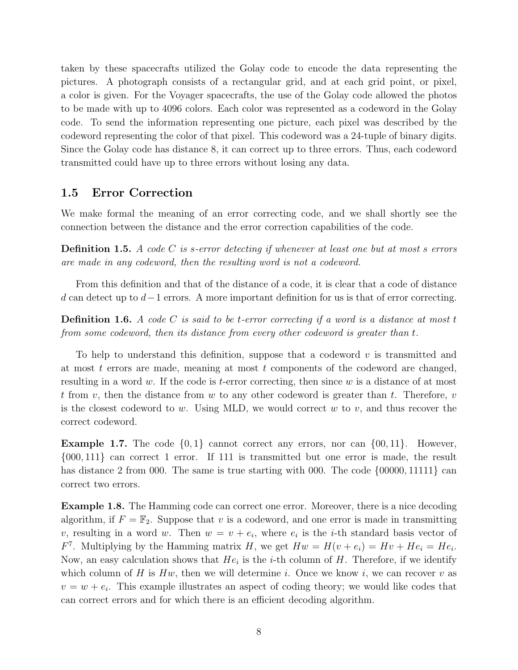taken by these spacecrafts utilized the Golay code to encode the data representing the pictures. A photograph consists of a rectangular grid, and at each grid point, or pixel, a color is given. For the Voyager spacecrafts, the use of the Golay code allowed the photos to be made with up to 4096 colors. Each color was represented as a codeword in the Golay code. To send the information representing one picture, each pixel was described by the codeword representing the color of that pixel. This codeword was a 24-tuple of binary digits. Since the Golay code has distance 8, it can correct up to three errors. Thus, each codeword transmitted could have up to three errors without losing any data.

#### 1.5 Error Correction

We make formal the meaning of an error correcting code, and we shall shortly see the connection between the distance and the error correction capabilities of the code.

**Definition 1.5.** A code C is s-error detecting if whenever at least one but at most s errors are made in any codeword, then the resulting word is not a codeword.

From this definition and that of the distance of a code, it is clear that a code of distance d can detect up to  $d-1$  errors. A more important definition for us is that of error correcting.

**Definition 1.6.** A code C is said to be t-error correcting if a word is a distance at most t from some codeword, then its distance from every other codeword is greater than t.

To help to understand this definition, suppose that a codeword  $v$  is transmitted and at most  $t$  errors are made, meaning at most  $t$  components of the codeword are changed, resulting in a word w. If the code is t-error correcting, then since w is a distance of at most t from v, then the distance from w to any other codeword is greater than t. Therefore, v is the closest codeword to w. Using MLD, we would correct  $w$  to  $v$ , and thus recover the correct codeword.

**Example 1.7.** The code  $\{0,1\}$  cannot correct any errors, nor can  $\{00,11\}$ . However, {000, 111} can correct 1 error. If 111 is transmitted but one error is made, the result has distance 2 from 000. The same is true starting with 000. The code {00000, 11111} can correct two errors.

Example 1.8. The Hamming code can correct one error. Moreover, there is a nice decoding algorithm, if  $F = \mathbb{F}_2$ . Suppose that v is a codeword, and one error is made in transmitting v, resulting in a word w. Then  $w = v + e_i$ , where  $e_i$  is the *i*-th standard basis vector of  $F<sup>7</sup>$ . Multiplying by the Hamming matrix H, we get  $Hw = H(v + e_i) = Hv + He_i = He_i$ . Now, an easy calculation shows that  $He_i$  is the *i*-th column of  $H$ . Therefore, if we identify which column of H is  $Hw$ , then we will determine i. Once we know i, we can recover v as  $v = w + e_i$ . This example illustrates an aspect of coding theory; we would like codes that can correct errors and for which there is an efficient decoding algorithm.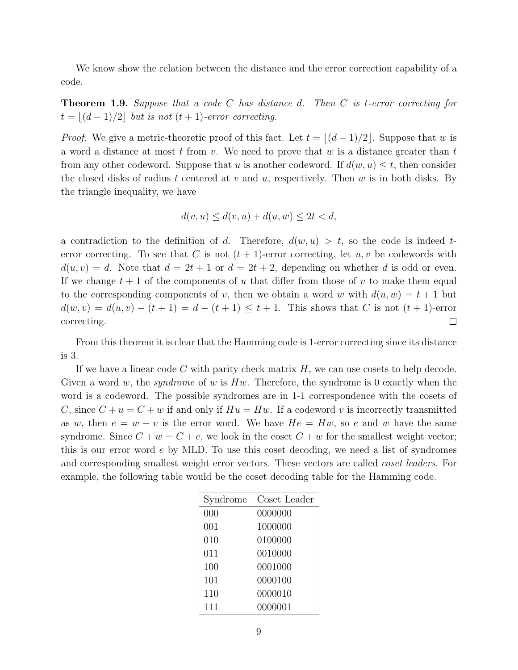We know show the relation between the distance and the error correction capability of a code.

**Theorem 1.9.** Suppose that a code C has distance d. Then C is t-error correcting for  $t = |(d - 1)/2|$  but is not  $(t + 1)$ -error correcting.

*Proof.* We give a metric-theoretic proof of this fact. Let  $t = |(d - 1)/2|$ . Suppose that w is a word a distance at most t from v. We need to prove that w is a distance greater than t from any other codeword. Suppose that u is another codeword. If  $d(w, u) \leq t$ , then consider the closed disks of radius t centered at v and u, respectively. Then w is in both disks. By the triangle inequality, we have

$$
d(v, u) \le d(v, u) + d(u, w) \le 2t < d,
$$

a contradiction to the definition of d. Therefore,  $d(w, u) > t$ , so the code is indeed terror correcting. To see that C is not  $(t + 1)$ -error correcting, let  $u, v$  be codewords with  $d(u, v) = d$ . Note that  $d = 2t + 1$  or  $d = 2t + 2$ , depending on whether d is odd or even. If we change  $t + 1$  of the components of u that differ from those of v to make them equal to the corresponding components of v, then we obtain a word w with  $d(u, w) = t + 1$  but  $d(w, v) = d(u, v) - (t + 1) = d - (t + 1) \le t + 1$ . This shows that C is not  $(t + 1)$ -error correcting.  $\Box$ 

From this theorem it is clear that the Hamming code is 1-error correcting since its distance is 3.

If we have a linear code  $C$  with parity check matrix  $H$ , we can use cosets to help decode. Given a word w, the *syndrome* of w is  $Hw$ . Therefore, the syndrome is 0 exactly when the word is a codeword. The possible syndromes are in 1-1 correspondence with the cosets of C, since  $C + u = C + w$  if and only if  $Hu = Hw$ . If a codeword v is incorrectly transmitted as w, then  $e = w - v$  is the error word. We have  $He = Hw$ , so e and w have the same syndrome. Since  $C + w = C + e$ , we look in the coset  $C + w$  for the smallest weight vector; this is our error word  $e$  by MLD. To use this coset decoding, we need a list of syndromes and corresponding smallest weight error vectors. These vectors are called coset leaders. For example, the following table would be the coset decoding table for the Hamming code.

| Syndrome | Coset Leader |
|----------|--------------|
| 000      | 0000000      |
| 001      | 1000000      |
| 010      | 0100000      |
| 011      | 0010000      |
| 100      | 0001000      |
| 101      | 0000100      |
| 110      | 0000010      |
| 111      | 0000001      |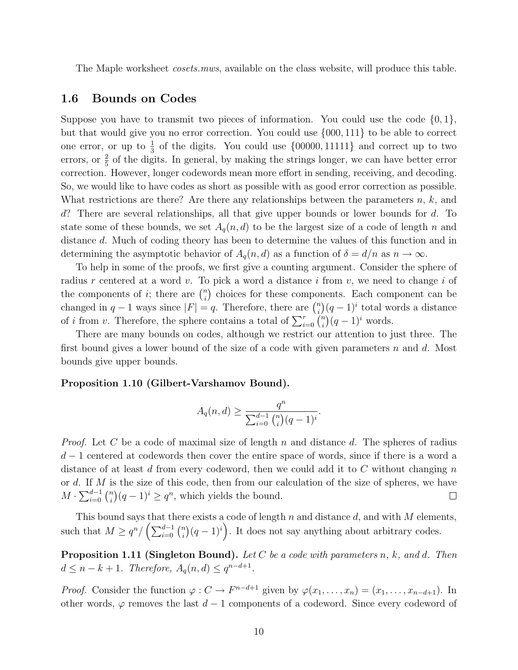The Maple worksheet *cosets.mws*, available on the class website, will produce this table.

#### 1.6 Bounds on Codes

Suppose you have to transmit two pieces of information. You could use the code  $\{0, 1\}$ , but that would give you no error correction. You could use {000, 111} to be able to correct one error, or up to  $\frac{1}{3}$  of the digits. You could use  $\{00000, 11111\}$  and correct up to two errors, or  $\frac{2}{5}$  of the digits. In general, by making the strings longer, we can have better error correction. However, longer codewords mean more effort in sending, receiving, and decoding. So, we would like to have codes as short as possible with as good error correction as possible. What restrictions are there? Are there any relationships between the parameters  $n, k$ , and d? There are several relationships, all that give upper bounds or lower bounds for d. To state some of these bounds, we set  $A_q(n, d)$  to be the largest size of a code of length n and distance d. Much of coding theory has been to determine the values of this function and in determining the asymptotic behavior of  $A_q(n, d)$  as a function of  $\delta = d/n$  as  $n \to \infty$ .

To help in some of the proofs, we first give a counting argument. Consider the sphere of radius r centered at a word v. To pick a word a distance i from v, we need to change i of the components of *i*; there are  $\binom{n}{i}$  $\binom{n}{i}$  choices for these components. Each component can be changed in  $q-1$  ways since  $|F|=q$ . Therefore, there are  $\binom{n}{i}$  $\binom{n}{i}(q-1)^i$  total words a distance of *i* from *v*. Therefore, the sphere contains a total of  $\sum_{i=0}^{r} \binom{n}{i}$  $\binom{n}{i}(q-1)^i$  words.

There are many bounds on codes, although we restrict our attention to just three. The first bound gives a lower bound of the size of a code with given parameters  $n$  and  $d$ . Most bounds give upper bounds.

#### Proposition 1.10 (Gilbert-Varshamov Bound).

$$
A_q(n,d) \ge \frac{q^n}{\sum_{i=0}^{d-1} {n \choose i} (q-1)^i}.
$$

*Proof.* Let C be a code of maximal size of length n and distance d. The spheres of radius  $d-1$  centered at codewords then cover the entire space of words, since if there is a word a distance of at least d from every codeword, then we could add it to  $C$  without changing  $n$ or d. If M is the size of this code, then from our calculation of the size of spheres, we have  $M \cdot \sum_{i=0}^{d-1} \binom{n}{i}$  $\binom{n}{i}(q-1)^i \geq q^n$ , which yields the bound.  $\Box$ 

This bound says that there exists a code of length n and distance d, and with  $M$  elements, such that  $M \geq q^n / \left(\sum_{i=0}^{d-1} {n \choose i} \right)$  $\binom{n}{i}(q-1)^i$ . It does not say anything about arbitrary codes.

**Proposition 1.11 (Singleton Bound).** Let C be a code with parameters n, k, and d. Then  $d \leq n - k + 1$ . Therefore,  $A_q(n, d) \leq q^{n-d+1}$ .

*Proof.* Consider the function  $\varphi : C \to F^{n-d+1}$  given by  $\varphi(x_1, \ldots, x_n) = (x_1, \ldots, x_{n-d+1})$ . In other words,  $\varphi$  removes the last  $d-1$  components of a codeword. Since every codeword of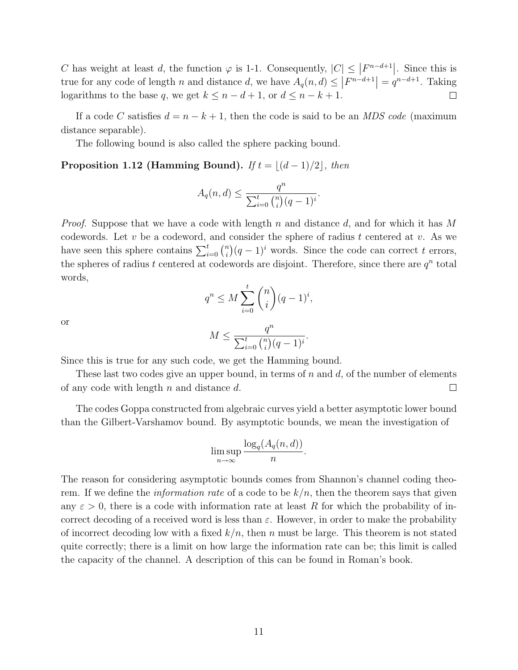C has weight at least d, the function  $\varphi$  is 1-1. Consequently,  $|C| \leq |F^{n-d+1}|$ . Since this is true for any code of length n and distance d, we have  $A_q(n,d) \leq |F^{n-d+1}| = q^{n-d+1}$ . Taking logarithms to the base q, we get  $k \leq n - d + 1$ , or  $d \leq n - k + 1$ .  $\Box$ 

If a code C satisfies  $d = n - k + 1$ , then the code is said to be an *MDS code* (maximum distance separable).

The following bound is also called the sphere packing bound.

#### **Proposition 1.12 (Hamming Bound).** If  $t = \lfloor (d - 1)/2 \rfloor$ , then

$$
A_q(n,d) \le \frac{q^n}{\sum_{i=0}^t {n \choose i} (q-1)^i}.
$$

*Proof.* Suppose that we have a code with length n and distance d, and for which it has M codewords. Let  $v$  be a codeword, and consider the sphere of radius  $t$  centered at  $v$ . As we have seen this sphere contains  $\sum_{i=0}^{t} \binom{n}{i}$  $\binom{n}{i}(q-1)^i$  words. Since the code can correct t errors, the spheres of radius t centered at codewords are disjoint. Therefore, since there are  $q^n$  total words,

$$
q^n \le M \sum_{i=0}^t \binom{n}{i} (q-1)^i
$$

,

or

$$
M \le \frac{q^n}{\sum_{i=0}^t \binom{n}{i} (q-1)^i}.
$$

Since this is true for any such code, we get the Hamming bound.

These last two codes give an upper bound, in terms of n and  $d$ , of the number of elements of any code with length  $n$  and distance  $d$ .  $\Box$ 

The codes Goppa constructed from algebraic curves yield a better asymptotic lower bound than the Gilbert-Varshamov bound. By asymptotic bounds, we mean the investigation of

$$
\limsup_{n\to\infty}\frac{\log_q(A_q(n,d))}{n}.
$$

The reason for considering asymptotic bounds comes from Shannon's channel coding theorem. If we define the *information rate* of a code to be  $k/n$ , then the theorem says that given any  $\varepsilon > 0$ , there is a code with information rate at least R for which the probability of incorrect decoding of a received word is less than  $\varepsilon$ . However, in order to make the probability of incorrect decoding low with a fixed  $k/n$ , then n must be large. This theorem is not stated quite correctly; there is a limit on how large the information rate can be; this limit is called the capacity of the channel. A description of this can be found in Roman's book.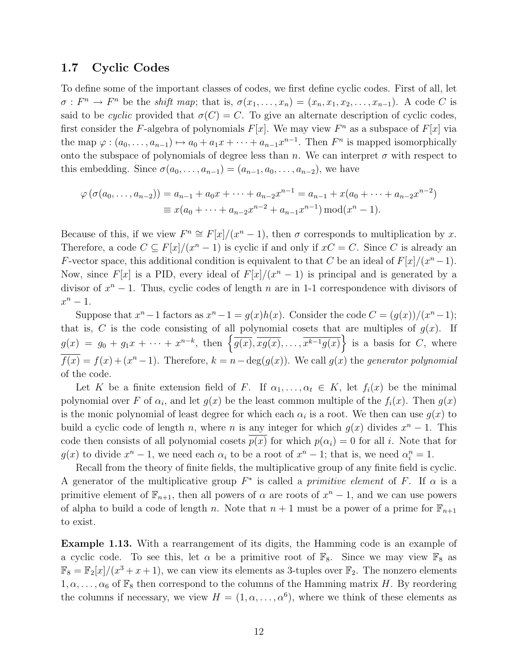#### 1.7 Cyclic Codes

To define some of the important classes of codes, we first define cyclic codes. First of all, let  $\sigma: F^n \to F^n$  be the *shift map*; that is,  $\sigma(x_1, \ldots, x_n) = (x_n, x_1, x_2, \ldots, x_{n-1})$ . A code C is said to be cyclic provided that  $\sigma(C) = C$ . To give an alternate description of cyclic codes, first consider the F-algebra of polynomials  $F[x]$ . We may view  $F<sup>n</sup>$  as a subspace of  $F[x]$  via the map  $\varphi : (a_0, \ldots, a_{n-1}) \mapsto a_0 + a_1 x + \cdots + a_{n-1} x^{n-1}$ . Then  $F^n$  is mapped isomorphically onto the subspace of polynomials of degree less than n. We can interpret  $\sigma$  with respect to this embedding. Since  $\sigma(a_0, \ldots, a_{n-1}) = (a_{n-1}, a_0, \ldots, a_{n-2})$ , we have

$$
\varphi\left(\sigma(a_0,\ldots,a_{n-2})\right) = a_{n-1} + a_0x + \cdots + a_{n-2}x^{n-1} = a_{n-1} + x(a_0 + \cdots + a_{n-2}x^{n-2})
$$
  

$$
\equiv x(a_0 + \cdots + a_{n-2}x^{n-2} + a_{n-1}x^{n-1}) \bmod (x^n - 1).
$$

Because of this, if we view  $F^n \cong F[x]/(x^n - 1)$ , then  $\sigma$  corresponds to multiplication by x. Therefore, a code  $C \subseteq F[x]/(x^n - 1)$  is cyclic if and only if  $xC = C$ . Since C is already an F-vector space, this additional condition is equivalent to that C be an ideal of  $F[x]/(x^{n}-1)$ . Now, since  $F[x]$  is a PID, every ideal of  $F[x]/(x^{n} - 1)$  is principal and is generated by a divisor of  $x^n - 1$ . Thus, cyclic codes of length n are in 1-1 correspondence with divisors of  $x^n-1$ .

Suppose that  $x^n - 1$  factors as  $x^n - 1 = g(x)h(x)$ . Consider the code  $C = (g(x))/(x^n - 1);$ that is, C is the code consisting of all polynomial cosets that are multiples of  $g(x)$ . If  $g(x) = g_0 + g_1 x + \cdots + x^{n-k}$ , then  $\left\{\overline{g(x)}, \overline{xg(x)}, \ldots, \overline{x^{k-1}g(x)}\right\}$  is a basis for C, where  $\overline{f(x)} = f(x) + (x^n - 1)$ . Therefore,  $k = n - \deg(g(x))$ . We call  $g(x)$  the *generator polynomial* of the code.

Let K be a finite extension field of F. If  $\alpha_1, \ldots, \alpha_t \in K$ , let  $f_i(x)$  be the minimal polynomial over F of  $\alpha_i$ , and let  $g(x)$  be the least common multiple of the  $f_i(x)$ . Then  $g(x)$ is the monic polynomial of least degree for which each  $\alpha_i$  is a root. We then can use  $g(x)$  to build a cyclic code of length *n*, where *n* is <u>any</u> integer for which  $g(x)$  divides  $x<sup>n</sup> - 1$ . This code then consists of all polynomial cosets  $p(x)$  for which  $p(\alpha_i) = 0$  for all i. Note that for  $g(x)$  to divide  $x^n - 1$ , we need each  $\alpha_i$  to be a root of  $x^n - 1$ ; that is, we need  $\alpha_i^n = 1$ .

Recall from the theory of finite fields, the multiplicative group of any finite field is cyclic. A generator of the multiplicative group  $F^*$  is called a *primitive element* of F. If  $\alpha$  is a primitive element of  $\mathbb{F}_{n+1}$ , then all powers of  $\alpha$  are roots of  $x^n - 1$ , and we can use powers of alpha to build a code of length n. Note that  $n + 1$  must be a power of a prime for  $\mathbb{F}_{n+1}$ to exist.

Example 1.13. With a rearrangement of its digits, the Hamming code is an example of a cyclic code. To see this, let  $\alpha$  be a primitive root of  $\mathbb{F}_8$ . Since we may view  $\mathbb{F}_8$  as  $\mathbb{F}_8 = \mathbb{F}_2[x]/(x^3 + x + 1)$ , we can view its elements as 3-tuples over  $\mathbb{F}_2$ . The nonzero elements  $1, \alpha, \ldots, \alpha_6$  of  $\mathbb{F}_8$  then correspond to the columns of the Hamming matrix H. By reordering the columns if necessary, we view  $H = (1, \alpha, \dots, \alpha^6)$ , where we think of these elements as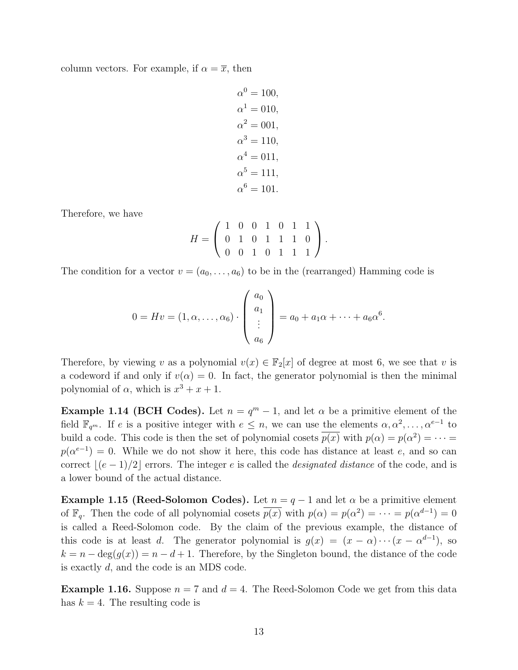column vectors. For example, if  $\alpha = \overline{x}$ , then

$$
\alpha^0 = 100,
$$
  
\n
$$
\alpha^1 = 010,
$$
  
\n
$$
\alpha^2 = 001,
$$
  
\n
$$
\alpha^3 = 110,
$$
  
\n
$$
\alpha^4 = 011,
$$
  
\n
$$
\alpha^5 = 111,
$$
  
\n
$$
\alpha^6 = 101.
$$

Therefore, we have

$$
H = \left( \begin{array}{cccccc} 1 & 0 & 0 & 1 & 0 & 1 & 1 \\ 0 & 1 & 0 & 1 & 1 & 1 & 0 \\ 0 & 0 & 1 & 0 & 1 & 1 & 1 \end{array} \right).
$$

The condition for a vector  $v = (a_0, \ldots, a_6)$  to be in the (rearranged) Hamming code is

$$
0 = Hv = (1, \alpha, \dots, \alpha_6) \cdot \left( \begin{array}{c} a_0 \\ a_1 \\ \vdots \\ a_6 \end{array} \right) = a_0 + a_1 \alpha + \dots + a_6 \alpha^6.
$$

Therefore, by viewing v as a polynomial  $v(x) \in \mathbb{F}_2[x]$  of degree at most 6, we see that v is a codeword if and only if  $v(\alpha) = 0$ . In fact, the generator polynomial is then the minimal polynomial of  $\alpha$ , which is  $x^3 + x + 1$ .

**Example 1.14 (BCH Codes).** Let  $n = q^m - 1$ , and let  $\alpha$  be a primitive element of the field  $\mathbb{F}_{q^m}$ . If e is a positive integer with  $e \leq n$ , we can use the elements  $\alpha, \alpha^2, \ldots, \alpha^{e-1}$  to build a code. This code is then the set of polynomial cosets  $p(x)$  with  $p(\alpha) = p(\alpha^2) = \cdots =$  $p(\alpha^{e-1}) = 0$ . While we do not show it here, this code has distance at least e, and so can correct  $|(e - 1)/2|$  errors. The integer e is called the *designated distance* of the code, and is a lower bound of the actual distance.

**Example 1.15 (Reed-Solomon Codes).** Let  $n = q - 1$  and let  $\alpha$  be a primitive element of  $\mathbb{F}_q$ . Then the code of all polynomial cosets  $p(x)$  with  $p(\alpha) = p(\alpha^2) = \cdots = p(\alpha^{d-1}) = 0$ is called a Reed-Solomon code. By the claim of the previous example, the distance of this code is at least d. The generator polynomial is  $g(x) = (x - \alpha) \cdots (x - \alpha^{d-1})$ , so  $k = n - \deg(g(x)) = n - d + 1$ . Therefore, by the Singleton bound, the distance of the code is exactly d, and the code is an MDS code.

**Example 1.16.** Suppose  $n = 7$  and  $d = 4$ . The Reed-Solomon Code we get from this data has  $k = 4$ . The resulting code is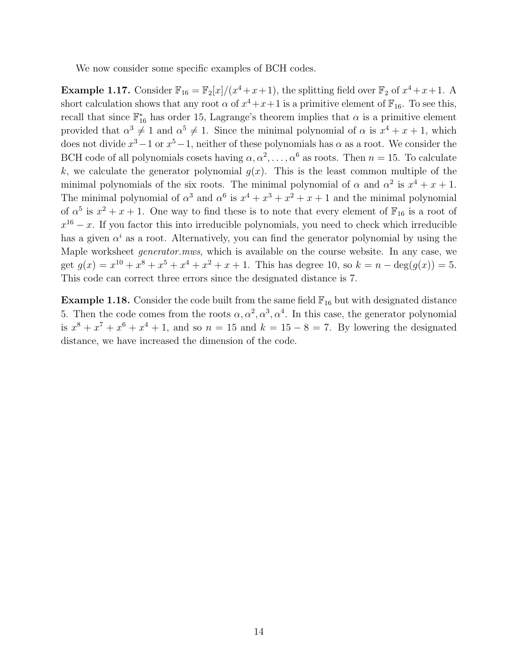We now consider some specific examples of BCH codes.

**Example 1.17.** Consider  $\mathbb{F}_{16} = \mathbb{F}_{2}[x]/(x^{4} + x + 1)$ , the splitting field over  $\mathbb{F}_{2}$  of  $x^{4} + x + 1$ . A short calculation shows that any root  $\alpha$  of  $x^4 + x + 1$  is a primitive element of  $\mathbb{F}_{16}$ . To see this, recall that since  $\mathbb{F}_{16}^*$  has order 15, Lagrange's theorem implies that  $\alpha$  is a primitive element provided that  $\alpha^3 \neq 1$  and  $\alpha^5 \neq 1$ . Since the minimal polynomial of  $\alpha$  is  $x^4 + x + 1$ , which does not divide  $x^3 - 1$  or  $x^5 - 1$ , neither of these polynomials has  $\alpha$  as a root. We consider the BCH code of all polynomials cosets having  $\alpha, \alpha^2, \ldots, \alpha^6$  as roots. Then  $n = 15$ . To calculate k, we calculate the generator polynomial  $g(x)$ . This is the least common multiple of the minimal polynomials of the six roots. The minimal polynomial of  $\alpha$  and  $\alpha^2$  is  $x^4 + x + 1$ . The minimal polynomial of  $\alpha^3$  and  $\alpha^6$  is  $x^4 + x^3 + x^2 + x + 1$  and the minimal polynomial of  $\alpha^5$  is  $x^2 + x + 1$ . One way to find these is to note that every element of  $\mathbb{F}_{16}$  is a root of  $x^{16} - x$ . If you factor this into irreducible polynomials, you need to check which irreducible has a given  $\alpha^{i}$  as a root. Alternatively, you can find the generator polynomial by using the Maple worksheet generator.mws, which is available on the course website. In any case, we get  $g(x) = x^{10} + x^8 + x^5 + x^4 + x^2 + x + 1$ . This has degree 10, so  $k = n - \deg(g(x)) = 5$ . This code can correct three errors since the designated distance is 7.

**Example 1.18.** Consider the code built from the same field  $\mathbb{F}_{16}$  but with designated distance 5. Then the code comes from the roots  $\alpha, \alpha^2, \alpha^3, \alpha^4$ . In this case, the generator polynomial is  $x^8 + x^7 + x^6 + x^4 + 1$ , and so  $n = 15$  and  $k = 15 - 8 = 7$ . By lowering the designated distance, we have increased the dimension of the code.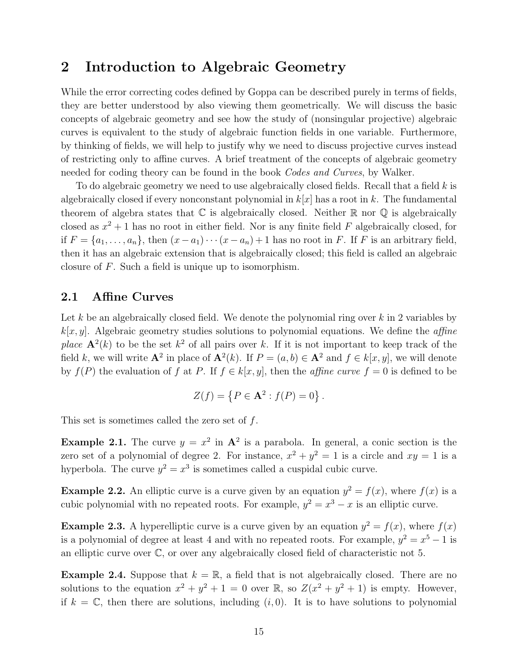## 2 Introduction to Algebraic Geometry

While the error correcting codes defined by Goppa can be described purely in terms of fields, they are better understood by also viewing them geometrically. We will discuss the basic concepts of algebraic geometry and see how the study of (nonsingular projective) algebraic curves is equivalent to the study of algebraic function fields in one variable. Furthermore, by thinking of fields, we will help to justify why we need to discuss projective curves instead of restricting only to affine curves. A brief treatment of the concepts of algebraic geometry needed for coding theory can be found in the book Codes and Curves, by Walker.

To do algebraic geometry we need to use algebraically closed fields. Recall that a field  $k$  is algebraically closed if every nonconstant polynomial in  $k[x]$  has a root in k. The fundamental theorem of algebra states that  $\mathbb C$  is algebraically closed. Neither  $\mathbb R$  nor  $\mathbb Q$  is algebraically closed as  $x^2 + 1$  has no root in either field. Nor is any finite field F algebraically closed, for if  $F = \{a_1, \ldots, a_n\}$ , then  $(x - a_1) \cdots (x - a_n) + 1$  has no root in F. If F is an arbitrary field, then it has an algebraic extension that is algebraically closed; this field is called an algebraic closure of F. Such a field is unique up to isomorphism.

#### 2.1 Affine Curves

Let k be an algebraically closed field. We denote the polynomial ring over  $k$  in 2 variables by  $k[x, y]$ . Algebraic geometry studies solutions to polynomial equations. We define the *affine* place  $\mathbf{A}^2(k)$  to be the set  $k^2$  of all pairs over k. If it is not important to keep track of the field k, we will write  $\mathbf{A}^2$  in place of  $\mathbf{A}^2(k)$ . If  $P = (a, b) \in \mathbf{A}^2$  and  $f \in k[x, y]$ , we will denote by  $f(P)$  the evaluation of f at P. If  $f \in k[x, y]$ , then the *affine curve*  $f = 0$  is defined to be

$$
Z(f) = \{ P \in \mathbf{A}^2 : f(P) = 0 \} .
$$

This set is sometimes called the zero set of f.

**Example 2.1.** The curve  $y = x^2$  in  $\mathbf{A}^2$  is a parabola. In general, a conic section is the zero set of a polynomial of degree 2. For instance,  $x^2 + y^2 = 1$  is a circle and  $xy = 1$  is a hyperbola. The curve  $y^2 = x^3$  is sometimes called a cuspidal cubic curve.

**Example 2.2.** An elliptic curve is a curve given by an equation  $y^2 = f(x)$ , where  $f(x)$  is a cubic polynomial with no repeated roots. For example,  $y^2 = x^3 - x$  is an elliptic curve.

**Example 2.3.** A hyperelliptic curve is a curve given by an equation  $y^2 = f(x)$ , where  $f(x)$ is a polynomial of degree at least 4 and with no repeated roots. For example,  $y^2 = x^5 - 1$  is an elliptic curve over C, or over any algebraically closed field of characteristic not 5.

**Example 2.4.** Suppose that  $k = \mathbb{R}$ , a field that is not algebraically closed. There are no solutions to the equation  $x^2 + y^2 + 1 = 0$  over  $\mathbb{R}$ , so  $Z(x^2 + y^2 + 1)$  is empty. However, if  $k = \mathbb{C}$ , then there are solutions, including  $(i, 0)$ . It is to have solutions to polynomial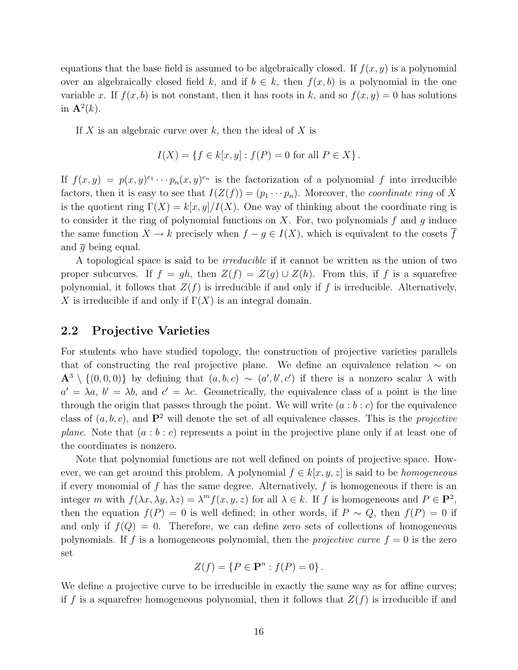equations that the base field is assumed to be algebraically closed. If  $f(x, y)$  is a polynomial over an algebraically closed field k, and if  $b \in k$ , then  $f(x, b)$  is a polynomial in the one variable x. If  $f(x, b)$  is not constant, then it has roots in k, and so  $f(x, y) = 0$  has solutions in  $\mathbf{A}^2(k)$ .

If X is an algebraic curve over  $k$ , then the ideal of X is

$$
I(X) = \{ f \in k[x, y] : f(P) = 0 \text{ for all } P \in X \}.
$$

If  $f(x,y) = p(x,y)^{e_1} \cdots p_n(x,y)^{e_n}$  is the factorization of a polynomial f into irreducible factors, then it is easy to see that  $I(Z(f)) = (p_1 \cdots p_n)$ . Moreover, the *coordinate ring* of X is the quotient ring  $\Gamma(X) = k[x, y]/I(X)$ . One way of thinking about the coordinate ring is to consider it the ring of polynomial functions on  $X$ . For, two polynomials f and g induce the same function  $X \to k$  precisely when  $f - g \in I(X)$ , which is equivalent to the cosets  $\overline{f}$ and  $\bar{q}$  being equal.

A topological space is said to be irreducible if it cannot be written as the union of two proper subcurves. If  $f = gh$ , then  $Z(f) = Z(g) \cup Z(h)$ . From this, if f is a squarefree polynomial, it follows that  $Z(f)$  is irreducible if and only if f is irreducible. Alternatively, X is irreducible if and only if  $\Gamma(X)$  is an integral domain.

#### 2.2 Projective Varieties

For students who have studied topology, the construction of projective varieties parallels that of constructing the real projective plane. We define an equivalence relation  $\sim$  on  $\mathbf{A}^3 \setminus \{(0,0,0)\}\$ by defining that  $(a, b, c) \sim (a', b', c')$  if there is a nonzero scalar  $\lambda$  with  $a' = \lambda a, b' = \lambda b$ , and  $c' = \lambda c$ . Geometrically, the equivalence class of a point is the line through the origin that passes through the point. We will write  $(a : b : c)$  for the equivalence class of  $(a, b, c)$ , and  $\mathbf{P}^2$  will denote the set of all equivalence classes. This is the *projective* plane. Note that  $(a : b : c)$  represents a point in the projective plane only if at least one of the coordinates is nonzero.

Note that polynomial functions are not well defined on points of projective space. However, we can get around this problem. A polynomial  $f \in k[x, y, z]$  is said to be *homogeneous* if every monomial of f has the same degree. Alternatively, f is homogeneous if there is an integer m with  $f(\lambda x, \lambda y, \lambda z) = \lambda^m f(x, y, z)$  for all  $\lambda \in k$ . If f is homogeneous and  $P \in \mathbf{P}^2$ , then the equation  $f(P) = 0$  is well defined; in other words, if  $P \sim Q$ , then  $f(P) = 0$  if and only if  $f(Q) = 0$ . Therefore, we can define zero sets of collections of homogeneous polynomials. If f is a homogeneous polynomial, then the *projective curve*  $f = 0$  is the zero set

$$
Z(f) = \{ P \in \mathbf{P}^n : f(P) = 0 \}.
$$

We define a projective curve to be irreducible in exactly the same way as for affine curves; if f is a squarefree homogeneous polynomial, then it follows that  $Z(f)$  is irreducible if and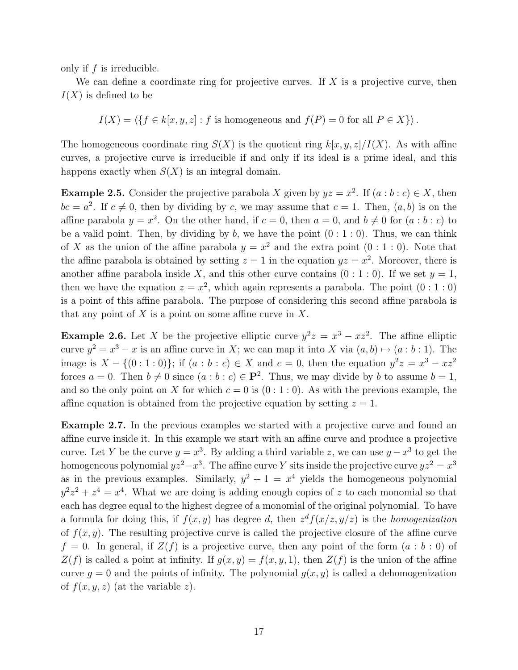only if  $f$  is irreducible.

We can define a coordinate ring for projective curves. If  $X$  is a projective curve, then  $I(X)$  is defined to be

 $I(X) = \langle \{f \in k[x, y, z] : f \text{ is homogeneous and } f(P) = 0 \text{ for all } P \in X\}\rangle.$ 

The homogeneous coordinate ring  $S(X)$  is the quotient ring  $k[x, y, z]/I(X)$ . As with affine curves, a projective curve is irreducible if and only if its ideal is a prime ideal, and this happens exactly when  $S(X)$  is an integral domain.

**Example 2.5.** Consider the projective parabola X given by  $yz = x^2$ . If  $(a : b : c) \in X$ , then  $bc = a^2$ . If  $c \neq 0$ , then by dividing by c, we may assume that  $c = 1$ . Then,  $(a, b)$  is on the affine parabola  $y = x^2$ . On the other hand, if  $c = 0$ , then  $a = 0$ , and  $b \neq 0$  for  $(a : b : c)$  to be a valid point. Then, by dividing by b, we have the point  $(0:1:0)$ . Thus, we can think of X as the union of the affine parabola  $y = x^2$  and the extra point  $(0:1:0)$ . Note that the affine parabola is obtained by setting  $z = 1$  in the equation  $yz = x^2$ . Moreover, there is another affine parabola inside X, and this other curve contains  $(0:1:0)$ . If we set  $y=1$ , then we have the equation  $z = x^2$ , which again represents a parabola. The point  $(0:1:0)$ is a point of this affine parabola. The purpose of considering this second affine parabola is that any point of X is a point on some affine curve in X.

**Example 2.6.** Let X be the projective elliptic curve  $y^2z = x^3 - xz^2$ . The affine elliptic curve  $y^2 = x^3 - x$  is an affine curve in X; we can map it into X via  $(a, b) \mapsto (a : b : 1)$ . The image is  $X - \{(0:1:0)\}\;$  if  $(a:b:c) \in X$  and  $c=0$ , then the equation  $y^2z = x^3 - xz^2$ forces  $a = 0$ . Then  $b \neq 0$  since  $(a : b : c) \in \mathbf{P}^2$ . Thus, we may divide by b to assume  $b = 1$ , and so the only point on X for which  $c = 0$  is  $(0:1:0)$ . As with the previous example, the affine equation is obtained from the projective equation by setting  $z = 1$ .

Example 2.7. In the previous examples we started with a projective curve and found an affine curve inside it. In this example we start with an affine curve and produce a projective curve. Let Y be the curve  $y = x^3$ . By adding a third variable z, we can use  $y - x^3$  to get the homogeneous polynomial  $yz^2 - x^3$ . The affine curve Y sits inside the projective curve  $yz^2 = x^3$ as in the previous examples. Similarly,  $y^2 + 1 = x^4$  yields the homogeneous polynomial  $y^2z^2 + z^4 = x^4$ . What we are doing is adding enough copies of z to each monomial so that each has degree equal to the highest degree of a monomial of the original polynomial. To have a formula for doing this, if  $f(x, y)$  has degree d, then  $z^{d} f(x/z, y/z)$  is the homogenization of  $f(x, y)$ . The resulting projective curve is called the projective closure of the affine curve  $f = 0$ . In general, if  $Z(f)$  is a projective curve, then any point of the form  $(a : b : 0)$  of  $Z(f)$  is called a point at infinity. If  $g(x, y) = f(x, y, 1)$ , then  $Z(f)$  is the union of the affine curve  $q = 0$  and the points of infinity. The polynomial  $q(x, y)$  is called a dehomogenization of  $f(x, y, z)$  (at the variable z).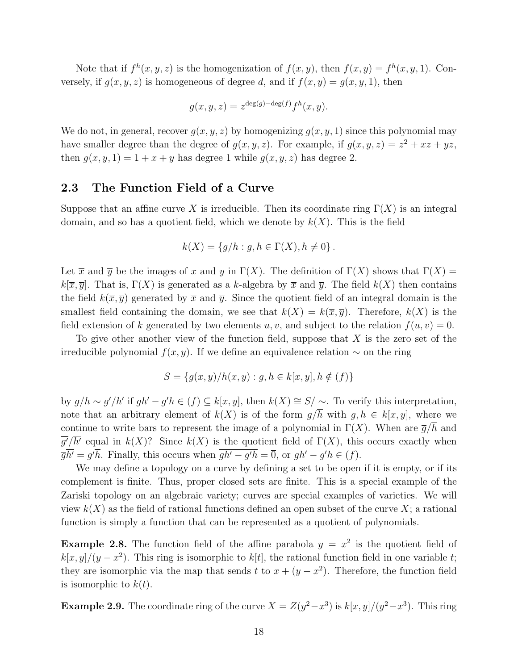Note that if  $f^h(x, y, z)$  is the homogenization of  $f(x, y)$ , then  $f(x, y) = f^h(x, y, 1)$ . Conversely, if  $q(x, y, z)$  is homogeneous of degree d, and if  $f(x, y) = q(x, y, 1)$ , then

$$
g(x, y, z) = z^{\deg(g) - \deg(f)} f^h(x, y).
$$

We do not, in general, recover  $g(x, y, z)$  by homogenizing  $g(x, y, 1)$  since this polynomial may have smaller degree than the degree of  $g(x, y, z)$ . For example, if  $g(x, y, z) = z^2 + xz + yz$ , then  $g(x, y, 1) = 1 + x + y$  has degree 1 while  $g(x, y, z)$  has degree 2.

#### 2.3 The Function Field of a Curve

Suppose that an affine curve X is irreducible. Then its coordinate ring  $\Gamma(X)$  is an integral domain, and so has a quotient field, which we denote by  $k(X)$ . This is the field

$$
k(X) = \{ g/h : g, h \in \Gamma(X), h \neq 0 \}.
$$

Let  $\overline{x}$  and  $\overline{y}$  be the images of x and y in  $\Gamma(X)$ . The definition of  $\Gamma(X)$  shows that  $\Gamma(X)$  =  $k[\overline{x}, \overline{y}]$ . That is,  $\Gamma(X)$  is generated as a k-algebra by  $\overline{x}$  and  $\overline{y}$ . The field  $k(X)$  then contains the field  $k(\bar{x}, \bar{y})$  generated by  $\bar{x}$  and  $\bar{y}$ . Since the quotient field of an integral domain is the smallest field containing the domain, we see that  $k(X) = k(\overline{x}, \overline{y})$ . Therefore,  $k(X)$  is the field extension of k generated by two elements u, v, and subject to the relation  $f(u, v) = 0$ .

To give other another view of the function field, suppose that  $X$  is the zero set of the irreducible polynomial  $f(x, y)$ . If we define an equivalence relation  $\sim$  on the ring

$$
S = \{g(x, y)/h(x, y) : g, h \in k[x, y], h \notin (f)\}\
$$

by  $g/h \sim g'/h'$  if  $gh' - g'h \in (f) \subseteq k[x, y]$ , then  $k(X) \cong S/\sim$ . To verify this interpretation, note that an arbitrary element of  $k(X)$  is of the form  $\overline{g}/\overline{h}$  with  $g, h \in k[x, y]$ , where we continue to write bars to represent the image of a polynomial in  $\Gamma(X)$ . When are  $\overline{g}/h$  and  $g'/h'$  equal in  $k(X)$ ? Since  $k(X)$  is the quotient field of  $\Gamma(X)$ , this occurs exactly when  $\overline{g}h' = g'h$ . Finally, this occurs when  $gh' - g'h = 0$ , or  $gh' - g'h \in (f)$ .

We may define a topology on a curve by defining a set to be open if it is empty, or if its complement is finite. Thus, proper closed sets are finite. This is a special example of the Zariski topology on an algebraic variety; curves are special examples of varieties. We will view  $k(X)$  as the field of rational functions defined an open subset of the curve X; a rational function is simply a function that can be represented as a quotient of polynomials.

**Example 2.8.** The function field of the affine parabola  $y = x^2$  is the quotient field of  $k[x, y]/(y - x^2)$ . This ring is isomorphic to  $k[t]$ , the rational function field in one variable t; they are isomorphic via the map that sends t to  $x + (y - x^2)$ . Therefore, the function field is isomorphic to  $k(t)$ .

**Example 2.9.** The coordinate ring of the curve  $X = Z(y^2 - x^3)$  is  $k[x, y]/(y^2 - x^3)$ . This ring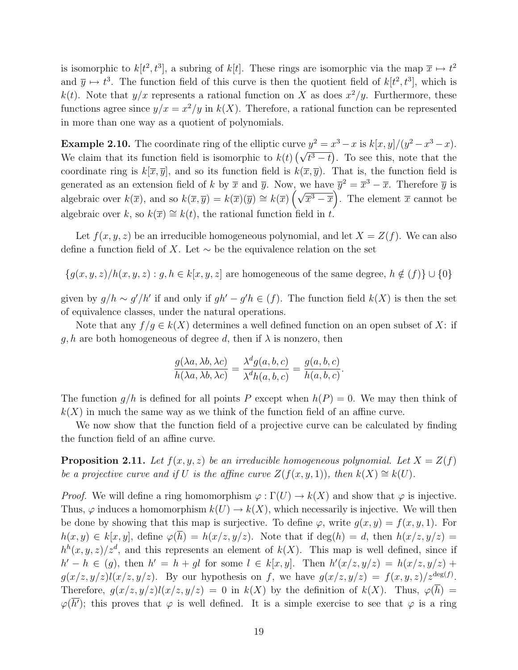is isomorphic to  $k[t^2, t^3]$ , a subring of  $k[t]$ . These rings are isomorphic via the map  $\overline{x} \mapsto t^2$ and  $\overline{y} \mapsto t^3$ . The function field of this curve is then the quotient field of  $k[t^2, t^3]$ , which is  $k(t)$ . Note that  $y/x$  represents a rational function on X as does  $x^2/y$ . Furthermore, these functions agree since  $y/x = x^2/y$  in  $k(X)$ . Therefore, a rational function can be represented in more than one way as a quotient of polynomials.

**Example 2.10.** The coordinate ring of the elliptic curve  $y^2 = x^3 - x$  is  $k[x, y]/(y^2 - x^3 - x)$ . We claim that its function field is isomorphic to  $k(t) \left(\sqrt{t^3-t}\right)$ . To see this, note that the coordinate ring is  $k[\overline{x}, \overline{y}]$ , and so its function field is  $k(\overline{x}, \overline{y})$ . That is, the function field is generated as an extension field of k by  $\overline{x}$  and  $\overline{y}$ . Now, we have  $\overline{y}^2 = \overline{x}^3 - \overline{x}$ . Therefore  $\overline{y}$  is algebraic over  $k(\overline{x})$ , and so  $k(\overline{x}, \overline{y}) = k(\overline{x})(\overline{y}) \cong k(\overline{x}) \left(\sqrt{\overline{x}^3 - \overline{x}}\right)$ . The element  $\overline{x}$  cannot be algebraic over k, so  $k(\overline{x}) \cong k(t)$ , the rational function field in t.

Let  $f(x, y, z)$  be an irreducible homogeneous polynomial, and let  $X = Z(f)$ . We can also define a function field of X. Let  $\sim$  be the equivalence relation on the set

 ${g(x, y, z)}/{h(x, y, z)} : g, h \in k[x, y, z]$  are homogeneous of the same degree,  $h \notin (f) \cup \{0\}$ 

given by  $g/h \sim g'/h'$  if and only if  $gh' - g'h \in (f)$ . The function field  $k(X)$  is then the set of equivalence classes, under the natural operations.

Note that any  $f/g \in k(X)$  determines a well defined function on an open subset of X: if g, h are both homogeneous of degree d, then if  $\lambda$  is nonzero, then

$$
\frac{g(\lambda a, \lambda b, \lambda c)}{h(\lambda a, \lambda b, \lambda c)} = \frac{\lambda^d g(a, b, c)}{\lambda^d h(a, b, c)} = \frac{g(a, b, c)}{h(a, b, c)}.
$$

The function  $g/h$  is defined for all points P except when  $h(P) = 0$ . We may then think of  $k(X)$  in much the same way as we think of the function field of an affine curve.

We now show that the function field of a projective curve can be calculated by finding the function field of an affine curve.

**Proposition 2.11.** Let  $f(x, y, z)$  be an irreducible homogeneous polynomial. Let  $X = Z(f)$ be a projective curve and if U is the affine curve  $Z(f(x, y, 1))$ , then  $k(X) \cong k(U)$ .

*Proof.* We will define a ring homomorphism  $\varphi : \Gamma(U) \to k(X)$  and show that  $\varphi$  is injective. Thus,  $\varphi$  induces a homomorphism  $k(U) \to k(X)$ , which necessarily is injective. We will then be done by showing that this map is surjective. To define  $\varphi$ , write  $q(x, y) = f(x, y, 1)$ . For  $h(x, y) \in k[x, y]$ , define  $\varphi(\overline{h}) = h(x/z, y/z)$ . Note that if deg(h) = d, then  $h(x/z, y/z)$  =  $h^{h}(x, y, z)/z^{d}$ , and this represents an element of  $k(X)$ . This map is well defined, since if  $h' - h \in (g)$ , then  $h' = h + gl$  for some  $l \in k[x, y]$ . Then  $h'(x/z, y/z) = h(x/z, y/z) +$  $g(x/z, y/z)l(x/z, y/z)$ . By our hypothesis on f, we have  $g(x/z, y/z) = f(x, y, z)/z^{\text{deg}(f)}$ . Therefore,  $g(x/z, y/z)l(x/z, y/z) = 0$  in  $k(X)$  by the definition of  $k(X)$ . Thus,  $\varphi(\overline{h}) =$  $\varphi(h')$ ; this proves that  $\varphi$  is well defined. It is a simple exercise to see that  $\varphi$  is a ring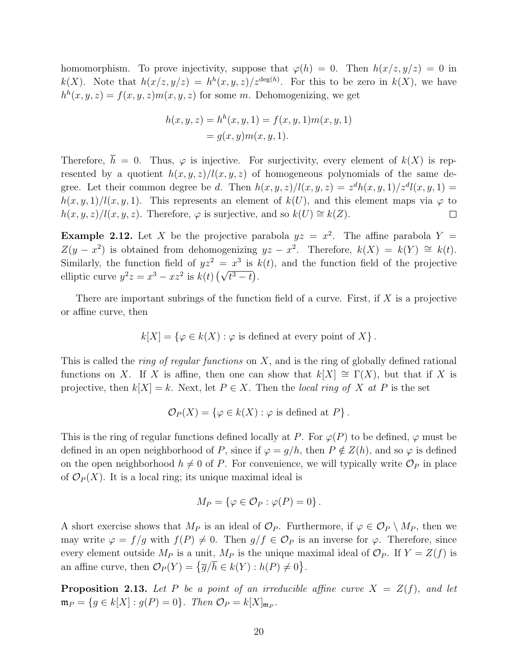homomorphism. To prove injectivity, suppose that  $\varphi(h) = 0$ . Then  $h(x/z, y/z) = 0$  in  $k(X)$ . Note that  $h(x/z, y/z) = h^h(x, y, z)/z^{\deg(h)}$ . For this to be zero in  $k(X)$ , we have  $h^{h}(x, y, z) = f(x, y, z) m(x, y, z)$  for some m. Dehomogenizing, we get

$$
h(x, y, z) = hh(x, y, 1) = f(x, y, 1)m(x, y, 1)
$$
  
= g(x, y)m(x, y, 1).

Therefore,  $\overline{h} = 0$ . Thus,  $\varphi$  is injective. For surjectivity, every element of  $k(X)$  is represented by a quotient  $h(x, y, z)/l(x, y, z)$  of homogeneous polynomials of the same degree. Let their common degree be d. Then  $h(x, y, z) / l(x, y, z) = z^d h(x, y, 1) / z^d l(x, y, 1) =$  $h(x, y, 1)/l(x, y, 1)$ . This represents an element of  $k(U)$ , and this element maps via  $\varphi$  to  $h(x, y, z)/l(x, y, z)$ . Therefore,  $\varphi$  is surjective, and so  $k(U) \cong k(Z)$ .  $\Box$ 

**Example 2.12.** Let X be the projective parabola  $yz = x^2$ . The affine parabola  $Y =$  $Z(y - x^2)$  is obtained from dehomogenizing  $yz - x^2$ . Therefore,  $k(X) = k(Y) \cong k(t)$ . Similarly, the function field of  $yz^2 = x^3$  is  $k(t)$ , and the function field of the projective elliptic curve  $y^2z = x^3 - xz^2$  is  $k(t) (\sqrt{t^3 - t})$ .

There are important subrings of the function field of a curve. First, if  $X$  is a projective or affine curve, then

$$
k[X] = \{ \varphi \in k(X) : \varphi \text{ is defined at every point of } X \}.
$$

This is called the *ring of regular functions* on  $X$ , and is the ring of globally defined rational functions on X. If X is affine, then one can show that  $k[X] \cong \Gamma(X)$ , but that if X is projective, then  $k[X] = k$ . Next, let  $P \in X$ . Then the local ring of X at P is the set

$$
\mathcal{O}_P(X) = \{ \varphi \in k(X) : \varphi \text{ is defined at } P \}.
$$

This is the ring of regular functions defined locally at P. For  $\varphi(P)$  to be defined,  $\varphi$  must be defined in an open neighborhood of P, since if  $\varphi = g/h$ , then  $P \notin Z(h)$ , and so  $\varphi$  is defined on the open neighborhood  $h \neq 0$  of P. For convenience, we will typically write  $\mathcal{O}_P$  in place of  $\mathcal{O}_P(X)$ . It is a local ring; its unique maximal ideal is

$$
M_P = \{ \varphi \in \mathcal{O}_P : \varphi(P) = 0 \}.
$$

A short exercise shows that  $M_P$  is an ideal of  $\mathcal{O}_P$ . Furthermore, if  $\varphi \in \mathcal{O}_P \setminus M_P$ , then we may write  $\varphi = f/g$  with  $f(P) \neq 0$ . Then  $g/f \in \mathcal{O}_P$  is an inverse for  $\varphi$ . Therefore, since every element outside  $M_P$  is a unit,  $M_P$  is the unique maximal ideal of  $\mathcal{O}_P$ . If  $Y = Z(f)$  is an affine curve, then  $\mathcal{O}_P(Y) = \{ \overline{g}/\overline{h} \in k(Y) : h(P) \neq 0 \}.$ 

**Proposition 2.13.** Let P be a point of an irreducible affine curve  $X = Z(f)$ , and let  $\mathfrak{m}_P = \{g \in k[X] : g(P) = 0\}.$  Then  $\mathcal{O}_P = k[X]_{\mathfrak{m}_P}.$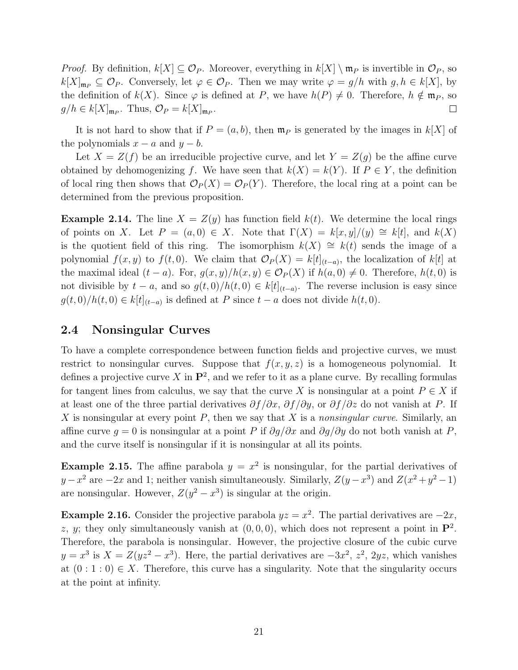*Proof.* By definition,  $k[X] \subseteq \mathcal{O}_P$ . Moreover, everything in  $k[X] \setminus \mathfrak{m}_P$  is invertible in  $\mathcal{O}_P$ , so  $k[X]_{\mathfrak{m}_P} \subseteq \mathcal{O}_P$ . Conversely, let  $\varphi \in \mathcal{O}_P$ . Then we may write  $\varphi = g/h$  with  $g, h \in k[X],$  by the definition of  $k(X)$ . Since  $\varphi$  is defined at P, we have  $h(P) \neq 0$ . Therefore,  $h \notin \mathfrak{m}_P$ , so  $g/h \in k[X]_{\mathfrak{m}_P}$ . Thus,  $\mathcal{O}_P = k[X]_{\mathfrak{m}_P}$ .  $\Box$ 

It is not hard to show that if  $P = (a, b)$ , then  $\mathfrak{m}_P$  is generated by the images in  $k[X]$  of the polynomials  $x - a$  and  $y - b$ .

Let  $X = Z(f)$  be an irreducible projective curve, and let  $Y = Z(g)$  be the affine curve obtained by dehomogenizing f. We have seen that  $k(X) = k(Y)$ . If  $P \in Y$ , the definition of local ring then shows that  $\mathcal{O}_P(X) = \mathcal{O}_P(Y)$ . Therefore, the local ring at a point can be determined from the previous proposition.

**Example 2.14.** The line  $X = Z(y)$  has function field  $k(t)$ . We determine the local rings of points on X. Let  $P = (a, 0) \in X$ . Note that  $\Gamma(X) = k[x, y]/(y) \cong k[t]$ , and  $k(X)$ is the quotient field of this ring. The isomorphism  $k(X) \cong k(t)$  sends the image of a polynomial  $f(x, y)$  to  $f(t, 0)$ . We claim that  $\mathcal{O}_P(X) = k[t]_{(t-a)}$ , the localization of  $k[t]$  at the maximal ideal  $(t - a)$ . For,  $g(x, y)/h(x, y) \in \mathcal{O}_P(X)$  if  $h(a, 0) \neq 0$ . Therefore,  $h(t, 0)$  is not divisible by  $t - a$ , and so  $g(t, 0)/h(t, 0) \in k[t]_{(t-a)}$ . The reverse inclusion is easy since  $g(t,0)/h(t,0) \in k[t]_{(t-a)}$  is defined at P since  $t-a$  does not divide  $h(t,0)$ .

#### 2.4 Nonsingular Curves

To have a complete correspondence between function fields and projective curves, we must restrict to nonsingular curves. Suppose that  $f(x, y, z)$  is a homogeneous polynomial. It defines a projective curve X in  $\mathbf{P}^2$ , and we refer to it as a plane curve. By recalling formulas for tangent lines from calculus, we say that the curve X is nonsingular at a point  $P \in X$  if at least one of the three partial derivatives  $\partial f/\partial x$ ,  $\partial f/\partial y$ , or  $\partial f/\partial z$  do not vanish at P. If X is nonsingular at every point  $P$ , then we say that X is a nonsingular curve. Similarly, an affine curve  $g = 0$  is nonsingular at a point P if  $\partial g/\partial x$  and  $\partial g/\partial y$  do not both vanish at P, and the curve itself is nonsingular if it is nonsingular at all its points.

**Example 2.15.** The affine parabola  $y = x^2$  is nonsingular, for the partial derivatives of  $y - x^2$  are  $-2x$  and 1; neither vanish simultaneously. Similarly,  $Z(y - x^3)$  and  $Z(x^2 + y^2 - 1)$ are nonsingular. However,  $Z(y^2 - x^3)$  is singular at the origin.

**Example 2.16.** Consider the projective parabola  $yz = x^2$ . The partial derivatives are  $-2x$ , z, y; they only simultaneously vanish at  $(0,0,0)$ , which does not represent a point in  $\mathbf{P}^2$ . Therefore, the parabola is nonsingular. However, the projective closure of the cubic curve  $y = x^3$  is  $X = Z(yz^2 - x^3)$ . Here, the partial derivatives are  $-3x^2$ ,  $z^2$ ,  $2yz$ , which vanishes at  $(0:1:0) \in X$ . Therefore, this curve has a singularity. Note that the singularity occurs at the point at infinity.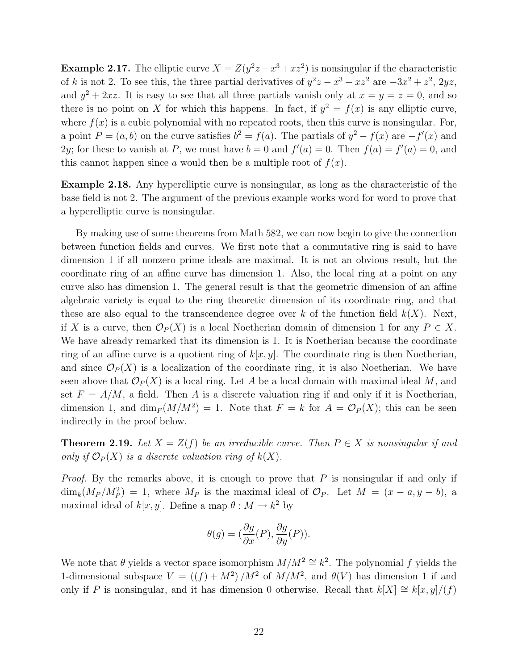**Example 2.17.** The elliptic curve  $X = Z(y^2z - x^3 + xz^2)$  is nonsingular if the characteristic of k is not 2. To see this, the three partial derivatives of  $y^2z - x^3 + xz^2$  are  $-3x^2 + z^2$ ,  $2yz$ , and  $y^2 + 2xz$ . It is easy to see that all three partials vanish only at  $x = y = z = 0$ , and so there is no point on X for which this happens. In fact, if  $y^2 = f(x)$  is any elliptic curve, where  $f(x)$  is a cubic polynomial with no repeated roots, then this curve is nonsingular. For, a point  $P = (a, b)$  on the curve satisfies  $b^2 = f(a)$ . The partials of  $y^2 - f(x)$  are  $-f'(x)$  and 2y; for these to vanish at P, we must have  $b = 0$  and  $f'(a) = 0$ . Then  $f(a) = f'(a) = 0$ , and this cannot happen since a would then be a multiple root of  $f(x)$ .

Example 2.18. Any hyperelliptic curve is nonsingular, as long as the characteristic of the base field is not 2. The argument of the previous example works word for word to prove that a hyperelliptic curve is nonsingular.

By making use of some theorems from Math 582, we can now begin to give the connection between function fields and curves. We first note that a commutative ring is said to have dimension 1 if all nonzero prime ideals are maximal. It is not an obvious result, but the coordinate ring of an affine curve has dimension 1. Also, the local ring at a point on any curve also has dimension 1. The general result is that the geometric dimension of an affine algebraic variety is equal to the ring theoretic dimension of its coordinate ring, and that these are also equal to the transcendence degree over k of the function field  $k(X)$ . Next, if X is a curve, then  $\mathcal{O}_P(X)$  is a local Noetherian domain of dimension 1 for any  $P \in X$ . We have already remarked that its dimension is 1. It is Noetherian because the coordinate ring of an affine curve is a quotient ring of  $k[x, y]$ . The coordinate ring is then Noetherian, and since  $\mathcal{O}_P(X)$  is a localization of the coordinate ring, it is also Noetherian. We have seen above that  $\mathcal{O}_P(X)$  is a local ring. Let A be a local domain with maximal ideal M, and set  $F = A/M$ , a field. Then A is a discrete valuation ring if and only if it is Noetherian, dimension 1, and  $\dim_F(M/M^2) = 1$ . Note that  $F = k$  for  $A = \mathcal{O}_P(X)$ ; this can be seen indirectly in the proof below.

**Theorem 2.19.** Let  $X = Z(f)$  be an irreducible curve. Then  $P \in X$  is nonsingular if and only if  $\mathcal{O}_P(X)$  is a discrete valuation ring of  $k(X)$ .

*Proof.* By the remarks above, it is enough to prove that  $P$  is nonsingular if and only if  $\dim_k(M_P/M_P^2) = 1$ , where  $M_P$  is the maximal ideal of  $\mathcal{O}_P$ . Let  $M = (x - a, y - b)$ , a maximal ideal of  $k[x, y]$ . Define a map  $\theta : M \to k^2$  by

$$
\theta(g) = (\frac{\partial g}{\partial x}(P), \frac{\partial g}{\partial y}(P)).
$$

We note that  $\theta$  yields a vector space isomorphism  $M/M^2 \cong k^2$ . The polynomial f yields the 1-dimensional subspace  $V = ((f) + M^2) / M^2$  of  $M/M^2$ , and  $\theta(V)$  has dimension 1 if and only if P is nonsingular, and it has dimension 0 otherwise. Recall that  $k[X] \cong k[x, y]/(f)$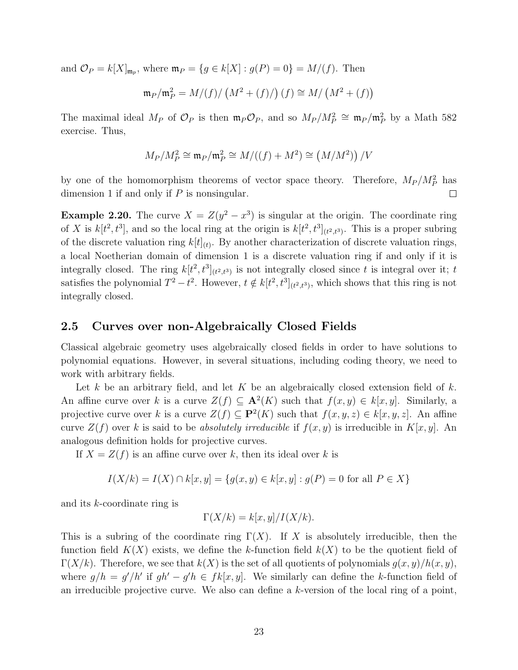and  $\mathcal{O}_P = k[X]_{\mathfrak{m}_p}$ , where  $\mathfrak{m}_P = \{g \in k[X] : g(P) = 0\} = M/(f)$ . Then

$$
\mathfrak{m}_P/\mathfrak{m}_P^2 = M/(f)/\left(M^2 + (f)/\right)(f) \cong M/\left(M^2 + (f)\right)
$$

The maximal ideal  $M_P$  of  $\mathcal{O}_P$  is then  $\mathfrak{m}_P \mathcal{O}_P$ , and so  $M_P / M_P^2 \cong \mathfrak{m}_P / \mathfrak{m}_P^2$  by a Math 582 exercise. Thus,

$$
M_P/M_P^2 \cong \mathfrak{m}_P/\mathfrak{m}_P^2 \cong M/((f)+M^2) \cong (M/M^2)\big)/V
$$

by one of the homomorphism theorems of vector space theory. Therefore,  $M_P / M_P^2$  has dimension 1 if and only if  $P$  is nonsingular.  $\Box$ 

**Example 2.20.** The curve  $X = Z(y^2 - x^3)$  is singular at the origin. The coordinate ring of X is  $k[t^2, t^3]$ , and so the local ring at the origin is  $k[t^2, t^3]_{(t^2,t^3)}$ . This is a proper subring of the discrete valuation ring  $k[t]_{(t)}$ . By another characterization of discrete valuation rings, a local Noetherian domain of dimension 1 is a discrete valuation ring if and only if it is integrally closed. The ring  $k[t^2, t^3]_{(t^2,t^3)}$  is not integrally closed since t is integral over it; t satisfies the polynomial  $T^2 - t^2$ . However,  $t \notin k[t^2, t^3]_{(t^2,t^3)}$ , which shows that this ring is not integrally closed.

#### 2.5 Curves over non-Algebraically Closed Fields

Classical algebraic geometry uses algebraically closed fields in order to have solutions to polynomial equations. However, in several situations, including coding theory, we need to work with arbitrary fields.

Let k be an arbitrary field, and let K be an algebraically closed extension field of  $k$ . An affine curve over k is a curve  $Z(f) \subseteq \mathbf{A}^2(K)$  such that  $f(x, y) \in k[x, y]$ . Similarly, a projective curve over k is a curve  $Z(f) \subseteq \mathbf{P}^2(K)$  such that  $f(x, y, z) \in k[x, y, z]$ . An affine curve  $Z(f)$  over k is said to be absolutely irreducible if  $f(x, y)$  is irreducible in  $K[x, y]$ . An analogous definition holds for projective curves.

If  $X = Z(f)$  is an affine curve over k, then its ideal over k is

$$
I(X/k) = I(X) \cap k[x, y] = \{g(x, y) \in k[x, y] : g(P) = 0 \text{ for all } P \in X\}
$$

and its k-coordinate ring is

$$
\Gamma(X/k) = k[x, y]/I(X/k).
$$

This is a subring of the coordinate ring  $\Gamma(X)$ . If X is absolutely irreducible, then the function field  $K(X)$  exists, we define the k-function field  $k(X)$  to be the quotient field of  $\Gamma(X/k)$ . Therefore, we see that  $k(X)$  is the set of all quotients of polynomials  $g(x, y)/h(x, y)$ , where  $g/h = g'/h'$  if  $gh' - g'h \in fk[x, y]$ . We similarly can define the k-function field of an irreducible projective curve. We also can define a k-version of the local ring of a point,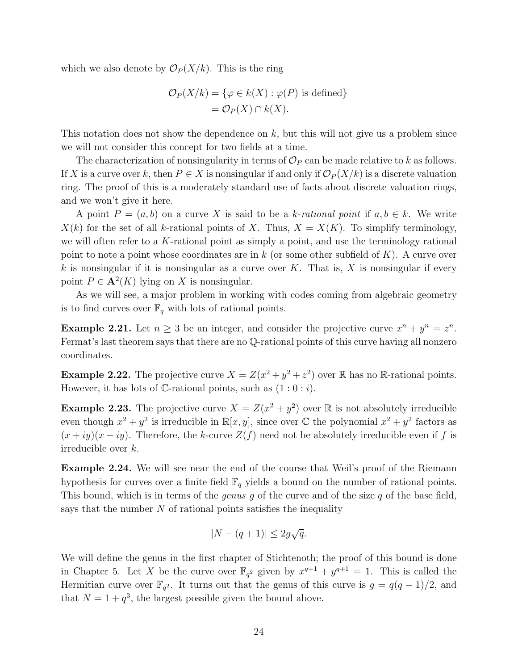which we also denote by  $\mathcal{O}_P(X/k)$ . This is the ring

$$
\mathcal{O}_P(X/k) = \{ \varphi \in k(X) : \varphi(P) \text{ is defined} \}
$$

$$
= \mathcal{O}_P(X) \cap k(X).
$$

This notation does not show the dependence on  $k$ , but this will not give us a problem since we will not consider this concept for two fields at a time.

The characterization of nonsingularity in terms of  $\mathcal{O}_P$  can be made relative to k as follows. If X is a curve over k, then  $P \in X$  is nonsingular if and only if  $\mathcal{O}_P(X/k)$  is a discrete valuation ring. The proof of this is a moderately standard use of facts about discrete valuation rings, and we won't give it here.

A point  $P = (a, b)$  on a curve X is said to be a k-rational point if  $a, b \in k$ . We write  $X(k)$  for the set of all k-rational points of X. Thus,  $X = X(K)$ . To simplify terminology, we will often refer to a K-rational point as simply a point, and use the terminology rational point to note a point whose coordinates are in  $k$  (or some other subfield of  $K$ ). A curve over k is nonsingular if it is nonsingular as a curve over K. That is, X is nonsingular if every point  $P \in \mathbf{A}^2(K)$  lying on X is nonsingular.

As we will see, a major problem in working with codes coming from algebraic geometry is to find curves over  $\mathbb{F}_q$  with lots of rational points.

**Example 2.21.** Let  $n \geq 3$  be an integer, and consider the projective curve  $x^n + y^n = z^n$ . Fermat's last theorem says that there are no Q-rational points of this curve having all nonzero coordinates.

**Example 2.22.** The projective curve  $X = Z(x^2 + y^2 + z^2)$  over R has no R-rational points. However, it has lots of C-rational points, such as  $(1:0: i)$ .

**Example 2.23.** The projective curve  $X = Z(x^2 + y^2)$  over  $\mathbb R$  is not absolutely irreducible even though  $x^2 + y^2$  is irreducible in  $\mathbb{R}[x, y]$ , since over  $\mathbb{C}$  the polynomial  $x^2 + y^2$  factors as  $(x+iy)(x-iy)$ . Therefore, the k-curve  $Z(f)$  need not be absolutely irreducible even if f is irreducible over k.

Example 2.24. We will see near the end of the course that Weil's proof of the Riemann hypothesis for curves over a finite field  $\mathbb{F}_q$  yields a bound on the number of rational points. This bound, which is in terms of the *genus q* of the curve and of the size q of the base field, says that the number  $N$  of rational points satisfies the inequality

$$
|N - (q+1)| \leq 2g\sqrt{q}.
$$

We will define the genus in the first chapter of Stichtenoth; the proof of this bound is done in Chapter 5. Let X be the curve over  $\mathbb{F}_{q^2}$  given by  $x^{q+1} + y^{q+1} = 1$ . This is called the Hermitian curve over  $\mathbb{F}_{q^2}$ . It turns out that the genus of this curve is  $g = q(q-1)/2$ , and that  $N = 1 + q^3$ , the largest possible given the bound above.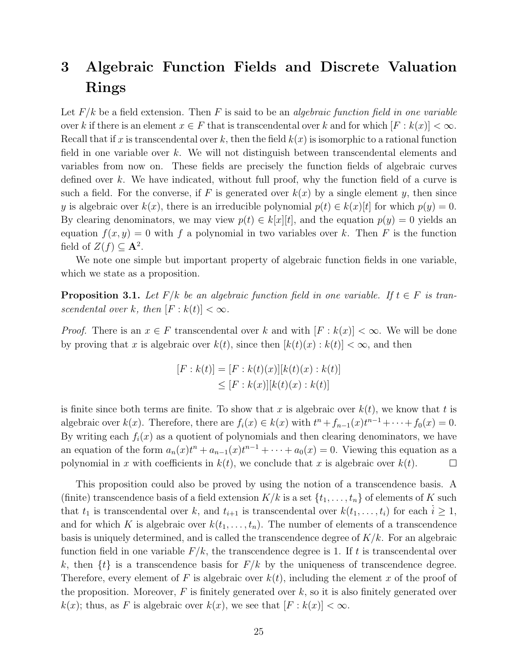## 3 Algebraic Function Fields and Discrete Valuation Rings

Let  $F/k$  be a field extension. Then F is said to be an *algebraic function field in one variable* over k if there is an element  $x \in F$  that is transcendental over k and for which  $[F : k(x)] < \infty$ . Recall that if x is transcendental over k, then the field  $k(x)$  is isomorphic to a rational function field in one variable over  $k$ . We will not distinguish between transcendental elements and variables from now on. These fields are precisely the function fields of algebraic curves defined over k. We have indicated, without full proof, why the function field of a curve is such a field. For the converse, if F is generated over  $k(x)$  by a single element y, then since y is algebraic over  $k(x)$ , there is an irreducible polynomial  $p(t) \in k(x)[t]$  for which  $p(y) = 0$ . By clearing denominators, we may view  $p(t) \in k[x][t]$ , and the equation  $p(y) = 0$  yields an equation  $f(x, y) = 0$  with f a polynomial in two variables over k. Then F is the function field of  $Z(f) \subseteq \mathbf{A}^2$ .

We note one simple but important property of algebraic function fields in one variable, which we state as a proposition.

**Proposition 3.1.** Let  $F/k$  be an algebraic function field in one variable. If  $t \in F$  is transcendental over k, then  $[F : k(t)] < \infty$ .

*Proof.* There is an  $x \in F$  transcendental over k and with  $[F : k(x)] < \infty$ . We will be done by proving that x is algebraic over  $k(t)$ , since then  $[k(t)(x):k(t)] < \infty$ , and then

$$
[F : k(t)] = [F : k(t)(x)][k(t)(x) : k(t)]
$$
  

$$
\leq [F : k(x)][k(t)(x) : k(t)]
$$

is finite since both terms are finite. To show that x is algebraic over  $k(t)$ , we know that t is algebraic over  $k(x)$ . Therefore, there are  $f_i(x) \in k(x)$  with  $t^n + f_{n-1}(x)t^{n-1} + \cdots + f_0(x) = 0$ . By writing each  $f_i(x)$  as a quotient of polynomials and then clearing denominators, we have an equation of the form  $a_n(x)t^n + a_{n-1}(x)t^{n-1} + \cdots + a_0(x) = 0$ . Viewing this equation as a polynomial in x with coefficients in  $k(t)$ , we conclude that x is algebraic over  $k(t)$ .  $\Box$ 

This proposition could also be proved by using the notion of a transcendence basis. A (finite) transcendence basis of a field extension  $K/k$  is a set  $\{t_1, \ldots, t_n\}$  of elements of K such that  $t_1$  is transcendental over k, and  $t_{i+1}$  is transcendental over  $k(t_1, \ldots, t_i)$  for each  $i \geq 1$ , and for which K is algebraic over  $k(t_1, \ldots, t_n)$ . The number of elements of a transcendence basis is uniquely determined, and is called the transcendence degree of  $K/k$ . For an algebraic function field in one variable  $F/k$ , the transcendence degree is 1. If t is transcendental over k, then  $\{t\}$  is a transcendence basis for  $F/k$  by the uniqueness of transcendence degree. Therefore, every element of F is algebraic over  $k(t)$ , including the element x of the proof of the proposition. Moreover,  $F$  is finitely generated over  $k$ , so it is also finitely generated over  $k(x)$ ; thus, as F is algebraic over  $k(x)$ , we see that  $[F: k(x)] < \infty$ .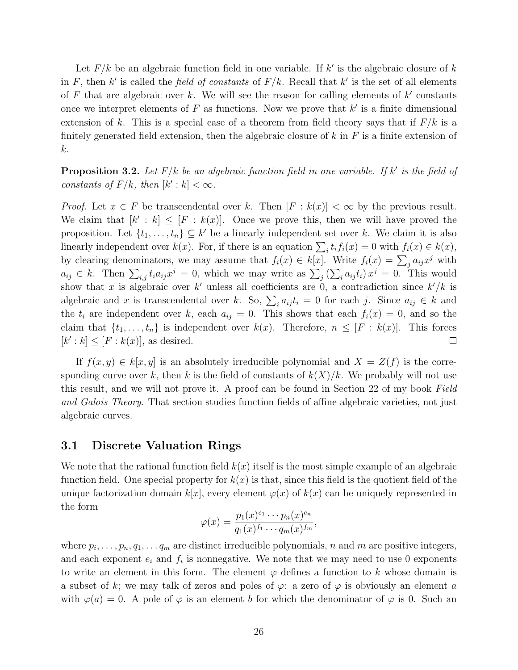Let  $F/k$  be an algebraic function field in one variable. If  $k'$  is the algebraic closure of  $k$ in F, then k' is called the *field of constants* of  $F/k$ . Recall that k' is the set of all elements of F that are algebraic over k. We will see the reason for calling elements of  $k'$  constants once we interpret elements of  $F$  as functions. Now we prove that  $k'$  is a finite dimensional extension of k. This is a special case of a theorem from field theory says that if  $F/k$  is a finitely generated field extension, then the algebraic closure of  $k$  in  $F$  is a finite extension of k.

**Proposition 3.2.** Let  $F/k$  be an algebraic function field in one variable. If k' is the field of constants of  $F/k$ , then  $[k':k] < \infty$ .

*Proof.* Let  $x \in F$  be transcendental over k. Then  $[F : k(x)] < \infty$  by the previous result. We claim that  $[k' : k] \leq [F : k(x)]$ . Once we prove this, then we will have proved the proposition. Let  $\{t_1, \ldots, t_n\} \subseteq k'$  be a linearly independent set over k. We claim it is also linearly independent over  $k(x)$ . For, if there is an equation  $\sum_i t_i f_i(x) = 0$  with  $f_i(x) \in k(x)$ , by clearing denominators, we may assume that  $f_i(x) \in k[x]$ . Write  $f_i(x) = \sum_j a_{ij} x^j$  with  $a_{ij} \in k$ . Then  $\sum_{i,j} t_i a_{ij} x^j = 0$ , which we may write as  $\sum_j (\sum_i a_{ij} t_i) x^j = 0$ . This would show that x is algebraic over k' unless all coefficients are 0, a contradiction since  $k'/k$  is algebraic and x is transcendental over k. So,  $\sum_i a_{ij} t_i = 0$  for each j. Since  $a_{ij} \in k$  and the  $t_i$  are independent over k, each  $a_{ij} = 0$ . This shows that each  $f_i(x) = 0$ , and so the claim that  $\{t_1, \ldots, t_n\}$  is independent over  $k(x)$ . Therefore,  $n \leq [F : k(x)]$ . This forces  $[k':k] \leq [F:k(x)],$  as desired.  $\Box$ 

If  $f(x, y) \in k[x, y]$  is an absolutely irreducible polynomial and  $X = Z(f)$  is the corresponding curve over k, then k is the field of constants of  $k(X)/k$ . We probably will not use this result, and we will not prove it. A proof can be found in Section 22 of my book Field and Galois Theory. That section studies function fields of affine algebraic varieties, not just algebraic curves.

#### 3.1 Discrete Valuation Rings

We note that the rational function field  $k(x)$  itself is the most simple example of an algebraic function field. One special property for  $k(x)$  is that, since this field is the quotient field of the unique factorization domain  $k[x]$ , every element  $\varphi(x)$  of  $k(x)$  can be uniquely represented in the form

$$
\varphi(x) = \frac{p_1(x)^{e_1} \cdots p_n(x)^{e_n}}{q_1(x)^{f_1} \cdots q_m(x)^{f_m}},
$$

where  $p_i, \ldots, p_n, q_1, \ldots, q_m$  are distinct irreducible polynomials, n and m are positive integers, and each exponent  $e_i$  and  $f_i$  is nonnegative. We note that we may need to use 0 exponents to write an element in this form. The element  $\varphi$  defines a function to k whose domain is a subset of k; we may talk of zeros and poles of  $\varphi$ : a zero of  $\varphi$  is obviously an element a with  $\varphi(a) = 0$ . A pole of  $\varphi$  is an element b for which the denominator of  $\varphi$  is 0. Such an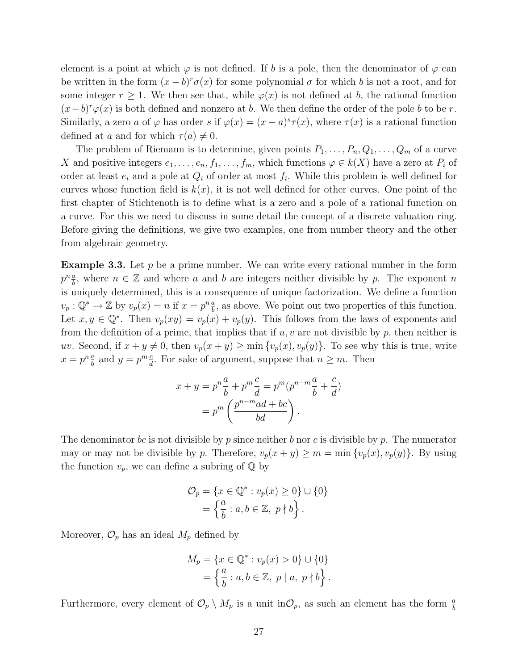element is a point at which  $\varphi$  is not defined. If b is a pole, then the denominator of  $\varphi$  can be written in the form  $(x - b)^r \sigma(x)$  for some polynomial  $\sigma$  for which b is not a root, and for some integer  $r \geq 1$ . We then see that, while  $\varphi(x)$  is not defined at b, the rational function  $(x - b)^r \varphi(x)$  is both defined and nonzero at b. We then define the order of the pole b to be r. Similarly, a zero a of  $\varphi$  has order s if  $\varphi(x) = (x - a)^s \tau(x)$ , where  $\tau(x)$  is a rational function defined at a and for which  $\tau(a) \neq 0$ .

The problem of Riemann is to determine, given points  $P_1, \ldots, P_n, Q_1, \ldots, Q_m$  of a curve X and positive integers  $e_1, \ldots, e_n, f_1, \ldots, f_m$ , which functions  $\varphi \in k(X)$  have a zero at  $P_i$  of order at least  $e_i$  and a pole at  $Q_i$  of order at most  $f_i$ . While this problem is well defined for curves whose function field is  $k(x)$ , it is not well defined for other curves. One point of the first chapter of Stichtenoth is to define what is a zero and a pole of a rational function on a curve. For this we need to discuss in some detail the concept of a discrete valuation ring. Before giving the definitions, we give two examples, one from number theory and the other from algebraic geometry.

**Example 3.3.** Let  $p$  be a prime number. We can write every rational number in the form  $p^n \frac{a}{b}$  $\frac{a}{b}$ , where  $n \in \mathbb{Z}$  and where a and b are integers neither divisible by p. The exponent n is uniquely determined, this is a consequence of unique factorization. We define a function  $v_p: \mathbb{Q}^* \to \mathbb{Z}$  by  $v_p(x) = n$  if  $x = p^n \frac{a}{b}$  $\frac{a}{b}$ , as above. We point out two properties of this function. Let  $x, y \in \mathbb{Q}^*$ . Then  $v_p(xy) = v_p(x) + v_p(y)$ . This follows from the laws of exponents and from the definition of a prime, that implies that if  $u, v$  are not divisible by  $p$ , then neither is uv. Second, if  $x + y \neq 0$ , then  $v_p(x + y) \geq \min\{v_p(x), v_p(y)\}\)$ . To see why this is true, write  $x=p^n\frac{a}{b}$  $\frac{a}{b}$  and  $y = p^m \frac{c}{d}$  $\frac{c}{d}$ . For sake of argument, suppose that  $n \geq m$ . Then

$$
x + y = p^n \frac{a}{b} + p^m \frac{c}{d} = p^m (p^{n-m} \frac{a}{b} + \frac{c}{d})
$$

$$
= p^m \left(\frac{p^{n-m}ad + bc}{bd}\right).
$$

The denominator bc is not divisible by p since neither b nor c is divisible by p. The numerator may or may not be divisible by p. Therefore,  $v_p(x + y) \ge m = \min\{v_p(x), v_p(y)\}\.$  By using the function  $v_p$ , we can define a subring of  $\mathbb Q$  by

$$
\mathcal{O}_p = \{x \in \mathbb{Q}^* : v_p(x) \ge 0\} \cup \{0\}
$$

$$
= \left\{\frac{a}{b} : a, b \in \mathbb{Z}, p \nmid b\right\}.
$$

Moreover,  $\mathcal{O}_p$  has an ideal  $M_p$  defined by

$$
M_p = \{x \in \mathbb{Q}^* : v_p(x) > 0\} \cup \{0\}
$$
  
=  $\left\{\frac{a}{b} : a, b \in \mathbb{Z}, p \mid a, p \nmid b\right\}.$ 

Furthermore, every element of  $\mathcal{O}_p \setminus M_p$  is a unit in  $\mathcal{O}_p$ , as such an element has the form  $\frac{a}{b}$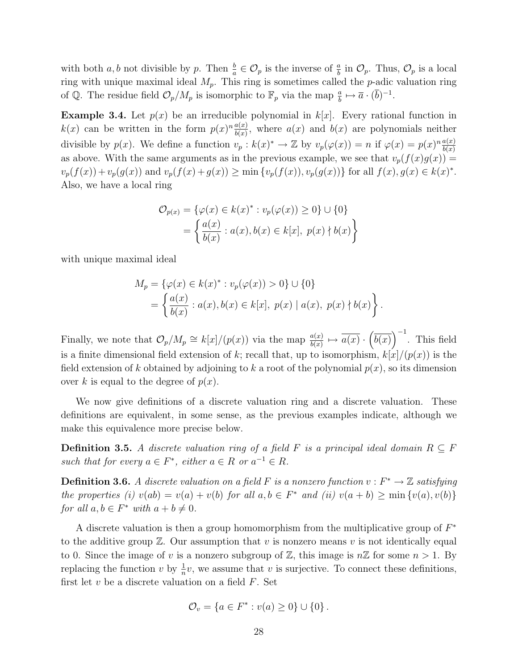with both  $a, b$  not divisible by p. Then  $\frac{b}{a} \in \mathcal{O}_p$  is the inverse of  $\frac{a}{b}$  in  $\mathcal{O}_p$ . Thus,  $\mathcal{O}_p$  is a local ring with unique maximal ideal  $M_p$ . This ring is sometimes called the p-adic valuation ring of Q. The residue field  $\mathcal{O}_p/M_p$  is isomorphic to  $\mathbb{F}_p$  via the map  $\frac{a}{b} \mapsto \overline{a} \cdot (\overline{b})^{-1}$ .

**Example 3.4.** Let  $p(x)$  be an irreducible polynomial in  $k[x]$ . Every rational function in  $k(x)$  can be written in the form  $p(x)^n \frac{a(x)}{b(x)}$  $\frac{a(x)}{b(x)}$ , where  $a(x)$  and  $b(x)$  are polynomials neither divisible by  $p(x)$ . We define a function  $v_p : k(x)^* \to \mathbb{Z}$  by  $v_p(\varphi(x)) = n$  if  $\varphi(x) = p(x)^n \frac{a(x)}{b(x)}$  $b(x)$ as above. With the same arguments as in the previous example, we see that  $v_p(f(x)g(x)) =$  $v_p(f(x)) + v_p(g(x))$  and  $v_p(f(x) + g(x)) \ge \min\{v_p(f(x)), v_p(g(x))\}$  for all  $f(x), g(x) \in k(x)^*$ . Also, we have a local ring

$$
\mathcal{O}_{p(x)} = \{ \varphi(x) \in k(x)^* : v_p(\varphi(x)) \ge 0 \} \cup \{ 0 \}
$$
  
= 
$$
\left\{ \frac{a(x)}{b(x)} : a(x), b(x) \in k[x], p(x) \nmid b(x) \right\}
$$

with unique maximal ideal

$$
M_p = \{\varphi(x) \in k(x)^* : v_p(\varphi(x)) > 0\} \cup \{0\}
$$
  
=  $\left\{\frac{a(x)}{b(x)} : a(x), b(x) \in k[x], p(x) | a(x), p(x) \nmid b(x)\right\}.$ 

Finally, we note that  $\mathcal{O}_p/M_p \cong k[x]/(p(x))$  via the map  $\frac{a(x)}{b(x)} \mapsto \overline{a(x)} \cdot (\overline{b(x)})^{-1}$ . This field is a finite dimensional field extension of k; recall that, up to isomorphism,  $k[x]/(p(x))$  is the field extension of k obtained by adjoining to k a root of the polynomial  $p(x)$ , so its dimension over k is equal to the degree of  $p(x)$ .

We now give definitions of a discrete valuation ring and a discrete valuation. These definitions are equivalent, in some sense, as the previous examples indicate, although we make this equivalence more precise below.

**Definition 3.5.** A discrete valuation ring of a field F is a principal ideal domain  $R \subseteq F$ such that for every  $a \in F^*$ , either  $a \in R$  or  $a^{-1} \in R$ .

**Definition 3.6.** A discrete valuation on a field F is a nonzero function  $v : F^* \to \mathbb{Z}$  satisfying the properties (i)  $v(ab) = v(a) + v(b)$  for all  $a, b \in F^*$  and (ii)  $v(a + b) \ge \min\{v(a), v(b)\}$ for all  $a, b \in F^*$  with  $a + b \neq 0$ .

A discrete valuation is then a group homomorphism from the multiplicative group of  $F^*$ to the additive group  $\mathbb{Z}$ . Our assumption that v is nonzero means v is not identically equal to 0. Since the image of v is a nonzero subgroup of  $\mathbb{Z}$ , this image is  $n\mathbb{Z}$  for some  $n > 1$ . By replacing the function v by  $\frac{1}{n}v$ , we assume that v is surjective. To connect these definitions, first let  $v$  be a discrete valuation on a field  $F$ . Set

$$
\mathcal{O}_v = \{ a \in F^* : v(a) \ge 0 \} \cup \{ 0 \} .
$$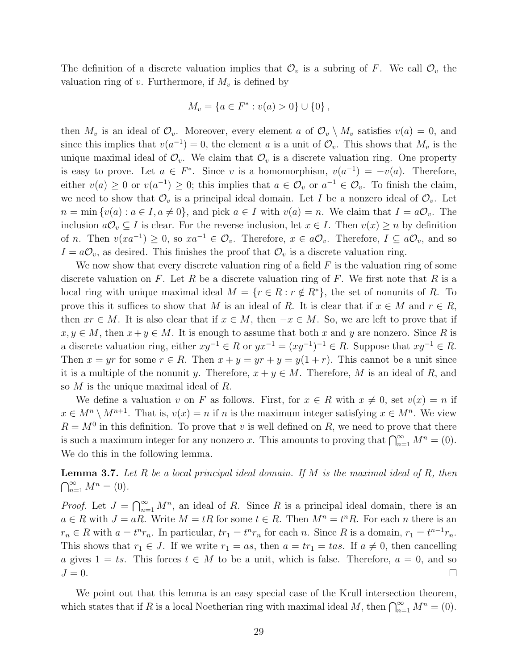The definition of a discrete valuation implies that  $\mathcal{O}_v$  is a subring of F. We call  $\mathcal{O}_v$  the valuation ring of v. Furthermore, if  $M_v$  is defined by

$$
M_v = \{ a \in F^* : v(a) > 0 \} \cup \{ 0 \},
$$

then  $M_v$  is an ideal of  $\mathcal{O}_v$ . Moreover, every element a of  $\mathcal{O}_v \setminus M_v$  satisfies  $v(a) = 0$ , and since this implies that  $v(a^{-1}) = 0$ , the element a is a unit of  $\mathcal{O}_v$ . This shows that  $M_v$  is the unique maximal ideal of  $\mathcal{O}_v$ . We claim that  $\mathcal{O}_v$  is a discrete valuation ring. One property is easy to prove. Let  $a \in F^*$ . Since v is a homomorphism,  $v(a^{-1}) = -v(a)$ . Therefore, either  $v(a) \geq 0$  or  $v(a^{-1}) \geq 0$ ; this implies that  $a \in \mathcal{O}_v$  or  $a^{-1} \in \mathcal{O}_v$ . To finish the claim, we need to show that  $\mathcal{O}_v$  is a principal ideal domain. Let I be a nonzero ideal of  $\mathcal{O}_v$ . Let  $n = \min \{v(a) : a \in I, a \neq 0\}$ , and pick  $a \in I$  with  $v(a) = n$ . We claim that  $I = a\mathcal{O}_v$ . The inclusion  $a\mathcal{O}_v \subseteq I$  is clear. For the reverse inclusion, let  $x \in I$ . Then  $v(x) \geq n$  by definition of *n*. Then  $v(xa^{-1}) \geq 0$ , so  $xa^{-1} \in \mathcal{O}_v$ . Therefore,  $x \in a\mathcal{O}_v$ . Therefore,  $I \subseteq a\mathcal{O}_v$ , and so  $I = a\mathcal{O}_v$ , as desired. This finishes the proof that  $\mathcal{O}_v$  is a discrete valuation ring.

We now show that every discrete valuation ring of a field  $F$  is the valuation ring of some discrete valuation on F. Let R be a discrete valuation ring of F. We first note that R is a local ring with unique maximal ideal  $M = \{r \in R : r \notin R^*\}$ , the set of nonunits of R. To prove this it suffices to show that M is an ideal of R. It is clear that if  $x \in M$  and  $r \in R$ , then  $xr \in M$ . It is also clear that if  $x \in M$ , then  $-x \in M$ . So, we are left to prove that if  $x, y \in M$ , then  $x + y \in M$ . It is enough to assume that both x and y are nonzero. Since R is a discrete valuation ring, either  $xy^{-1} \in R$  or  $yx^{-1} = (xy^{-1})^{-1} \in R$ . Suppose that  $xy^{-1} \in R$ . Then  $x = yr$  for some  $r \in R$ . Then  $x + y = yr + y = y(1 + r)$ . This cannot be a unit since it is a multiple of the nonunit y. Therefore,  $x + y \in M$ . Therefore, M is an ideal of R, and so M is the unique maximal ideal of R.

We define a valuation v on F as follows. First, for  $x \in R$  with  $x \neq 0$ , set  $v(x) = n$  if  $x \in M^n \setminus M^{n+1}$ . That is,  $v(x) = n$  if n is the maximum integer satisfying  $x \in M^n$ . We view  $R = M^0$  in this definition. To prove that v is well defined on R, we need to prove that there is such a maximum integer for any nonzero x. This amounts to proving that  $\bigcap_{n=1}^{\infty} M^n = (0)$ . We do this in the following lemma.

**Lemma 3.7.** Let R be a local principal ideal domain. If M is the maximal ideal of R, then  $\bigcap_{n=1}^{\infty} M^n = (0).$ 

*Proof.* Let  $J = \bigcap_{n=1}^{\infty} M^n$ , an ideal of R. Since R is a principal ideal domain, there is an  $a \in R$  with  $J = aR$ . Write  $M = tR$  for some  $t \in R$ . Then  $M^n = t^nR$ . For each n there is an  $r_n \in R$  with  $a = t^n r_n$ . In particular,  $tr_1 = t^n r_n$  for each n. Since R is a domain,  $r_1 = t^{n-1} r_n$ . This shows that  $r_1 \in J$ . If we write  $r_1 = as$ , then  $a = tr_1 = tas$ . If  $a \neq 0$ , then cancelling a gives  $1 = ts$ . This forces  $t \in M$  to be a unit, which is false. Therefore,  $a = 0$ , and so  $J=0.$  $\Box$ 

We point out that this lemma is an easy special case of the Krull intersection theorem, which states that if R is a local Noetherian ring with maximal ideal M, then  $\bigcap_{n=1}^{\infty} M^n = (0)$ .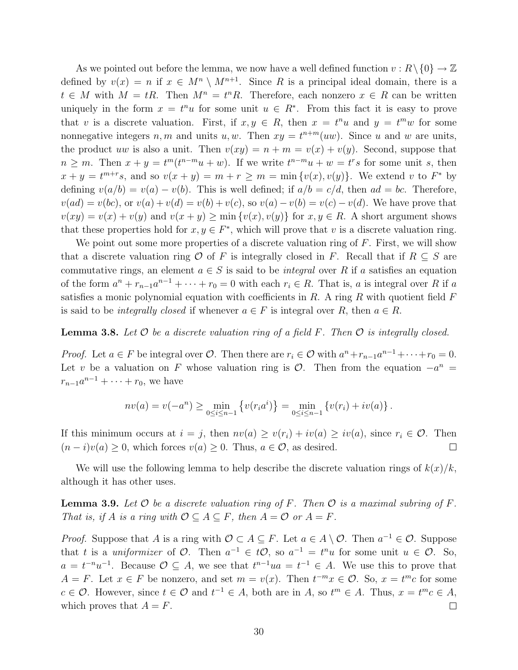As we pointed out before the lemma, we now have a well defined function  $v : R \setminus \{0\} \to \mathbb{Z}$ defined by  $v(x) = n$  if  $x \in M^n \setminus M^{n+1}$ . Since R is a principal ideal domain, there is a  $t \in M$  with  $M = tR$ . Then  $M^n = t^nR$ . Therefore, each nonzero  $x \in R$  can be written uniquely in the form  $x = t^n u$  for some unit  $u \in R^*$ . From this fact it is easy to prove that v is a discrete valuation. First, if  $x, y \in R$ , then  $x = t^n u$  and  $y = t^m w$  for some nonnegative integers  $n, m$  and units  $u, w$ . Then  $xy = t^{n+m}(uw)$ . Since u and w are units, the product uw is also a unit. Then  $v(xy) = n + m = v(x) + v(y)$ . Second, suppose that  $n \geq m$ . Then  $x + y = t^m(t^{n-m}u + w)$ . If we write  $t^{n-m}u + w = t^rs$  for some unit s, then  $x + y = t^{m+r}s$ , and so  $v(x + y) = m + r \ge m = \min\{v(x), v(y)\}\.$  We extend v to  $F^*$  by defining  $v(a/b) = v(a) - v(b)$ . This is well defined; if  $a/b = c/d$ , then  $ad = bc$ . Therefore,  $v(ad) = v(bc)$ , or  $v(a) + v(d) = v(b) + v(c)$ , so  $v(a) - v(b) = v(c) - v(d)$ . We have prove that  $v(xy) = v(x) + v(y)$  and  $v(x + y) \ge \min\{v(x), v(y)\}\$ for  $x, y \in R$ . A short argument shows that these properties hold for  $x, y \in F^*$ , which will prove that v is a discrete valuation ring.

We point out some more properties of a discrete valuation ring of  $F$ . First, we will show that a discrete valuation ring O of F is integrally closed in F. Recall that if  $R \subseteq S$  are commutative rings, an element  $a \in S$  is said to be *integral* over R if a satisfies an equation of the form  $a^n + r_{n-1}a^{n-1} + \cdots + r_0 = 0$  with each  $r_i \in R$ . That is, a is integral over R if a satisfies a monic polynomial equation with coefficients in  $R$ . A ring  $R$  with quotient field  $F$ is said to be *integrally closed* if whenever  $a \in F$  is integral over R, then  $a \in R$ .

#### **Lemma 3.8.** Let  $\mathcal O$  be a discrete valuation ring of a field F. Then  $\mathcal O$  is integrally closed.

*Proof.* Let  $a \in F$  be integral over  $\mathcal{O}$ . Then there are  $r_i \in \mathcal{O}$  with  $a^n + r_{n-1}a^{n-1} + \cdots + r_0 = 0$ . Let v be a valuation on F whose valuation ring is  $\mathcal{O}$ . Then from the equation  $-a^n =$  $r_{n-1}a^{n-1} + \cdots + r_0$ , we have

$$
nv(a) = v(-a^n) \ge \min_{0 \le i \le n-1} \left\{ v(r_i a^i) \right\} = \min_{0 \le i \le n-1} \left\{ v(r_i) + iv(a) \right\}.
$$

If this minimum occurs at  $i = j$ , then  $nv(a) \ge v(r_i) + iv(a) \ge iv(a)$ , since  $r_i \in \mathcal{O}$ . Then  $(n-i)v(a) \geq 0$ , which forces  $v(a) \geq 0$ . Thus,  $a \in \mathcal{O}$ , as desired.  $\Box$ 

We will use the following lemma to help describe the discrete valuation rings of  $k(x)/k$ , although it has other uses.

**Lemma 3.9.** Let  $\mathcal O$  be a discrete valuation ring of F. Then  $\mathcal O$  is a maximal subring of F. That is, if A is a ring with  $\mathcal{O} \subseteq A \subseteq F$ , then  $A = \mathcal{O}$  or  $A = F$ .

*Proof.* Suppose that A is a ring with  $\mathcal{O} \subset A \subseteq F$ . Let  $a \in A \setminus \mathcal{O}$ . Then  $a^{-1} \in \mathcal{O}$ . Suppose that t is a *uniformizer* of  $\mathcal{O}$ . Then  $a^{-1} \in t\mathcal{O}$ , so  $a^{-1} = t^n u$  for some unit  $u \in \mathcal{O}$ . So,  $a = t^{-n}u^{-1}$ . Because  $\mathcal{O} \subseteq A$ , we see that  $t^{n-1}ua = t^{-1} \in A$ . We use this to prove that  $A = F$ . Let  $x \in F$  be nonzero, and set  $m = v(x)$ . Then  $t^{-m}x \in \mathcal{O}$ . So,  $x = t^m c$  for some  $c \in \mathcal{O}$ . However, since  $t \in \mathcal{O}$  and  $t^{-1} \in A$ , both are in  $A$ , so  $t^m \in A$ . Thus,  $x = t^m c \in A$ , which proves that  $A = F$ .  $\Box$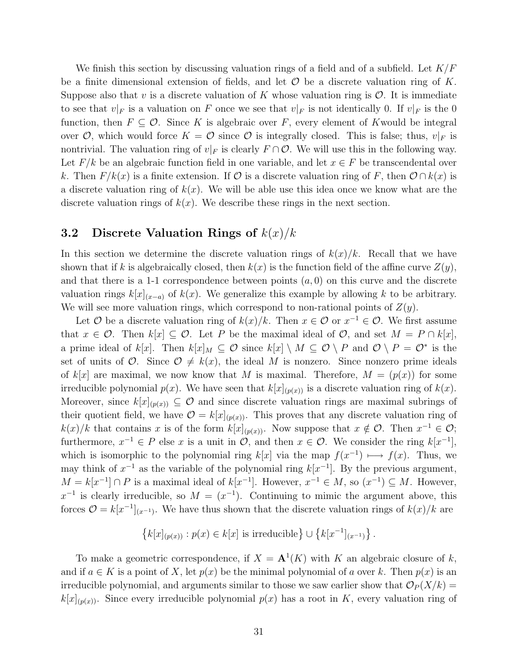We finish this section by discussing valuation rings of a field and of a subfield. Let  $K/F$ be a finite dimensional extension of fields, and let  $\mathcal O$  be a discrete valuation ring of K. Suppose also that v is a discrete valuation of K whose valuation ring is  $\mathcal{O}$ . It is immediate to see that  $v|_F$  is a valuation on F once we see that  $v|_F$  is not identically 0. If  $v|_F$  is the 0 function, then  $F \subseteq \mathcal{O}$ . Since K is algebraic over F, every element of Kwould be integral over O, which would force  $K = \mathcal{O}$  since O is integrally closed. This is false; thus,  $v|_F$  is nontrivial. The valuation ring of  $v|_F$  is clearly  $F \cap \mathcal{O}$ . We will use this in the following way. Let  $F/k$  be an algebraic function field in one variable, and let  $x \in F$  be transcendental over k. Then  $F/k(x)$  is a finite extension. If  $\mathcal O$  is a discrete valuation ring of F, then  $\mathcal O \cap k(x)$  is a discrete valuation ring of  $k(x)$ . We will be able use this idea once we know what are the discrete valuation rings of  $k(x)$ . We describe these rings in the next section.

#### 3.2 Discrete Valuation Rings of  $k(x)/k$

In this section we determine the discrete valuation rings of  $k(x)/k$ . Recall that we have shown that if k is algebraically closed, then  $k(x)$  is the function field of the affine curve  $Z(y)$ , and that there is a 1-1 correspondence between points  $(a, 0)$  on this curve and the discrete valuation rings  $k[x]_{(x-a)}$  of  $k(x)$ . We generalize this example by allowing k to be arbitrary. We will see more valuation rings, which correspond to non-rational points of  $Z(y)$ .

Let  $O$  be a discrete valuation ring of  $k(x)/k$ . Then  $x \in O$  or  $x^{-1} \in O$ . We first assume that  $x \in \mathcal{O}$ . Then  $k[x] \subseteq \mathcal{O}$ . Let P be the maximal ideal of  $\mathcal{O}$ , and set  $M = P \cap k[x]$ , a prime ideal of  $k[x]$ . Then  $k[x]_M \subseteq \mathcal{O}$  since  $k[x] \setminus M \subseteq \mathcal{O} \setminus P$  and  $\mathcal{O} \setminus P = \mathcal{O}^*$  is the set of units of  $\mathcal{O}$ . Since  $\mathcal{O} \neq k(x)$ , the ideal M is nonzero. Since nonzero prime ideals of k[x] are maximal, we now know that M is maximal. Therefore,  $M = (p(x))$  for some irreducible polynomial  $p(x)$ . We have seen that  $k[x]_{(p(x))}$  is a discrete valuation ring of  $k(x)$ . Moreover, since  $k[x]_{(p(x))} \subseteq \mathcal{O}$  and since discrete valuation rings are maximal subrings of their quotient field, we have  $\mathcal{O} = k[x]_{(p(x))}$ . This proves that any discrete valuation ring of  $k(x)/k$  that contains x is of the form  $k[x]_{(p(x))}$ . Now suppose that  $x \notin \mathcal{O}$ . Then  $x^{-1} \in \mathcal{O}$ ; furthermore,  $x^{-1} \in P$  else x is a unit in  $\mathcal{O}$ , and then  $x \in \mathcal{O}$ . We consider the ring  $k[x^{-1}]$ , which is isomorphic to the polynomial ring  $k[x]$  via the map  $f(x^{-1}) \longmapsto f(x)$ . Thus, we may think of  $x^{-1}$  as the variable of the polynomial ring  $k[x^{-1}]$ . By the previous argument,  $M = k[x^{-1}] \cap P$  is a maximal ideal of  $k[x^{-1}]$ . However,  $x^{-1} \in M$ , so  $(x^{-1}) \subseteq M$ . However,  $x^{-1}$  is clearly irreducible, so  $M = (x^{-1})$ . Continuing to mimic the argument above, this forces  $\mathcal{O} = k[x^{-1}]_{(x^{-1})}$ . We have thus shown that the discrete valuation rings of  $k(x)/k$  are

$$
\{k[x]_{(p(x))}: p(x) \in k[x] \text{ is irreducible}\} \cup \{k[x^{-1}]_{(x^{-1})}\}.
$$

To make a geometric correspondence, if  $X = \mathbf{A}^1(K)$  with K an algebraic closure of k, and if  $a \in K$  is a point of X, let  $p(x)$  be the minimal polynomial of a over k. Then  $p(x)$  is an irreducible polynomial, and arguments similar to those we saw earlier show that  $\mathcal{O}_P(X/k)$  =  $k[x]_{(p(x))}$ . Since every irreducible polynomial  $p(x)$  has a root in K, every valuation ring of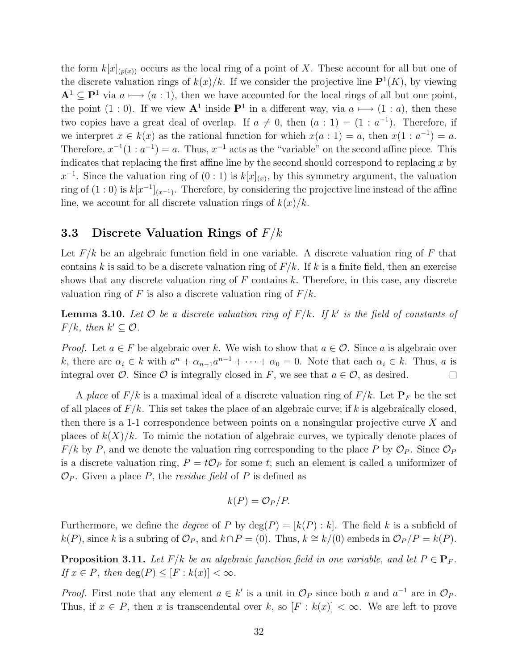the form  $k[x]_{(p(x))}$  occurs as the local ring of a point of X. These account for all but one of the discrete valuation rings of  $k(x)/k$ . If we consider the projective line  $\mathbf{P}^1(K)$ , by viewing  $A^1 \subset P^1$  via  $a \mapsto (a : 1)$ , then we have accounted for the local rings of all but one point, the point  $(1:0)$ . If we view  $\mathbf{A}^1$  inside  $\mathbf{P}^1$  in a different way, via  $a \longmapsto (1:a)$ , then these two copies have a great deal of overlap. If  $a \neq 0$ , then  $(a : 1) = (1 : a^{-1})$ . Therefore, if we interpret  $x \in k(x)$  as the rational function for which  $x(a:1) = a$ , then  $x(1: a^{-1}) = a$ . Therefore,  $x^{-1}(1 : a^{-1}) = a$ . Thus,  $x^{-1}$  acts as the "variable" on the second affine piece. This indicates that replacing the first affine line by the second should correspond to replacing  $x$  by  $x^{-1}$ . Since the valuation ring of  $(0:1)$  is  $k[x]_{(x)}$ , by this symmetry argument, the valuation ring of  $(1:0)$  is  $k[x^{-1}]_{(x^{-1})}$ . Therefore, by considering the projective line instead of the affine line, we account for all discrete valuation rings of  $k(x)/k$ .

#### 3.3 Discrete Valuation Rings of  $F/k$

Let  $F/k$  be an algebraic function field in one variable. A discrete valuation ring of F that contains k is said to be a discrete valuation ring of  $F/k$ . If k is a finite field, then an exercise shows that any discrete valuation ring of  $F$  contains  $k$ . Therefore, in this case, any discrete valuation ring of F is also a discrete valuation ring of  $F/k$ .

**Lemma 3.10.** Let  $\mathcal O$  be a discrete valuation ring of  $F/k$ . If  $k'$  is the field of constants of  $F/k$ , then  $k' \subseteq \mathcal{O}$ .

*Proof.* Let  $a \in F$  be algebraic over k. We wish to show that  $a \in \mathcal{O}$ . Since a is algebraic over k, there are  $\alpha_i \in k$  with  $a^n + \alpha_{n-1}a^{n-1} + \cdots + \alpha_0 = 0$ . Note that each  $\alpha_i \in k$ . Thus, a is integral over  $\mathcal O$ . Since  $\mathcal O$  is integrally closed in F, we see that  $a \in \mathcal O$ , as desired.  $\Box$ 

A place of  $F/k$  is a maximal ideal of a discrete valuation ring of  $F/k$ . Let  $\mathbf{P}_F$  be the set of all places of  $F/k$ . This set takes the place of an algebraic curve; if k is algebraically closed, then there is a 1-1 correspondence between points on a nonsingular projective curve  $X$  and places of  $k(X)/k$ . To mimic the notation of algebraic curves, we typically denote places of  $F/k$  by P, and we denote the valuation ring corresponding to the place P by  $\mathcal{O}_P$ . Since  $\mathcal{O}_P$ is a discrete valuation ring,  $P = t\mathcal{O}_P$  for some t; such an element is called a uniformizer of  $\mathcal{O}_P$ . Given a place P, the *residue field* of P is defined as

$$
k(P) = \mathcal{O}_P/P.
$$

Furthermore, we define the *degree* of P by  $deg(P) = [k(P) : k]$ . The field k is a subfield of k(P), since k is a subring of  $\mathcal{O}_P$ , and  $k \cap P = (0)$ . Thus,  $k \cong k/(0)$  embeds in  $\mathcal{O}_P/P = k(P)$ .

**Proposition 3.11.** Let F/k be an algebraic function field in one variable, and let  $P \in \mathbf{P}_F$ . If  $x \in P$ , then  $\deg(P) \leq [F : k(x)] < \infty$ .

*Proof.* First note that any element  $a \in k'$  is a unit in  $\mathcal{O}_P$  since both a and  $a^{-1}$  are in  $\mathcal{O}_P$ . Thus, if  $x \in P$ , then x is transcendental over k, so  $[F : k(x)] < \infty$ . We are left to prove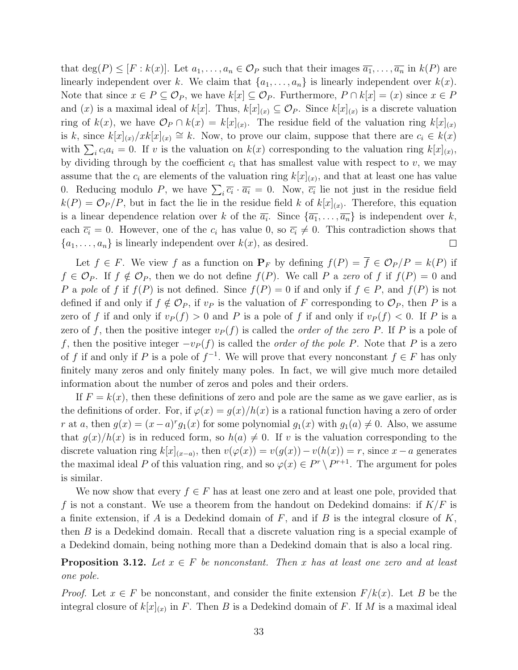that  $\deg(P) \leq [F : k(x)]$ . Let  $a_1, \ldots, a_n \in \mathcal{O}_P$  such that their images  $\overline{a_1}, \ldots, \overline{a_n}$  in  $k(P)$  are linearly independent over k. We claim that  $\{a_1, \ldots, a_n\}$  is linearly independent over  $k(x)$ . Note that since  $x \in P \subseteq \mathcal{O}_P$ , we have  $k[x] \subseteq \mathcal{O}_P$ . Furthermore,  $P \cap k[x] = (x)$  since  $x \in P$ and (x) is a maximal ideal of  $k[x]$ . Thus,  $k[x]_{(x)} \subseteq \mathcal{O}_P$ . Since  $k[x]_{(x)}$  is a discrete valuation ring of  $k(x)$ , we have  $\mathcal{O}_P \cap k(x) = k[x]_{(x)}$ . The residue field of the valuation ring  $k[x]_{(x)}$ is k, since  $k[x]_{(x)}/xk[x]_{(x)} \cong k$ . Now, to prove our claim, suppose that there are  $c_i \in k(x)$ with  $\sum_i c_i a_i = 0$ . If v is the valuation on  $k(x)$  corresponding to the valuation ring  $k[x]_{(x)}$ , by dividing through by the coefficient  $c_i$  that has smallest value with respect to  $v$ , we may assume that the  $c_i$  are elements of the valuation ring  $k[x]_{(x)}$ , and that at least one has value 0. Reducing modulo P, we have  $\sum_i \overline{c_i} \cdot \overline{a_i} = 0$ . Now,  $\overline{c_i}$  lie not just in the residue field  $k(P) = \mathcal{O}_P/P$ , but in fact the lie in the residue field k of  $k[x]_{(x)}$ . Therefore, this equation is a linear dependence relation over k of the  $\overline{a_i}$ . Since  $\{\overline{a_1}, \ldots, \overline{a_n}\}$  is independent over k, each  $\overline{c_i} = 0$ . However, one of the  $c_i$  has value 0, so  $\overline{c_i} \neq 0$ . This contradiction shows that  ${a_1, \ldots, a_n}$  is linearly independent over  $k(x)$ , as desired.  $\Box$ 

Let  $f \in F$ . We view f as a function on  $P_F$  by defining  $f(P) = \overline{f} \in \mathcal{O}_P/P = k(P)$  if  $f \in \mathcal{O}_P$ . If  $f \notin \mathcal{O}_P$ , then we do not define  $f(P)$ . We call P a zero of f if  $f(P) = 0$  and P a pole of f if  $f(P)$  is not defined. Since  $f(P) = 0$  if and only if  $f \in P$ , and  $f(P)$  is not defined if and only if  $f \notin \mathcal{O}_P$ , if  $v_P$  is the valuation of F corresponding to  $\mathcal{O}_P$ , then P is a zero of f if and only if  $v_P(f) > 0$  and P is a pole of f if and only if  $v_P(f) < 0$ . If P is a zero of f, then the positive integer  $v_P(f)$  is called the *order of the zero P*. If P is a pole of f, then the positive integer  $-v_P(f)$  is called the *order of the pole P*. Note that P is a zero of f if and only if P is a pole of  $f^{-1}$ . We will prove that every nonconstant  $f \in F$  has only finitely many zeros and only finitely many poles. In fact, we will give much more detailed information about the number of zeros and poles and their orders.

If  $F = k(x)$ , then these definitions of zero and pole are the same as we gave earlier, as is the definitions of order. For, if  $\varphi(x) = g(x)/h(x)$  is a rational function having a zero of order r at a, then  $g(x) = (x - a)^{r} g_1(x)$  for some polynomial  $g_1(x)$  with  $g_1(a) \neq 0$ . Also, we assume that  $g(x)/h(x)$  is in reduced form, so  $h(a) \neq 0$ . If v is the valuation corresponding to the discrete valuation ring  $k[x]_{(x-a)}$ , then  $v(\varphi(x)) = v(g(x)) - v(h(x)) = r$ , since  $x-a$  generates the maximal ideal P of this valuation ring, and so  $\varphi(x) \in P^r \setminus P^{r+1}$ . The argument for poles is similar.

We now show that every  $f \in F$  has at least one zero and at least one pole, provided that f is not a constant. We use a theorem from the handout on Dedekind domains: if  $K/F$  is a finite extension, if A is a Dedekind domain of  $F$ , and if B is the integral closure of  $K$ , then B is a Dedekind domain. Recall that a discrete valuation ring is a special example of a Dedekind domain, being nothing more than a Dedekind domain that is also a local ring.

**Proposition 3.12.** Let  $x \in F$  be nonconstant. Then x has at least one zero and at least one pole.

*Proof.* Let  $x \in F$  be nonconstant, and consider the finite extension  $F/k(x)$ . Let B be the integral closure of  $k[x]_{(x)}$  in F. Then B is a Dedekind domain of F. If M is a maximal ideal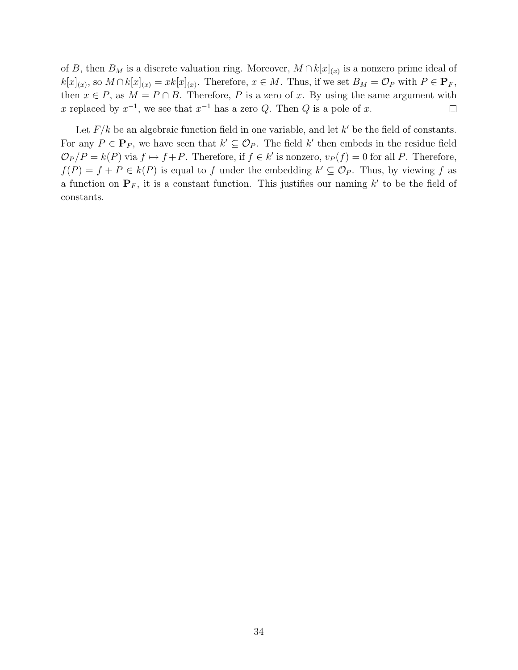of B, then  $B_M$  is a discrete valuation ring. Moreover,  $M \cap k[x]_{(x)}$  is a nonzero prime ideal of  $k[x]_{(x)}$ , so  $M \cap k[x]_{(x)} = xk[x]_{(x)}$ . Therefore,  $x \in M$ . Thus, if we set  $B_M = \mathcal{O}_P$  with  $P \in \mathbf{P}_F$ , then  $x \in P$ , as  $M = P \cap B$ . Therefore, P is a zero of x. By using the same argument with x replaced by  $x^{-1}$ , we see that  $x^{-1}$  has a zero Q. Then Q is a pole of x.  $\Box$ 

Let  $F/k$  be an algebraic function field in one variable, and let  $k'$  be the field of constants. For any  $P \in \mathbf{P}_F$ , we have seen that  $k' \subseteq \mathcal{O}_P$ . The field  $k'$  then embeds in the residue field  $\mathcal{O}_P/P = k(P)$  via  $f \mapsto f+P$ . Therefore, if  $f \in k'$  is nonzero,  $v_P(f) = 0$  for all P. Therefore,  $f(P) = f + P \in k(P)$  is equal to f under the embedding  $k' \subseteq \mathcal{O}_P$ . Thus, by viewing f as a function on  $\mathbf{P}_F$ , it is a constant function. This justifies our naming k' to be the field of constants.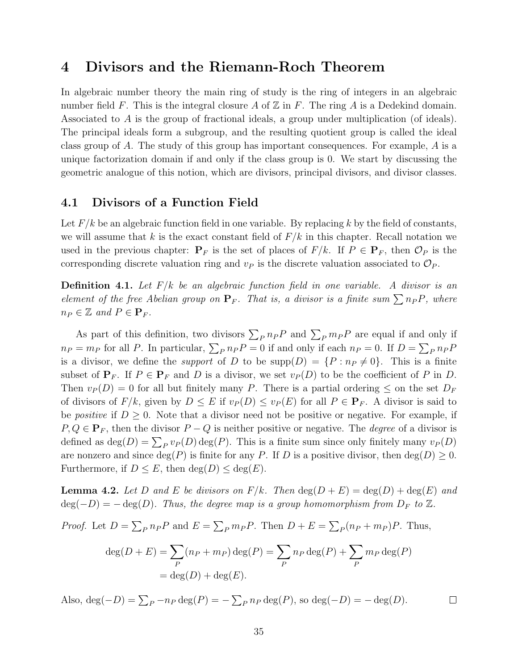### 4 Divisors and the Riemann-Roch Theorem

In algebraic number theory the main ring of study is the ring of integers in an algebraic number field F. This is the integral closure A of  $\mathbb Z$  in F. The ring A is a Dedekind domain. Associated to A is the group of fractional ideals, a group under multiplication (of ideals). The principal ideals form a subgroup, and the resulting quotient group is called the ideal class group of A. The study of this group has important consequences. For example,  $A$  is a unique factorization domain if and only if the class group is 0. We start by discussing the geometric analogue of this notion, which are divisors, principal divisors, and divisor classes.

#### 4.1 Divisors of a Function Field

Let  $F/k$  be an algebraic function field in one variable. By replacing k by the field of constants, we will assume that k is the exact constant field of  $F/k$  in this chapter. Recall notation we used in the previous chapter:  $P_F$  is the set of places of  $F/k$ . If  $P \in \mathbf{P}_F$ , then  $\mathcal{O}_P$  is the corresponding discrete valuation ring and  $v_P$  is the discrete valuation associated to  $\mathcal{O}_P$ .

**Definition 4.1.** Let  $F/k$  be an algebraic function field in one variable. A divisor is an element of the free Abelian group on  $P_F$ . That is, a divisor is a finite sum  $\sum n_P P$ , where  $n_P \in \mathbb{Z}$  and  $P \in \mathbf{P}_F$ .

As part of this definition, two divisors  $\sum_{P} n_{P} P$  and  $\sum_{P} m_{P} P$  are equal if and only if  $n_P = m_P$  for all P. In particular,  $\sum_P n_P P = 0$  if and only if each  $n_P = 0$ . If  $D = \sum_P n_P P$ is a divisor, we define the *support* of D to be  $\text{supp}(D) = \{P : n_P \neq 0\}$ . This is a finite subset of  $P_F$ . If  $P \in P_F$  and D is a divisor, we set  $v_P(D)$  to be the coefficient of P in D. Then  $v_P(D) = 0$  for all but finitely many P. There is a partial ordering  $\leq$  on the set  $D_F$ of divisors of  $F/k$ , given by  $D \leq E$  if  $v_P(D) \leq v_P(E)$  for all  $P \in \mathbf{P}_F$ . A divisor is said to be *positive* if  $D \geq 0$ . Note that a divisor need not be positive or negative. For example, if  $P, Q \in \mathbf{P}_F$ , then the divisor  $P - Q$  is neither positive or negative. The *degree* of a divisor is defined as  $\deg(D) = \sum_P v_P(D) \deg(P)$ . This is a finite sum since only finitely many  $v_P(D)$ are nonzero and since  $deg(P)$  is finite for any P. If D is a positive divisor, then  $deg(D) \geq 0$ . Furthermore, if  $D \leq E$ , then  $deg(D) \leq deg(E)$ .

**Lemma 4.2.** Let D and E be divisors on  $F/k$ . Then  $\deg(D+E) = \deg(D) + \deg(E)$  and  $deg(-D) = - deg(D)$ . Thus, the degree map is a group homomorphism from  $D_F$  to  $\mathbb{Z}$ .

*Proof.* Let  $D = \sum_{P} n_{P} P$  and  $E = \sum_{P} m_{P} P$ . Then  $D + E = \sum_{P} (n_{P} + m_{P}) P$ . Thus,

$$
\deg(D + E) = \sum_{P} (n_P + m_P) \deg(P) = \sum_{P} n_P \deg(P) + \sum_{P} m_P \deg(P)
$$
  
= 
$$
\deg(D) + \deg(E).
$$

Also,  $deg(-D) = \sum_P -n_P deg(P) = -\sum_P n_P deg(P)$ , so  $deg(-D) = -deg(D)$ .  $\Box$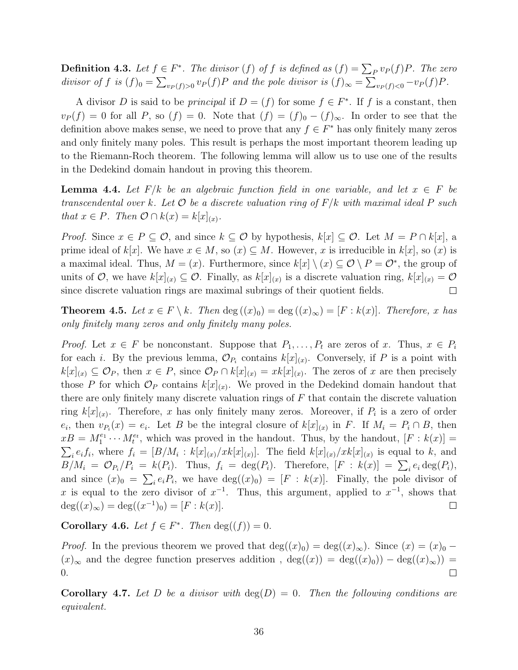**Definition 4.3.** Let  $f \in F^*$ . The divisor  $(f)$  of f is defined as  $(f) = \sum_P v_P(f)P$ . The zero divisor of f is  $(f)_0 = \sum_{v_P(f)>0} v_P(f)P$  and the pole divisor is  $(f)_{\infty} = \sum_{v_P(f)<0} -v_P(f)P$ .

A divisor D is said to be *principal* if  $D = (f)$  for some  $f \in F^*$ . If f is a constant, then  $v_P(f) = 0$  for all P, so  $(f) = 0$ . Note that  $(f) = (f)_0 - (f)_{\infty}$ . In order to see that the definition above makes sense, we need to prove that any  $f \in F^*$  has only finitely many zeros and only finitely many poles. This result is perhaps the most important theorem leading up to the Riemann-Roch theorem. The following lemma will allow us to use one of the results in the Dedekind domain handout in proving this theorem.

**Lemma 4.4.** Let  $F/k$  be an algebraic function field in one variable, and let  $x \in F$  be transcendental over k. Let  $\mathcal O$  be a discrete valuation ring of  $F/k$  with maximal ideal P such that  $x \in P$ . Then  $\mathcal{O} \cap k(x) = k[x]_{(x)}$ .

*Proof.* Since  $x \in P \subseteq \mathcal{O}$ , and since  $k \subseteq \mathcal{O}$  by hypothesis,  $k[x] \subseteq \mathcal{O}$ . Let  $M = P \cap k[x]$ , a prime ideal of k[x]. We have  $x \in M$ , so  $(x) \subseteq M$ . However, x is irreducible in k[x], so  $(x)$  is a maximal ideal. Thus,  $M = (x)$ . Furthermore, since  $k[x] \setminus (x) \subseteq \mathcal{O} \setminus P = \mathcal{O}^*$ , the group of units of  $\mathcal{O}$ , we have  $k[x]_{(x)} \subseteq \mathcal{O}$ . Finally, as  $k[x]_{(x)}$  is a discrete valuation ring,  $k[x]_{(x)} = \mathcal{O}$ since discrete valuation rings are maximal subrings of their quotient fields.  $\Box$ 

**Theorem 4.5.** Let  $x \in F \setminus k$ . Then  $\deg((x)_0) = \deg((x)_\infty) = [F : k(x)]$ . Therefore, x has only finitely many zeros and only finitely many poles.

*Proof.* Let  $x \in F$  be nonconstant. Suppose that  $P_1, \ldots, P_t$  are zeros of x. Thus,  $x \in P_i$ for each *i*. By the previous lemma,  $\mathcal{O}_{P_i}$  contains  $k[x]_{(x)}$ . Conversely, if P is a point with  $k[x]_{(x)} \subseteq \mathcal{O}_P$ , then  $x \in P$ , since  $\mathcal{O}_P \cap k[x]_{(x)} = xk[x]_{(x)}$ . The zeros of x are then precisely those P for which  $\mathcal{O}_P$  contains  $k[x]_{(x)}$ . We proved in the Dedekind domain handout that there are only finitely many discrete valuation rings of  $F$  that contain the discrete valuation ring  $k[x]_{(x)}$ . Therefore, x has only finitely many zeros. Moreover, if  $P_i$  is a zero of order  $e_i$ , then  $v_{P_i}(x) = e_i$ . Let B be the integral closure of  $k[x]_{(x)}$  in F. If  $M_i = P_i \cap B$ , then  $xB = M_1^{e_1} \cdots M_t^{e_t}$ , which was proved in the handout. Thus, by the handout,  $[F: k(x)] =$  $\sum_i e_i f_i$ , where  $f_i = [B/M_i : k[x]_{(x)}/xk[x]_{(x)}]$ . The field  $k[x]_{(x)}/xk[x]_{(x)}$  is equal to k, and  $B/M_i = \mathcal{O}_{P_i}/P_i = k(P_i)$ . Thus,  $f_i = \deg(P_i)$ . Therefore,  $[F : k(x)] = \sum_i e_i \deg(P_i)$ , and since  $(x)_0 = \sum_i e_i P_i$ , we have  $deg((x)_0) = [F : k(x)]$ . Finally, the pole divisor of x is equal to the zero divisor of  $x^{-1}$ . Thus, this argument, applied to  $x^{-1}$ , shows that  $deg((x)_{\infty}) = deg((x^{-1})_0) = [F : k(x)].$  $\Box$ 

**Corollary 4.6.** Let  $f \in F^*$ . Then  $deg((f)) = 0$ .

*Proof.* In the previous theorem we proved that  $deg((x)_0) = deg((x)_{\infty})$ . Since  $(x) = (x)_0$  –  $(x)_{\infty}$  and the degree function preserves addition,  $deg((x)) = deg((x)_0)) - deg((x)_{\infty})) =$ 0.  $\Box$ 

**Corollary 4.7.** Let D be a divisor with  $deg(D) = 0$ . Then the following conditions are equivalent.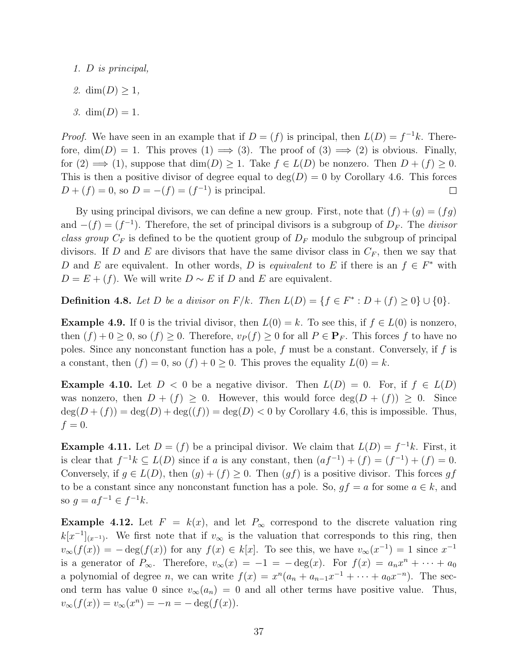- 1. D is principal,
- 2. dim $(D) \geq 1$ ,
- 3.  $\dim(D) = 1$ .

*Proof.* We have seen in an example that if  $D = (f)$  is principal, then  $L(D) = f^{-1}k$ . Therefore,  $\dim(D) = 1$ . This proves  $(1) \implies (3)$ . The proof of  $(3) \implies (2)$  is obvious. Finally, for  $(2) \implies (1)$ , suppose that  $\dim(D) \geq 1$ . Take  $f \in L(D)$  be nonzero. Then  $D + (f) \geq 0$ . This is then a positive divisor of degree equal to  $deg(D) = 0$  by Corollary 4.6. This forces  $D + (f) = 0$ , so  $D = -(f) = (f^{-1})$  is principal.  $\Box$ 

By using principal divisors, we can define a new group. First, note that  $(f) + (g) = (fg)$ and  $-(f) = (f^{-1})$ . Therefore, the set of principal divisors is a subgroup of  $D<sub>F</sub>$ . The *divisor* class group  $C_F$  is defined to be the quotient group of  $D_F$  modulo the subgroup of principal divisors. If D and E are divisors that have the same divisor class in  $C_F$ , then we say that D and E are equivalent. In other words, D is equivalent to E if there is an  $f \in F^*$  with  $D = E + (f)$ . We will write  $D \sim E$  if D and E are equivalent.

**Definition 4.8.** Let D be a divisor on  $F/k$ . Then  $L(D) = \{f \in F^* : D + (f) \ge 0\} \cup \{0\}$ .

**Example 4.9.** If 0 is the trivial divisor, then  $L(0) = k$ . To see this, if  $f \in L(0)$  is nonzero. then  $(f) + 0 \ge 0$ , so  $(f) \ge 0$ . Therefore,  $v_P(f) \ge 0$  for all  $P \in \mathbf{P}_F$ . This forces f to have no poles. Since any nonconstant function has a pole,  $f$  must be a constant. Conversely, if  $f$  is a constant, then  $(f) = 0$ , so  $(f) + 0 \ge 0$ . This proves the equality  $L(0) = k$ .

**Example 4.10.** Let  $D < 0$  be a negative divisor. Then  $L(D) = 0$ . For, if  $f \in L(D)$ was nonzero, then  $D + (f) \geq 0$ . However, this would force  $deg(D + (f)) \geq 0$ . Since  $\deg(D+(f)) = \deg(D) + \deg((f)) = \deg(D) < 0$  by Corollary 4.6, this is impossible. Thus,  $f=0.$ 

**Example 4.11.** Let  $D = (f)$  be a principal divisor. We claim that  $L(D) = f^{-1}k$ . First, it is clear that  $f^{-1}k \subseteq L(D)$  since if a is any constant, then  $(af^{-1}) + (f) = (f^{-1}) + (f) = 0$ . Conversely, if  $g \in L(D)$ , then  $(g) + (f) \geq 0$ . Then  $(gf)$  is a positive divisor. This forces gf to be a constant since any nonconstant function has a pole. So,  $gf = a$  for some  $a \in k$ , and so  $g = af^{-1} \in f^{-1}k$ .

**Example 4.12.** Let  $F = k(x)$ , and let  $P_{\infty}$  correspond to the discrete valuation ring  $k[x^{-1}]_{(x^{-1})}$ . We first note that if  $v_{\infty}$  is the valuation that corresponds to this ring, then  $v_{\infty}(f(x)) = -\deg(f(x))$  for any  $f(x) \in k[x]$ . To see this, we have  $v_{\infty}(x^{-1}) = 1$  since  $x^{-1}$ is a generator of  $P_{\infty}$ . Therefore,  $v_{\infty}(x) = -1 = -\deg(x)$ . For  $f(x) = a_n x^n + \cdots + a_0$ a polynomial of degree *n*, we can write  $f(x) = x^n(a_n + a_{n-1}x^{-1} + \cdots + a_0x^{-n})$ . The second term has value 0 since  $v_{\infty}(a_n) = 0$  and all other terms have positive value. Thus,  $v_{\infty}(f(x)) = v_{\infty}(x^n) = -n = -\deg(f(x)).$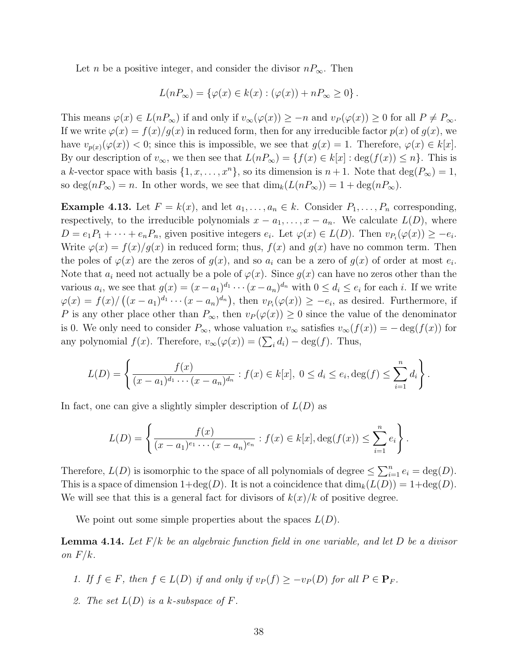Let *n* be a positive integer, and consider the divisor  $nP_{\infty}$ . Then

$$
L(nP_{\infty}) = \{ \varphi(x) \in k(x) : (\varphi(x)) + nP_{\infty} \ge 0 \}.
$$

This means  $\varphi(x) \in L(nP_{\infty})$  if and only if  $v_{\infty}(\varphi(x)) \geq -n$  and  $v_{P}(\varphi(x)) \geq 0$  for all  $P \neq P_{\infty}$ . If we write  $\varphi(x) = f(x)/g(x)$  in reduced form, then for any irreducible factor  $p(x)$  of  $g(x)$ , we have  $v_{p(x)}(\varphi(x)) < 0$ ; since this is impossible, we see that  $g(x) = 1$ . Therefore,  $\varphi(x) \in k[x]$ . By our description of  $v_{\infty}$ , we then see that  $L(nP_{\infty}) = \{f(x) \in k[x] : \deg(f(x)) \leq n\}$ . This is a k-vector space with basis  $\{1, x, \ldots, x^n\}$ , so its dimension is  $n + 1$ . Note that  $\deg(P_\infty) = 1$ , so deg(n $P_{\infty}$ ) = n. In other words, we see that  $\dim_k(L(nP_{\infty})) = 1 + \deg(nP_{\infty})$ .

**Example 4.13.** Let  $F = k(x)$ , and let  $a_1, \ldots, a_n \in k$ . Consider  $P_1, \ldots, P_n$  corresponding, respectively, to the irreducible polynomials  $x - a_1, \ldots, x - a_n$ . We calculate  $L(D)$ , where  $D = e_1 P_1 + \cdots + e_n P_n$ , given positive integers  $e_i$ . Let  $\varphi(x) \in L(D)$ . Then  $v_{P_i}(\varphi(x)) \geq -e_i$ . Write  $\varphi(x) = f(x)/g(x)$  in reduced form; thus,  $f(x)$  and  $g(x)$  have no common term. Then the poles of  $\varphi(x)$  are the zeros of  $g(x)$ , and so  $a_i$  can be a zero of  $g(x)$  of order at most  $e_i$ . Note that  $a_i$  need not actually be a pole of  $\varphi(x)$ . Since  $g(x)$  can have no zeros other than the various  $a_i$ , we see that  $g(x) = (x - a_1)^{d_1} \cdots (x - a_n)^{d_n}$  with  $0 \le d_i \le e_i$  for each i. If we write  $\varphi(x) = f(x)/((x-a_1)^{d_1} \cdots (x-a_n)^{d_n}),$  then  $v_{P_i}(\varphi(x)) \geq -e_i$ , as desired. Furthermore, if P is any other place other than  $P_{\infty}$ , then  $v_P(\varphi(x)) \geq 0$  since the value of the denominator is 0. We only need to consider  $P_{\infty}$ , whose valuation  $v_{\infty}$  satisfies  $v_{\infty}(f(x)) = -\deg(f(x))$  for any polynomial  $f(x)$ . Therefore,  $v_{\infty}(\varphi(x)) = (\sum_i d_i) - \deg(f)$ . Thus,

$$
L(D) = \left\{ \frac{f(x)}{(x-a_1)^{d_1} \cdots (x-a_n)^{d_n}} : f(x) \in k[x], \ 0 \le d_i \le e_i, \deg(f) \le \sum_{i=1}^n d_i \right\}.
$$

In fact, one can give a slightly simpler description of  $L(D)$  as

$$
L(D) = \left\{ \frac{f(x)}{(x - a_1)^{e_1} \cdots (x - a_n)^{e_n}} : f(x) \in k[x], \deg(f(x)) \le \sum_{i=1}^n e_i \right\}.
$$

Therefore,  $L(D)$  is isomorphic to the space of all polynomials of degree  $\leq \sum_{i=1}^{n} e_i = \text{deg}(D)$ . This is a space of dimension  $1+\deg(D)$ . It is not a coincidence that  $\dim_k(L(D)) = 1+\deg(D)$ . We will see that this is a general fact for divisors of  $k(x)/k$  of positive degree.

We point out some simple properties about the spaces  $L(D)$ .

**Lemma 4.14.** Let  $F/k$  be an algebraic function field in one variable, and let D be a divisor on  $F/k$ .

- 1. If  $f \in F$ , then  $f \in L(D)$  if and only if  $v_P(f) \geq -v_P(D)$  for all  $P \in \mathbf{P}_F$ .
- 2. The set  $L(D)$  is a k-subspace of F.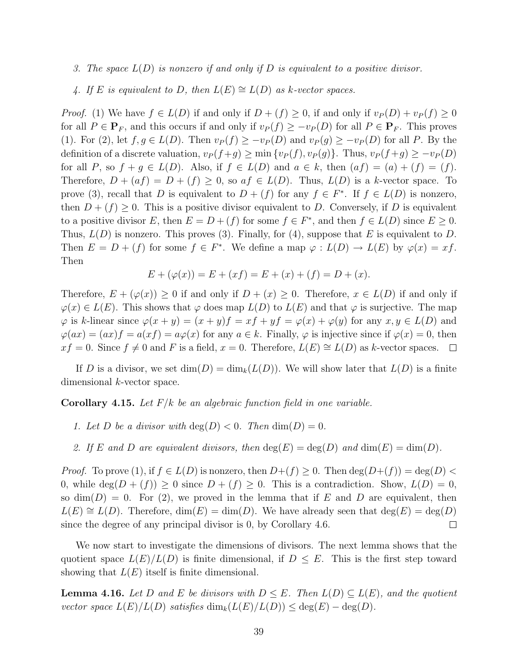3. The space  $L(D)$  is nonzero if and only if D is equivalent to a positive divisor.

4. If E is equivalent to D, then  $L(E) \cong L(D)$  as k-vector spaces.

*Proof.* (1) We have  $f \in L(D)$  if and only if  $D + (f) \geq 0$ , if and only if  $v_P(D) + v_P(f) \geq 0$ for all  $P \in \mathbf{P}_F$ , and this occurs if and only if  $v_P(f) \geq -v_P(D)$  for all  $P \in \mathbf{P}_F$ . This proves (1). For (2), let  $f, g \in L(D)$ . Then  $v_P(f) \geq -v_P(D)$  and  $v_P(g) \geq -v_P(D)$  for all P. By the definition of a discrete valuation,  $v_P(f+g) \ge \min\{v_P(f), v_P(g)\}\$ . Thus,  $v_P(f+g) \ge -v_P(D)$ for all P, so  $f + g \in L(D)$ . Also, if  $f \in L(D)$  and  $a \in k$ , then  $(af) = (a) + (f) = (f)$ . Therefore,  $D + (af) = D + (f) \ge 0$ , so  $af \in L(D)$ . Thus,  $L(D)$  is a k-vector space. To prove (3), recall that D is equivalent to  $D + (f)$  for any  $f \in F^*$ . If  $f \in L(D)$  is nonzero, then  $D + (f) \geq 0$ . This is a positive divisor equivalent to D. Conversely, if D is equivalent to a positive divisor E, then  $E = D + (f)$  for some  $f \in F^*$ , and then  $f \in L(D)$  since  $E \ge 0$ . Thus,  $L(D)$  is nonzero. This proves (3). Finally, for (4), suppose that E is equivalent to D. Then  $E = D + (f)$  for some  $f \in F^*$ . We define a map  $\varphi : L(D) \to L(E)$  by  $\varphi(x) = xf$ . Then

$$
E + (\varphi(x)) = E + (xf) = E + (x) + (f) = D + (x).
$$

Therefore,  $E + (\varphi(x)) \geq 0$  if and only if  $D + (x) \geq 0$ . Therefore,  $x \in L(D)$  if and only if  $\varphi(x) \in L(E)$ . This shows that  $\varphi$  does map  $L(D)$  to  $L(E)$  and that  $\varphi$  is surjective. The map  $\varphi$  is k-linear since  $\varphi(x+y) = (x+y)f = xf + yf = \varphi(x) + \varphi(y)$  for any  $x, y \in L(D)$  and  $\varphi(ax) = (ax)f = a(xf) = a\varphi(x)$  for any  $a \in k$ . Finally,  $\varphi$  is injective since if  $\varphi(x) = 0$ , then  $xf = 0$ . Since  $f \neq 0$  and F is a field,  $x = 0$ . Therefore,  $L(E) \cong L(D)$  as k-vector spaces. □

If D is a divisor, we set  $\dim(D) = \dim_k(L(D))$ . We will show later that  $L(D)$  is a finite dimensional k-vector space.

**Corollary 4.15.** Let  $F/k$  be an algebraic function field in one variable.

- 1. Let D be a divisor with  $deg(D) < 0$ . Then  $dim(D) = 0$ .
- 2. If E and D are equivalent divisors, then  $deg(E) = deg(D)$  and  $dim(E) = dim(D)$ .

*Proof.* To prove (1), if  $f \in L(D)$  is nonzero, then  $D+(f) \geq 0$ . Then  $\deg(D+(f)) = \deg(D)$ 0, while deg( $D + (f)$ )  $\geq 0$  since  $D + (f) \geq 0$ . This is a contradiction. Show,  $L(D) = 0$ , so  $\dim(D) = 0$ . For (2), we proved in the lemma that if E and D are equivalent, then  $L(E) \cong L(D)$ . Therefore,  $\dim(E) = \dim(D)$ . We have already seen that  $\deg(E) = \deg(D)$ since the degree of any principal divisor is 0, by Corollary 4.6.  $\Box$ 

We now start to investigate the dimensions of divisors. The next lemma shows that the quotient space  $L(E)/L(D)$  is finite dimensional, if  $D \leq E$ . This is the first step toward showing that  $L(E)$  itself is finite dimensional.

**Lemma 4.16.** Let D and E be divisors with  $D \leq E$ . Then  $L(D) \subseteq L(E)$ , and the quotient vector space  $L(E)/L(D)$  satisfies  $\dim_k(L(E)/L(D)) \leq \deg(E) - \deg(D)$ .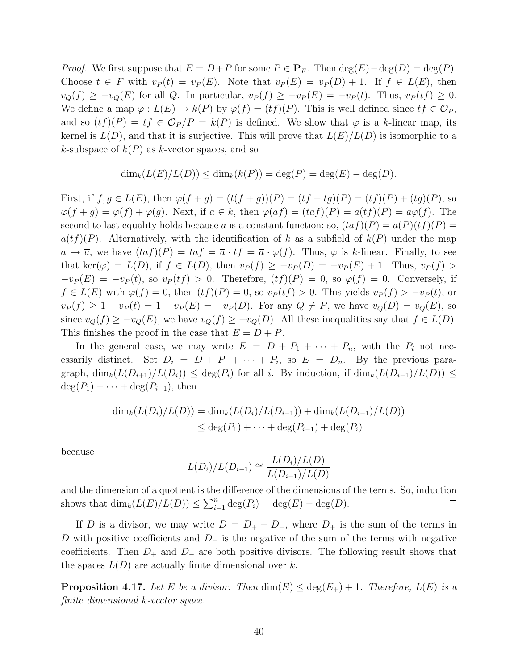*Proof.* We first suppose that  $E = D + P$  for some  $P \in \mathbf{P}_F$ . Then  $\deg(E) - \deg(D) = \deg(P)$ . Choose  $t \in F$  with  $v_P(t) = v_P(E)$ . Note that  $v_P(E) = v_P(D) + 1$ . If  $f \in L(E)$ , then  $v_Q(f) \geq -v_Q(E)$  for all Q. In particular,  $v_P(f) \geq -v_P(E) = -v_P(t)$ . Thus,  $v_P(tf) \geq 0$ . We define a map  $\varphi : L(E) \to k(P)$  by  $\varphi(f) = (tf)(P)$ . This is well defined since  $tf \in \mathcal{O}_P$ , and so  $(tf)(P) = \overline{tf} \in \mathcal{O}_P/P = k(P)$  is defined. We show that  $\varphi$  is a k-linear map, its kernel is  $L(D)$ , and that it is surjective. This will prove that  $L(E)/L(D)$  is isomorphic to a k-subspace of  $k(P)$  as k-vector spaces, and so

$$
\dim_k(L(E)/L(D)) \le \dim_k(k(P)) = \deg(P) = \deg(E) - \deg(D).
$$

First, if  $f, g \in L(E)$ , then  $\varphi(f + g) = (t(f + g))(P) = (tf + tg)(P) = (tf)(P) + (tg)(P)$ , so  $\varphi(f+g) = \varphi(f) + \varphi(g)$ . Next, if  $a \in k$ , then  $\varphi(af) = (taf)(P) = a(tf)(P) = a\varphi(f)$ . The second to last equality holds because a is a constant function; so,  $(taf)(P) = a(P)(tf)(P)$  $a(tf)(P)$ . Alternatively, with the identification of k as a subfield of  $k(P)$  under the map  $a \mapsto \overline{a}$ , we have  $(taf)(P) = \overline{taf} = \overline{a} \cdot \overline{tf} = \overline{a} \cdot \varphi(f)$ . Thus,  $\varphi$  is k-linear. Finally, to see that ker( $\varphi$ ) =  $L(D)$ , if  $f \in L(D)$ , then  $v_P(f) \ge -v_P(D) = -v_P(E) + 1$ . Thus,  $v_P(f)$  $-v_P(E) = -v_P(t)$ , so  $v_P(tf) > 0$ . Therefore,  $(tf)(P) = 0$ , so  $\varphi(f) = 0$ . Conversely, if  $f \in L(E)$  with  $\varphi(f) = 0$ , then  $(tf)(P) = 0$ , so  $v_P(tf) > 0$ . This yields  $v_P(f) > -v_P(t)$ , or  $v_P(f) \ge 1 - v_P(t) = 1 - v_P(E) = -v_P(D)$ . For any  $Q \ne P$ , we have  $v_Q(D) = v_Q(E)$ , so since  $v_Q(f) \geq -v_Q(E)$ , we have  $v_Q(f) \geq -v_Q(D)$ . All these inequalities say that  $f \in L(D)$ . This finishes the proof in the case that  $E = D + P$ .

In the general case, we may write  $E = D + P_1 + \cdots + P_n$ , with the  $P_i$  not necessarily distinct. Set  $D_i = D + P_1 + \cdots + P_i$ , so  $E = D_n$ . By the previous paragraph,  $\dim_k(L(D_{i+1})/L(D_i)) \leq \deg(P_i)$  for all i. By induction, if  $\dim_k(L(D_{i-1})/L(D)) \leq$  $deg(P_1) + \cdots + deg(P_{i-1}),$  then

$$
\dim_k(L(D_i)/L(D)) = \dim_k(L(D_i)/L(D_{i-1})) + \dim_k(L(D_{i-1})/L(D))
$$
  
\n
$$
\leq \deg(P_1) + \dots + \deg(P_{i-1}) + \deg(P_i)
$$

because

$$
L(D_i)/L(D_{i-1}) \cong \frac{L(D_i)/L(D)}{L(D_{i-1})/L(D)}
$$

and the dimension of a quotient is the difference of the dimensions of the terms. So, induction shows that  $\dim_k(L(E)/L(D)) \leq \sum_{i=1}^n \deg(P_i) = \deg(E) - \deg(D).$  $\Box$ 

If D is a divisor, we may write  $D = D_{+} - D_{-}$ , where  $D_{+}$  is the sum of the terms in D with positive coefficients and  $D_-\$  is the negative of the sum of the terms with negative coefficients. Then  $D_+$  and  $D_-$  are both positive divisors. The following result shows that the spaces  $L(D)$  are actually finite dimensional over k.

**Proposition 4.17.** Let E be a divisor. Then  $\dim(E) \leq \deg(E_+) + 1$ . Therefore,  $L(E)$  is a finite dimensional k-vector space.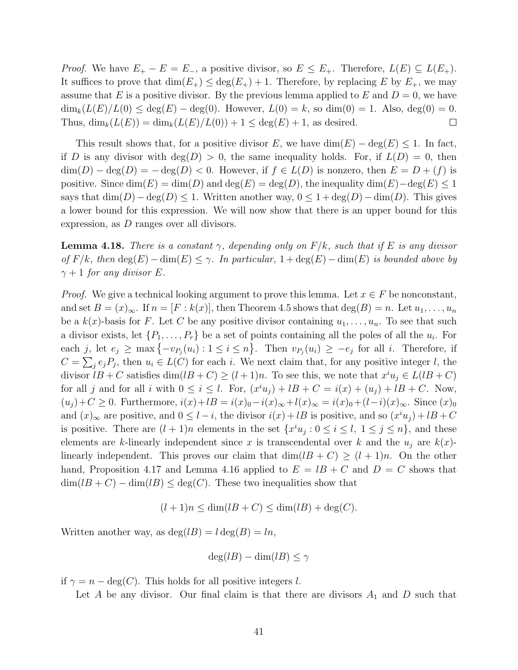*Proof.* We have  $E_+ - E = E_-,$  a positive divisor, so  $E \leq E_+$ . Therefore,  $L(E) \subseteq L(E_+)$ . It suffices to prove that  $\dim(E_+) \leq \deg(E_+) + 1$ . Therefore, by replacing E by  $E_+$ , we may assume that E is a positive divisor. By the previous lemma applied to E and  $D = 0$ , we have  $\dim_k(L(E)/L(0) \le \deg(E) - \deg(0)$ . However,  $L(0) = k$ , so  $\dim(0) = 1$ . Also,  $\deg(0) = 0$ . Thus,  $\dim_k(L(E)) = \dim_k(L(E)/L(0)) + 1 \leq \deg(E) + 1$ , as desired.  $\Box$ 

This result shows that, for a positive divisor E, we have  $\dim(E) - \deg(E) \leq 1$ . In fact, if D is any divisor with  $deg(D) > 0$ , the same inequality holds. For, if  $L(D) = 0$ , then  $\dim(D) - \deg(D) = -\deg(D) < 0$ . However, if  $f \in L(D)$  is nonzero, then  $E = D + (f)$  is positive. Since  $\dim(E) = \dim(D)$  and  $\deg(E) = \deg(D)$ , the inequality  $\dim(E) - \deg(E) \leq 1$ says that  $\dim(D) - \deg(D) \leq 1$ . Written another way,  $0 \leq 1 + \deg(D) - \dim(D)$ . This gives a lower bound for this expression. We will now show that there is an upper bound for this expression, as D ranges over all divisors.

**Lemma 4.18.** There is a constant  $\gamma$ , depending only on  $F/k$ , such that if E is any divisor of  $F/k$ , then  $\deg(E) - \dim(E) \leq \gamma$ . In particular,  $1 + \deg(E) - \dim(E)$  is bounded above by  $\gamma + 1$  for any divisor E.

*Proof.* We give a technical looking argument to prove this lemma. Let  $x \in F$  be nonconstant, and set  $B = (x)_{\infty}$ . If  $n = [F : k(x)]$ , then Theorem 4.5 shows that  $deg(B) = n$ . Let  $u_1, \ldots, u_n$ be a  $k(x)$ -basis for F. Let C be any positive divisor containing  $u_1, \ldots, u_n$ . To see that such a divisor exists, let  $\{P_1, \ldots, P_r\}$  be a set of points containing all the poles of all the  $u_i$ . For each j, let  $e_j \ge \max\{-v_{P_j}(u_i): 1 \le i \le n\}$ . Then  $v_{P_j}(u_i) \ge -e_j$  for all i. Therefore, if  $C = \sum_j e_j P_j$ , then  $u_i \in L(C)$  for each i. We next claim that, for any positive integer l, the divisor  $lB + C$  satisfies  $\dim(lB + C) \ge (l+1)n$ . To see this, we note that  $x^i u_j \in L(lB + C)$ for all j and for all i with  $0 \leq i \leq l$ . For,  $(x^i u_j) + lB + C = i(x) + (u_j) + lB + C$ . Now,  $(u_j) + C \geq 0$ . Furthermore,  $i(x) + lB = i(x)_{0} - i(x)_{\infty} + l(x)_{\infty} = i(x)_{0} + (l-i)(x)_{\infty}$ . Since  $(x)_{0}$ and  $(x)_{\infty}$  are positive, and  $0 \leq l - i$ , the divisor  $i(x) + lB$  is positive, and so  $(x^i u_j) + lB + C$ is positive. There are  $(l + 1)n$  elements in the set  $\{x^i u_j : 0 \le i \le l, 1 \le j \le n\}$ , and these elements are k-linearly independent since x is transcendental over k and the  $u_i$  are  $k(x)$ linearly independent. This proves our claim that  $\dim(lB + C) \ge (l + 1)n$ . On the other hand, Proposition 4.17 and Lemma 4.16 applied to  $E = lB + C$  and  $D = C$  shows that  $\dim(lB+C)-\dim(lB)\leq \deg(C)$ . These two inequalities show that

$$
(l+1)n \le \dim(lB + C) \le \dim(lB) + \deg(C).
$$

Written another way, as  $deg(lB) = l deg(B) = ln$ ,

$$
\deg(lB) - \dim(lB) \le \gamma
$$

if  $\gamma = n - \deg(C)$ . This holds for all positive integers l.

Let A be any divisor. Our final claim is that there are divisors  $A_1$  and D such that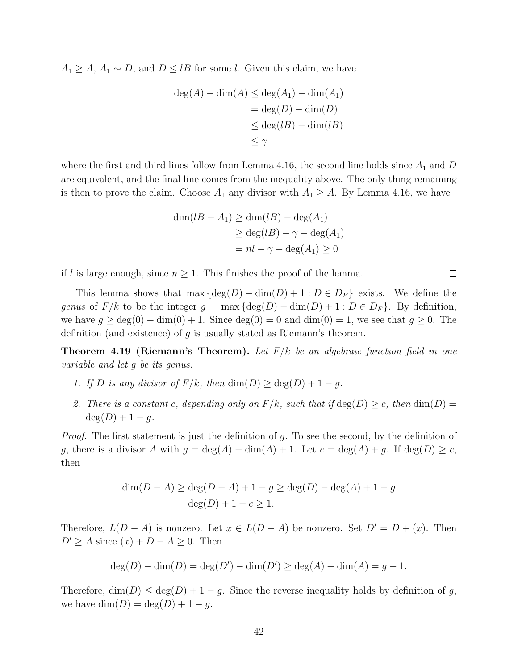$A_1 \geq A$ ,  $A_1 \sim D$ , and  $D \leq lB$  for some l. Given this claim, we have

$$
deg(A) - dim(A) \le deg(A_1) - dim(A_1)
$$
  
= deg(D) - dim(D)  

$$
\le deg(lB) - dim(lB)
$$
  

$$
\le \gamma
$$

where the first and third lines follow from Lemma 4.16, the second line holds since  $A_1$  and D are equivalent, and the final line comes from the inequality above. The only thing remaining is then to prove the claim. Choose  $A_1$  any divisor with  $A_1 \geq A$ . By Lemma 4.16, we have

$$
\dim(lB - A_1) \ge \dim(lB) - \deg(A_1)
$$
  
\n
$$
\ge \deg(lB) - \gamma - \deg(A_1)
$$
  
\n
$$
= nl - \gamma - \deg(A_1) \ge 0
$$

 $\Box$ 

if l is large enough, since  $n \geq 1$ . This finishes the proof of the lemma.

This lemma shows that max  $\{\deg(D) - \dim(D) + 1 : D \in D_F\}$  exists. We define the genus of  $F/k$  to be the integer  $g = \max \{ \deg(D) - \dim(D) + 1 : D \in D_F \}$ . By definition, we have  $g \geq deg(0) - dim(0) + 1$ . Since  $deg(0) = 0$  and  $dim(0) = 1$ , we see that  $g \geq 0$ . The definition (and existence) of  $g$  is usually stated as Riemann's theorem.

**Theorem 4.19 (Riemann's Theorem).** Let  $F/k$  be an algebraic function field in one variable and let g be its genus.

- 1. If D is any divisor of  $F/k$ , then  $\dim(D) \geq \deg(D) + 1 g$ .
- 2. There is a constant c, depending only on  $F/k$ , such that if  $deg(D) \geq c$ , then  $dim(D)$  $deg(D) + 1 - g.$

*Proof.* The first statement is just the definition of g. To see the second, by the definition of g, there is a divisor A with  $g = \deg(A) - \dim(A) + 1$ . Let  $c = \deg(A) + g$ . If  $\deg(D) \geq c$ , then

$$
\dim(D - A) \ge \deg(D - A) + 1 - g \ge \deg(D) - \deg(A) + 1 - g
$$
  
=  $\deg(D) + 1 - c \ge 1$ .

Therefore,  $L(D - A)$  is nonzero. Let  $x \in L(D - A)$  be nonzero. Set  $D' = D + (x)$ . Then  $D' \geq A$  since  $(x) + D - A \geq 0$ . Then

$$
\deg(D) - \dim(D) = \deg(D') - \dim(D') \ge \deg(A) - \dim(A) = g - 1.
$$

Therefore,  $\dim(D) \leq \deg(D) + 1 - g$ . Since the reverse inequality holds by definition of g, we have  $\dim(D) = \deg(D) + 1 - g$ .  $\Box$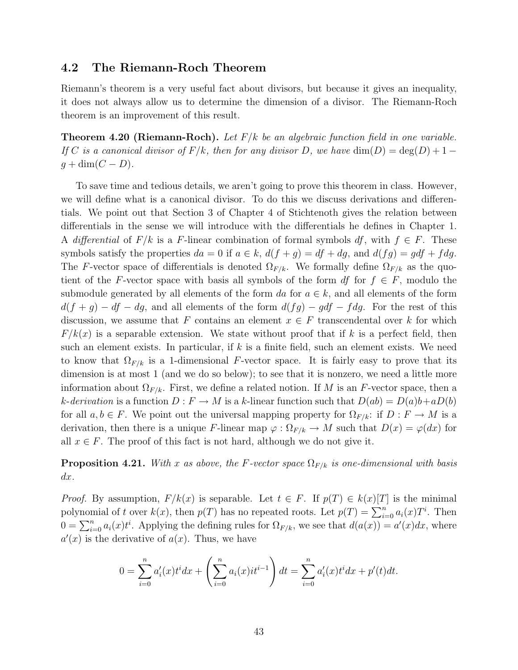### 4.2 The Riemann-Roch Theorem

Riemann's theorem is a very useful fact about divisors, but because it gives an inequality, it does not always allow us to determine the dimension of a divisor. The Riemann-Roch theorem is an improvement of this result.

**Theorem 4.20 (Riemann-Roch).** Let  $F/k$  be an algebraic function field in one variable. If C is a canonical divisor of  $F/k$ , then for any divisor D, we have  $\dim(D) = \deg(D) + 1$  $g + \dim(C - D).$ 

To save time and tedious details, we aren't going to prove this theorem in class. However, we will define what is a canonical divisor. To do this we discuss derivations and differentials. We point out that Section 3 of Chapter 4 of Stichtenoth gives the relation between differentials in the sense we will introduce with the differentials he defines in Chapter 1. A differential of  $F/k$  is a F-linear combination of formal symbols df, with  $f \in F$ . These symbols satisfy the properties  $da = 0$  if  $a \in k$ ,  $d(f + g) = df + dg$ , and  $d(fg) = gdf + f dg$ . The F-vector space of differentials is denoted  $\Omega_{F/k}$ . We formally define  $\Omega_{F/k}$  as the quotient of the F-vector space with basis all symbols of the form df for  $f \in F$ , modulo the submodule generated by all elements of the form da for  $a \in k$ , and all elements of the form  $d(f + g) - df - dg$ , and all elements of the form  $d(fg) - gdf - f dg$ . For the rest of this discussion, we assume that F contains an element  $x \in F$  transcendental over k for which  $F/k(x)$  is a separable extension. We state without proof that if k is a perfect field, then such an element exists. In particular, if  $k$  is a finite field, such an element exists. We need to know that  $\Omega_{F/k}$  is a 1-dimensional F-vector space. It is fairly easy to prove that its dimension is at most 1 (and we do so below); to see that it is nonzero, we need a little more information about  $\Omega_{F/k}$ . First, we define a related notion. If M is an F-vector space, then a k-derivation is a function  $D : F \to M$  is a k-linear function such that  $D(ab) = D(a)b + aD(b)$ for all  $a, b \in F$ . We point out the universal mapping property for  $\Omega_{F/k}$ : if  $D : F \to M$  is a derivation, then there is a unique F-linear map  $\varphi : \Omega_{F/k} \to M$  such that  $D(x) = \varphi(dx)$  for all  $x \in F$ . The proof of this fact is not hard, although we do not give it.

**Proposition 4.21.** With x as above, the F-vector space  $\Omega_{F/k}$  is one-dimensional with basis  $dx$ .

*Proof.* By assumption,  $F/k(x)$  is separable. Let  $t \in F$ . If  $p(T) \in k(x)[T]$  is the minimal polynomial of t over  $k(x)$ , then  $p(T)$  has no repeated roots. Let  $p(T) = \sum_{i=0}^{n} a_i(x) T^i$ . Then  $0 = \sum_{i=0}^{n} a_i(x) t^i$ . Applying the defining rules for  $\Omega_{F/k}$ , we see that  $d(a(x)) = a'(x) dx$ , where  $a'(x)$  is the derivative of  $a(x)$ . Thus, we have

$$
0 = \sum_{i=0}^{n} a'_i(x)t^i dx + \left(\sum_{i=0}^{n} a_i(x)it^{i-1}\right) dt = \sum_{i=0}^{n} a'_i(x)t^i dx + p'(t)dt.
$$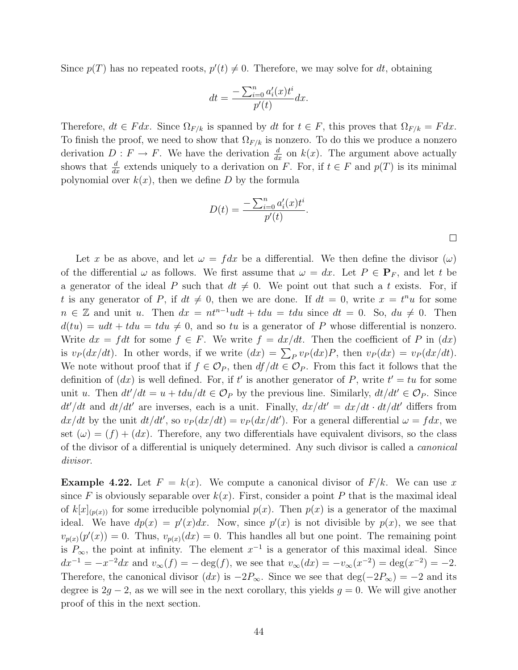Since  $p(T)$  has no repeated roots,  $p'(t) \neq 0$ . Therefore, we may solve for dt, obtaining

$$
dt = \frac{-\sum_{i=0}^{n} a_i'(x)t^i}{p'(t)}dx.
$$

Therefore,  $dt \in F dx$ . Since  $\Omega_{F/k}$  is spanned by dt for  $t \in F$ , this proves that  $\Omega_{F/k} = F dx$ . To finish the proof, we need to show that  $\Omega_{F/k}$  is nonzero. To do this we produce a nonzero derivation  $D: F \to F$ . We have the derivation  $\frac{d}{dx}$  on  $k(x)$ . The argument above actually shows that  $\frac{d}{dx}$  extends uniquely to a derivation on F. For, if  $t \in F$  and  $p(T)$  is its minimal polynomial over  $k(x)$ , then we define D by the formula

$$
D(t) = \frac{-\sum_{i=0}^{n} a'_i(x)t^i}{p'(t)}.
$$

 $\Box$ 

Let x be as above, and let  $\omega = f dx$  be a differential. We then define the divisor  $(\omega)$ of the differential  $\omega$  as follows. We first assume that  $\omega = dx$ . Let  $P \in \mathbf{P}_F$ , and let t be a generator of the ideal P such that  $dt \neq 0$ . We point out that such a t exists. For, if t is any generator of P, if  $dt \neq 0$ , then we are done. If  $dt = 0$ , write  $x = t^n u$  for some  $n \in \mathbb{Z}$  and unit u. Then  $dx = nt^{n-1}u dt + t du = t du$  since  $dt = 0$ . So,  $du \neq 0$ . Then  $d(tu) = udt + tdu = tdu \neq 0$ , and so tu is a generator of P whose differential is nonzero. Write  $dx = f dt$  for some  $f \in F$ . We write  $f = dx/dt$ . Then the coefficient of P in  $(dx)$ is  $v_P(dx/dt)$ . In other words, if we write  $(dx) = \sum_P v_P(dx)P$ , then  $v_P(dx) = v_P(dx/dt)$ . We note without proof that if  $f \in \mathcal{O}_P$ , then  $df/dt \in \mathcal{O}_P$ . From this fact it follows that the definition of  $(dx)$  is well defined. For, if t' is another generator of P, write  $t' = tu$  for some unit u. Then  $dt'/dt = u + tdu/dt \in \mathcal{O}_P$  by the previous line. Similarly,  $dt/dt' \in \mathcal{O}_P$ . Since  $dt'/dt$  and  $dt/dt'$  are inverses, each is a unit. Finally,  $dx/dt' = dx/dt \cdot dt/dt'$  differs from  $dx/dt$  by the unit  $dt/dt'$ , so  $v_P (dx/dt) = v_P (dx/dt')$ . For a general differential  $\omega = f dx$ , we set  $(\omega) = (f) + (dx)$ . Therefore, any two differentials have equivalent divisors, so the class of the divisor of a differential is uniquely determined. Any such divisor is called a canonical divisor.

**Example 4.22.** Let  $F = k(x)$ . We compute a canonical divisor of  $F/k$ . We can use x since F is obviously separable over  $k(x)$ . First, consider a point P that is the maximal ideal of  $k[x]_{(p(x))}$  for some irreducible polynomial  $p(x)$ . Then  $p(x)$  is a generator of the maximal ideal. We have  $dp(x) = p'(x)dx$ . Now, since  $p'(x)$  is not divisible by  $p(x)$ , we see that  $v_{p(x)}(p'(x)) = 0$ . Thus,  $v_{p(x)}(dx) = 0$ . This handles all but one point. The remaining point is  $P_{\infty}$ , the point at infinity. The element  $x^{-1}$  is a generator of this maximal ideal. Since  $dx^{-1} = -x^{-2}dx$  and  $v_{\infty}(f) = -\deg(f)$ , we see that  $v_{\infty}(dx) = -v_{\infty}(x^{-2}) = \deg(x^{-2}) = -2$ . Therefore, the canonical divisor  $(dx)$  is  $-2P_{\infty}$ . Since we see that deg $(-2P_{\infty}) = -2$  and its degree is  $2g - 2$ , as we will see in the next corollary, this yields  $g = 0$ . We will give another proof of this in the next section.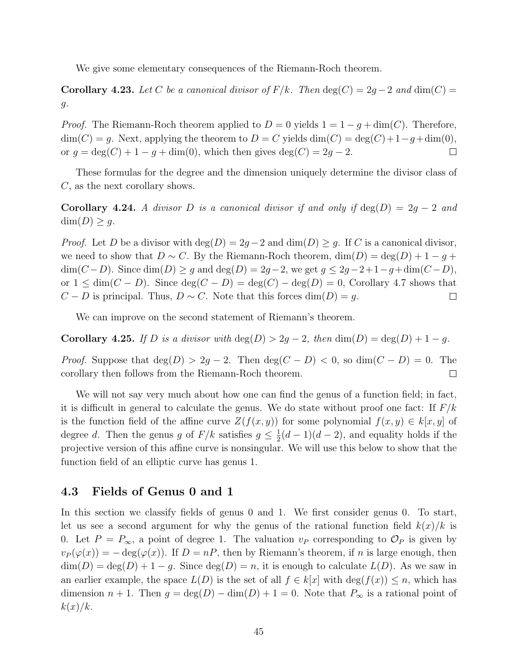We give some elementary consequences of the Riemann-Roch theorem.

Corollary 4.23. Let C be a canonical divisor of  $F/k$ . Then  $deg(C) = 2g - 2$  and  $dim(C) =$  $g$ .

*Proof.* The Riemann-Roch theorem applied to  $D = 0$  yields  $1 = 1 - g + \dim(C)$ . Therefore,  $\dim(C) = g$ . Next, applying the theorem to  $D = C$  yields  $\dim(C) = \deg(C) + 1 - g + \dim(0)$ , or  $g = \deg(C) + 1 - g + \dim(0)$ , which then gives  $\deg(C) = 2g - 2$ .  $\Box$ 

These formulas for the degree and the dimension uniquely determine the divisor class of C, as the next corollary shows.

Corollary 4.24. A divisor D is a canonical divisor if and only if  $\deg(D) = 2g - 2$  and  $\dim(D) \geq g$ .

*Proof.* Let D be a divisor with  $deg(D) = 2g - 2$  and  $dim(D) \geq g$ . If C is a canonical divisor, we need to show that  $D \sim C$ . By the Riemann-Roch theorem,  $\dim(D) = \deg(D) + 1 - g +$  $\dim(C-D)$ . Since  $\dim(D) \geq g$  and  $\deg(D) = 2g-2$ , we get  $g \leq 2g-2+1-g+\dim(C-D)$ , or  $1 \le \dim(C - D)$ . Since  $\deg(C - D) = \deg(C) - \deg(D) = 0$ , Corollary 4.7 shows that  $C - D$  is principal. Thus,  $D \sim C$ . Note that this forces dim(D) = g.  $\Box$ 

We can improve on the second statement of Riemann's theorem.

**Corollary 4.25.** If D is a divisor with  $\deg(D) > 2g - 2$ , then  $\dim(D) = \deg(D) + 1 - g$ .

*Proof.* Suppose that  $deg(D) > 2g - 2$ . Then  $deg(C - D) < 0$ , so  $dim(C - D) = 0$ . The corollary then follows from the Riemann-Roch theorem.  $\Box$ 

We will not say very much about how one can find the genus of a function field; in fact, it is difficult in general to calculate the genus. We do state without proof one fact: If  $F/k$ is the function field of the affine curve  $Z(f(x, y))$  for some polynomial  $f(x, y) \in k[x, y]$  of degree d. Then the genus g of  $F/k$  satisfies  $g \leq \frac{1}{2}$  $\frac{1}{2}(d-1)(d-2)$ , and equality holds if the projective version of this affine curve is nonsingular. We will use this below to show that the function field of an elliptic curve has genus 1.

#### 4.3 Fields of Genus 0 and 1

In this section we classify fields of genus 0 and 1. We first consider genus 0. To start, let us see a second argument for why the genus of the rational function field  $k(x)/k$  is 0. Let  $P = P_{\infty}$ , a point of degree 1. The valuation  $v_P$  corresponding to  $\mathcal{O}_P$  is given by  $v_P(\varphi(x)) = -\deg(\varphi(x))$ . If  $D = nP$ , then by Riemann's theorem, if n is large enough, then  $\dim(D) = \deg(D) + 1 - g$ . Since  $\deg(D) = n$ , it is enough to calculate  $L(D)$ . As we saw in an earlier example, the space  $L(D)$  is the set of all  $f \in k[x]$  with  $\deg(f(x)) \leq n$ , which has dimension  $n + 1$ . Then  $g = \deg(D) - \dim(D) + 1 = 0$ . Note that  $P_{\infty}$  is a rational point of  $k(x)/k$ .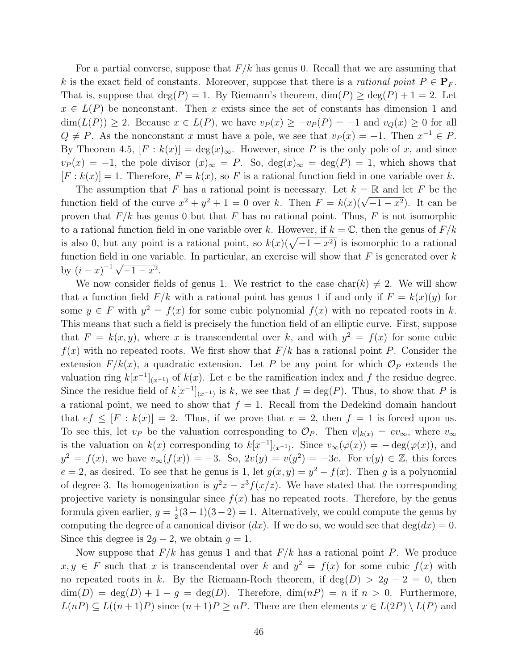For a partial converse, suppose that  $F/k$  has genus 0. Recall that we are assuming that k is the exact field of constants. Moreover, suppose that there is a *rational point*  $P \in \mathbf{P}_F$ . That is, suppose that  $\deg(P) = 1$ . By Riemann's theorem,  $\dim(P) \geq \deg(P) + 1 = 2$ . Let  $x \in L(P)$  be nonconstant. Then x exists since the set of constants has dimension 1 and  $\dim(L(P)) \geq 2$ . Because  $x \in L(P)$ , we have  $v_P(x) \geq -v_P(P) = -1$  and  $v_Q(x) \geq 0$  for all  $Q \neq P$ . As the nonconstant x must have a pole, we see that  $v_P(x) = -1$ . Then  $x^{-1} \in P$ . By Theorem 4.5,  $[F : k(x)] = deg(x)_{\infty}$ . However, since P is the only pole of x, and since  $v_P(x) = -1$ , the pole divisor  $(x)_{\infty} = P$ . So,  $deg(x)_{\infty} = deg(P) = 1$ , which shows that  $[F : k(x)] = 1$ . Therefore,  $F = k(x)$ , so F is a rational function field in one variable over k.

The assumption that F has a rational point is necessary. Let  $k = \mathbb{R}$  and let F be the function field of the curve  $x^2 + y^2 + 1 = 0$  over k. Then  $F = k(x)(\sqrt{-1-x^2})$ . It can be proven that  $F/k$  has genus 0 but that F has no rational point. Thus, F is not isomorphic to a rational function field in one variable over k. However, if  $k = \mathbb{C}$ , then the genus of  $F/k$ is also 0, but any point is a rational point, so  $k(x)(\sqrt{-1-x^2})$  is isomorphic to a rational function field in one variable. In particular, an exercise will show that  $F$  is generated over  $k$ by  $(i - x)^{-1} \sqrt{-1 - x^2}$ .

We now consider fields of genus 1. We restrict to the case char(k)  $\neq$  2. We will show that a function field  $F/k$  with a rational point has genus 1 if and only if  $F = k(x)(y)$  for some  $y \in F$  with  $y^2 = f(x)$  for some cubic polynomial  $f(x)$  with no repeated roots in k. This means that such a field is precisely the function field of an elliptic curve. First, suppose that  $F = k(x, y)$ , where x is transcendental over k, and with  $y^2 = f(x)$  for some cubic  $f(x)$  with no repeated roots. We first show that  $F/k$  has a rational point P. Consider the extension  $F/k(x)$ , a quadratic extension. Let P be any point for which  $\mathcal{O}_P$  extends the valuation ring  $k[x^{-1}]_{(x^{-1})}$  of  $k(x)$ . Let e be the ramification index and f the residue degree. Since the residue field of  $k[x^{-1}]_{(x^{-1})}$  is k, we see that  $f = \deg(P)$ . Thus, to show that P is a rational point, we need to show that  $f = 1$ . Recall from the Dedekind domain handout that  $ef \leq [F : k(x)] = 2$ . Thus, if we prove that  $e = 2$ , then  $f = 1$  is forced upon us. To see this, let  $v_P$  be the valuation corresponding to  $\mathcal{O}_P$ . Then  $v|_{k(x)} = ev_{\infty}$ , where  $v_{\infty}$ is the valuation on  $k(x)$  corresponding to  $k[x^{-1}]_{(x^{-1})}$ . Since  $v_{\infty}(\varphi(x)) = -\deg(\varphi(x))$ , and  $y^2 = f(x)$ , we have  $v_{\infty}(f(x)) = -3$ . So,  $2v(y) = v(y^2) = -3e$ . For  $v(y) \in \mathbb{Z}$ , this forces  $e = 2$ , as desired. To see that he genus is 1, let  $g(x, y) = y^2 - f(x)$ . Then g is a polynomial of degree 3. Its homogenization is  $y^2z - z^3f(x/z)$ . We have stated that the corresponding projective variety is nonsingular since  $f(x)$  has no repeated roots. Therefore, by the genus formula given earlier,  $g = \frac{1}{2}$  $\frac{1}{2}(3-1)(3-2) = 1$ . Alternatively, we could compute the genus by computing the degree of a canonical divisor  $(dx)$ . If we do so, we would see that  $deg(dx) = 0$ . Since this degree is  $2g - 2$ , we obtain  $g = 1$ .

Now suppose that  $F/k$  has genus 1 and that  $F/k$  has a rational point P. We produce  $x, y \in F$  such that x is transcendental over k and  $y^2 = f(x)$  for some cubic  $f(x)$  with no repeated roots in k. By the Riemann-Roch theorem, if  $deg(D) > 2g - 2 = 0$ , then  $\dim(D) = \deg(D) + 1 - g = \deg(D)$ . Therefore,  $\dim(nP) = n$  if  $n > 0$ . Furthermore,  $L(nP) \subseteq L((n+1)P)$  since  $(n+1)P \geq nP$ . There are then elements  $x \in L(2P) \setminus L(P)$  and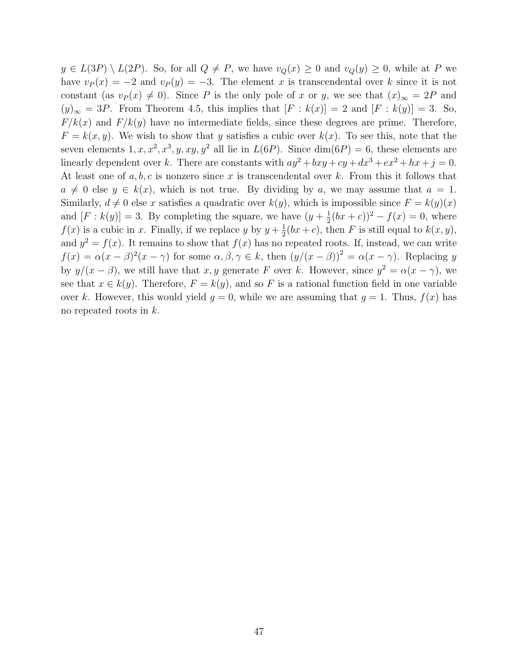$y \in L(3P) \setminus L(2P)$ . So, for all  $Q \neq P$ , we have  $v_Q(x) \geq 0$  and  $v_Q(y) \geq 0$ , while at P we have  $v_P(x) = -2$  and  $v_P(y) = -3$ . The element x is transcendental over k since it is not constant (as  $v_P(x) \neq 0$ ). Since P is the only pole of x or y, we see that  $(x)_{\infty} = 2P$  and  $(y)_{\infty} = 3P$ . From Theorem 4.5, this implies that  $[F : k(x)] = 2$  and  $[F : k(y)] = 3$ . So,  $F/k(x)$  and  $F/k(y)$  have no intermediate fields, since these degrees are prime. Therefore,  $F = k(x, y)$ . We wish to show that y satisfies a cubic over  $k(x)$ . To see this, note that the seven elements  $1, x, x^2, x^3, y, xy, y^2$  all lie in  $L(6P)$ . Since  $dim(6P) = 6$ , these elements are linearly dependent over k. There are constants with  $ay^2 + bxy + cy + dx^3 + ex^2 + hx + j = 0$ . At least one of  $a, b, c$  is nonzero since x is transcendental over k. From this it follows that  $a \neq 0$  else  $y \in k(x)$ , which is not true. By dividing by a, we may assume that  $a = 1$ . Similarly,  $d \neq 0$  else x satisfies a quadratic over  $k(y)$ , which is impossible since  $F = k(y)(x)$ and  $[F: k(y)] = 3$ . By completing the square, we have  $(y + \frac{1}{2})$  $(\frac{1}{2}(bx+c))^2 - f(x) = 0$ , where  $f(x)$  is a cubic in x. Finally, if we replace y by  $y + \frac{1}{2}$  $\frac{1}{2}(bx+c)$ , then F is still equal to  $k(x, y)$ , and  $y^2 = f(x)$ . It remains to show that  $f(x)$  has no repeated roots. If, instead, we can write  $f(x) = \alpha(x - \beta)^2(x - \gamma)$  for some  $\alpha, \beta, \gamma \in k$ , then  $(y/(x - \beta))^2 = \alpha(x - \gamma)$ . Replacing y by  $y/(x - \beta)$ , we still have that x, y generate F over k. However, since  $y^2 = \alpha(x - \gamma)$ , we see that  $x \in k(y)$ . Therefore,  $F = k(y)$ , and so F is a rational function field in one variable over k. However, this would yield  $g = 0$ , while we are assuming that  $g = 1$ . Thus,  $f(x)$  has no repeated roots in k.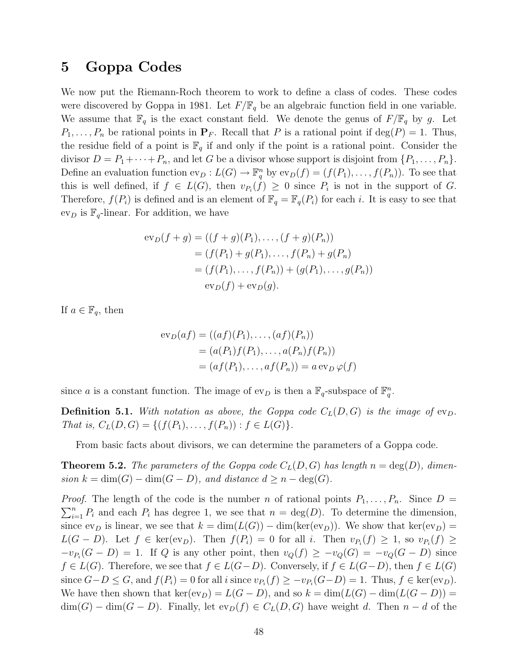# 5 Goppa Codes

We now put the Riemann-Roch theorem to work to define a class of codes. These codes were discovered by Goppa in 1981. Let  $F/\mathbb{F}_q$  be an algebraic function field in one variable. We assume that  $\mathbb{F}_q$  is the exact constant field. We denote the genus of  $F/\mathbb{F}_q$  by g. Let  $P_1, \ldots, P_n$  be rational points in  $\mathbf{P}_F$ . Recall that P is a rational point if  $\deg(P) = 1$ . Thus, the residue field of a point is  $\mathbb{F}_q$  if and only if the point is a rational point. Consider the divisor  $D = P_1 + \cdots + P_n$ , and let G be a divisor whose support is disjoint from  $\{P_1, \ldots, P_n\}$ . Define an evaluation function  $ev_D: L(G) \to \mathbb{F}_q^n$  by  $ev_D(f) = (f(P_1), \ldots, f(P_n))$ . To see that this is well defined, if  $f \in L(G)$ , then  $v_{P_i}(f) \geq 0$  since  $P_i$  is not in the support of G. Therefore,  $f(P_i)$  is defined and is an element of  $\mathbb{F}_q = \mathbb{F}_q(P_i)$  for each i. It is easy to see that  $ev_D$  is  $\mathbb{F}_q$ -linear. For addition, we have

$$
\mathrm{ev}_D(f+g) = ((f+g)(P_1), \dots, (f+g)(P_n))
$$
  
= (f(P\_1) + g(P\_1), \dots, f(P\_n) + g(P\_n)  
= (f(P\_1), \dots, f(P\_n)) + (g(P\_1), \dots, g(P\_n))  

$$
\mathrm{ev}_D(f) + \mathrm{ev}_D(g).
$$

If  $a \in \mathbb{F}_q$ , then

$$
ev_D(af) = ((af)(P_1), ..., (af)(P_n))
$$
  
=  $(a(P_1)f(P_1), ..., a(P_n)f(P_n))$   
=  $(af(P_1), ..., af(P_n)) = a ev_D \varphi(f)$ 

since a is a constant function. The image of  $ev_D$  is then a  $\mathbb{F}_q$ -subspace of  $\mathbb{F}_q^n$ .

**Definition 5.1.** With notation as above, the Goppa code  $C<sub>L</sub>(D, G)$  is the image of  $ev<sub>D</sub>$ . That is,  $C_L(D, G) = \{ (f(P_1), \ldots, f(P_n)) : f \in L(G) \}.$ 

From basic facts about divisors, we can determine the parameters of a Goppa code.

**Theorem 5.2.** The parameters of the Goppa code  $C<sub>L</sub>(D, G)$  has length  $n = \deg(D)$ , dimension  $k = \dim(G) - \dim(G - D)$ , and distance  $d \geq n - \deg(G)$ .

*Proof.* The length of the code is the number n of rational points  $P_1, \ldots, P_n$ . Since  $D =$  $\sum_{i=1}^{n} P_i$  and each  $P_i$  has degree 1, we see that  $n = \deg(D)$ . To determine the dimension, since  $ev_D$  is linear, we see that  $k = \dim(L(G)) - \dim(\ker(ev_D))$ . We show that  $ker(ev_D) =$  $L(G-D)$ . Let  $f \in \text{ker}(\text{ev}_D)$ . Then  $f(P_i) = 0$  for all i. Then  $v_{P_i}(f) \geq 1$ , so  $v_{P_i}(f) \geq 1$  $-v_{P_i}(G - D) = 1$ . If Q is any other point, then  $v_Q(f) \ge -v_Q(G) = -v_Q(G - D)$  since  $f \in L(G)$ . Therefore, we see that  $f \in L(G-D)$ . Conversely, if  $f \in L(G-D)$ , then  $f \in L(G)$ since  $G-D \leq G$ , and  $f(P_i) = 0$  for all i since  $v_{P_i}(f) \geq -v_{P_i}(G-D) = 1$ . Thus,  $f \in \text{ker}(\text{ev}_D)$ . We have then shown that  $\ker(\text{ev}_D) = L(G - D)$ , and so  $k = \dim(L(G) - \dim(L(G - D)) =$  $\dim(G) - \dim(G - D)$ . Finally, let  $ev_D(f) \in C<sub>L</sub>(D, G)$  have weight d. Then  $n - d$  of the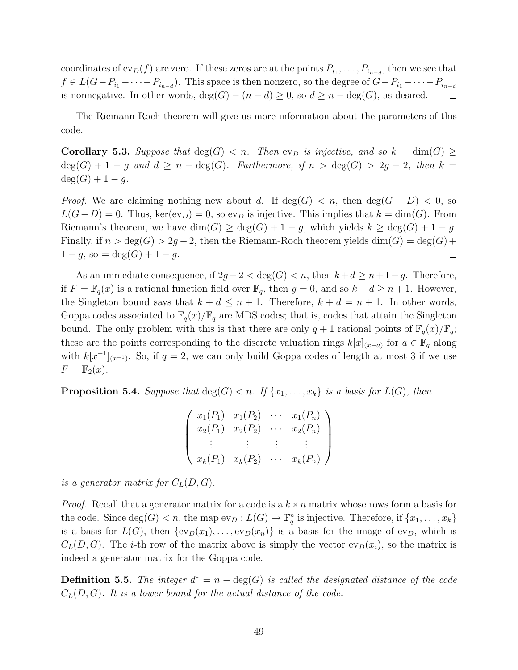coordinates of  $ev_D(f)$  are zero. If these zeros are at the points  $P_{i_1}, \ldots, P_{i_{n-d}}$ , then we see that  $f \in L(G - P_{i_1} - \cdots - P_{i_{n-d}})$ . This space is then nonzero, so the degree of  $G - P_{i_1} - \cdots - P_{i_{n-d}}$ is nonnegative. In other words,  $deg(G) - (n - d) \geq 0$ , so  $d \geq n - deg(G)$ , as desired.  $\Box$ 

The Riemann-Roch theorem will give us more information about the parameters of this code.

**Corollary 5.3.** Suppose that  $deg(G) < n$ . Then  $ev_D$  is injective, and so  $k = dim(G) \ge$  $deg(G) + 1 - g$  and  $d \geq n - deg(G)$ . Furthermore, if  $n > deg(G) > 2g - 2$ , then  $k =$  $deg(G) + 1 - g.$ 

*Proof.* We are claiming nothing new about d. If  $deg(G) < n$ , then  $deg(G - D) < 0$ , so  $L(G-D) = 0$ . Thus, ker(ev<sub>D</sub>) = 0, so ev<sub>D</sub> is injective. This implies that  $k = \dim(G)$ . From Riemann's theorem, we have  $\dim(G) \geq \deg(G) + 1 - g$ , which yields  $k \geq \deg(G) + 1 - g$ . Finally, if  $n > deg(G) > 2g - 2$ , then the Riemann-Roch theorem yields  $dim(G) = deg(G) +$  $1 - g$ , so = deg(G) + 1 – g.  $\Box$ 

As an immediate consequence, if  $2g - 2 < deg(G) < n$ , then  $k + d \ge n + 1 - g$ . Therefore, if  $F = \mathbb{F}_q(x)$  is a rational function field over  $\mathbb{F}_q$ , then  $g = 0$ , and so  $k + d \geq n + 1$ . However, the Singleton bound says that  $k + d \leq n + 1$ . Therefore,  $k + d = n + 1$ . In other words, Goppa codes associated to  $\mathbb{F}_q(x)/\mathbb{F}_q$  are MDS codes; that is, codes that attain the Singleton bound. The only problem with this is that there are only  $q + 1$  rational points of  $\mathbb{F}_q(x)/\mathbb{F}_q$ ; these are the points corresponding to the discrete valuation rings  $k[x]_{(x-a)}$  for  $a \in \mathbb{F}_q$  along with  $k[x^{-1}]_{(x^{-1})}$ . So, if  $q=2$ , we can only build Goppa codes of length at most 3 if we use  $F = \mathbb{F}_2(x)$ .

**Proposition 5.4.** Suppose that  $\deg(G) < n$ . If  $\{x_1, \ldots, x_k\}$  is a basis for  $L(G)$ , then

|                                | $x_1(P_1)$ $x_1(P_2)$ |          | $\cdots x_1(P_n)$ |
|--------------------------------|-----------------------|----------|-------------------|
|                                | $x_2(P_1)$ $x_2(P_2)$ | $\cdots$ | $x_2(P_n)$        |
|                                |                       |          |                   |
| $x_k(P_1)$ $x_k(P_2)$ $\cdots$ |                       |          | $x_k(P_n)$ /      |

is a generator matrix for  $C_L(D, G)$ .

*Proof.* Recall that a generator matrix for a code is a  $k \times n$  matrix whose rows form a basis for the code. Since  $\deg(G) < n$ , the map  $ev_D: L(G) \to \mathbb{F}_q^n$  is injective. Therefore, if  $\{x_1, \ldots, x_k\}$ is a basis for  $L(G)$ , then  $\{ev_D(x_1), \ldots, ev_D(x_n)\}$  is a basis for the image of  $ev_D$ , which is  $C<sub>L</sub>(D, G)$ . The *i*-th row of the matrix above is simply the vector  $ev<sub>D</sub>(x<sub>i</sub>)$ , so the matrix is indeed a generator matrix for the Goppa code.  $\Box$ 

**Definition 5.5.** The integer  $d^* = n - \deg(G)$  is called the designated distance of the code  $C<sub>L</sub>(D, G)$ . It is a lower bound for the actual distance of the code.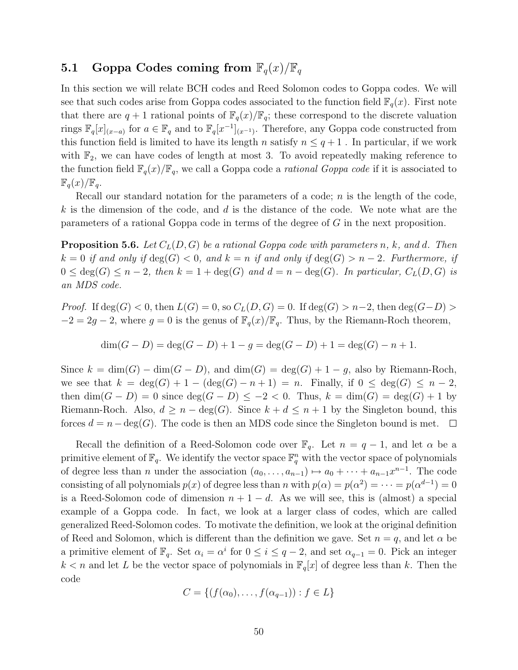# 5.1 Goppa Codes coming from  $\mathbb{F}_q(x)/\mathbb{F}_q$

In this section we will relate BCH codes and Reed Solomon codes to Goppa codes. We will see that such codes arise from Goppa codes associated to the function field  $\mathbb{F}_q(x)$ . First note that there are  $q + 1$  rational points of  $\mathbb{F}_q(x)/\mathbb{F}_q$ ; these correspond to the discrete valuation rings  $\mathbb{F}_q[x]_{(x-a)}$  for  $a \in \mathbb{F}_q$  and to  $\mathbb{F}_q[x^{-1}]_{(x^{-1})}$ . Therefore, any Goppa code constructed from this function field is limited to have its length n satisfy  $n \leq q+1$ . In particular, if we work with  $\mathbb{F}_2$ , we can have codes of length at most 3. To avoid repeatedly making reference to the function field  $\mathbb{F}_q(x)/\mathbb{F}_q$ , we call a Goppa code a *rational Goppa code* if it is associated to  $\mathbb{F}_q(x)/\mathbb{F}_q$ .

Recall our standard notation for the parameters of a code;  $n$  is the length of the code,  $k$  is the dimension of the code, and  $d$  is the distance of the code. We note what are the parameters of a rational Goppa code in terms of the degree of G in the next proposition.

**Proposition 5.6.** Let  $C<sub>L</sub>(D, G)$  be a rational Goppa code with parameters n, k, and d. Then  $k = 0$  if and only if  $\deg(G) < 0$ , and  $k = n$  if and only if  $\deg(G) > n - 2$ . Furthermore, if  $0 \leq deg(G) \leq n-2$ , then  $k = 1 + deg(G)$  and  $d = n - deg(G)$ . In particular,  $C<sub>L</sub>(D, G)$  is an MDS code.

*Proof.* If  $deg(G) < 0$ , then  $L(G) = 0$ , so  $C_L(D, G) = 0$ . If  $deg(G) > n-2$ , then  $deg(G-D) >$  $-2 = 2g - 2$ , where  $g = 0$  is the genus of  $\mathbb{F}_q(x)/\mathbb{F}_q$ . Thus, by the Riemann-Roch theorem,

$$
\dim(G - D) = \deg(G - D) + 1 - g = \deg(G - D) + 1 = \deg(G) - n + 1.
$$

Since  $k = \dim(G) - \dim(G - D)$ , and  $\dim(G) = \deg(G) + 1 - g$ , also by Riemann-Roch, we see that  $k = \deg(G) + 1 - (\deg(G) - n + 1) = n$ . Finally, if  $0 \le \deg(G) \le n - 2$ , then  $\dim(G - D) = 0$  since  $\deg(G - D) \leq -2 < 0$ . Thus,  $k = \dim(G) = \deg(G) + 1$  by Riemann-Roch. Also,  $d \geq n - \deg(G)$ . Since  $k + d \leq n + 1$  by the Singleton bound, this forces  $d = n - \deg(G)$ . The code is then an MDS code since the Singleton bound is met.  $\Box$ 

Recall the definition of a Reed-Solomon code over  $\mathbb{F}_q$ . Let  $n = q - 1$ , and let  $\alpha$  be a primitive element of  $\mathbb{F}_q$ . We identify the vector space  $\mathbb{F}_q^n$  with the vector space of polynomials of degree less than *n* under the association  $(a_0, \ldots, a_{n-1}) \mapsto a_0 + \cdots + a_{n-1}x^{n-1}$ . The code consisting of all polynomials  $p(x)$  of degree less than n with  $p(\alpha) = p(\alpha^2) = \cdots = p(\alpha^{d-1}) = 0$ is a Reed-Solomon code of dimension  $n + 1 - d$ . As we will see, this is (almost) a special example of a Goppa code. In fact, we look at a larger class of codes, which are called generalized Reed-Solomon codes. To motivate the definition, we look at the original definition of Reed and Solomon, which is different than the definition we gave. Set  $n = q$ , and let  $\alpha$  be a primitive element of  $\mathbb{F}_q$ . Set  $\alpha_i = \alpha^i$  for  $0 \le i \le q-2$ , and set  $\alpha_{q-1} = 0$ . Pick an integer  $k < n$  and let L be the vector space of polynomials in  $\mathbb{F}_q[x]$  of degree less than k. Then the code

$$
C = \{ (f(\alpha_0), \dots, f(\alpha_{q-1})) : f \in L \}
$$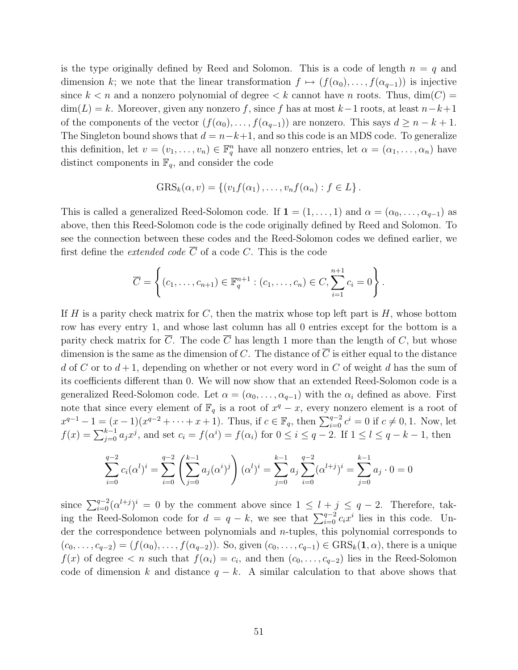is the type originally defined by Reed and Solomon. This is a code of length  $n = q$  and dimension k; we note that the linear transformation  $f \mapsto (f(\alpha_0), \ldots, f(\alpha_{q-1}))$  is injective since  $k < n$  and a nonzero polynomial of degree  $\lt k$  cannot have n roots. Thus,  $\dim(C)$  $\dim(L) = k$ . Moreover, given any nonzero f, since f has at most k-1 roots, at least  $n-k+1$ of the components of the vector  $(f(\alpha_0), \ldots, f(\alpha_{q-1}))$  are nonzero. This says  $d \geq n - k + 1$ . The Singleton bound shows that  $d = n-k+1$ , and so this code is an MDS code. To generalize this definition, let  $v = (v_1, \ldots, v_n) \in \mathbb{F}_q^n$  have all nonzero entries, let  $\alpha = (\alpha_1, \ldots, \alpha_n)$  have distinct components in  $\mathbb{F}_q$ , and consider the code

$$
GRSk(\alpha, v) = \{ (v_1 f(\alpha_1), \ldots, v_n f(\alpha_n) : f \in L \}.
$$

This is called a generalized Reed-Solomon code. If  $\mathbf{1} = (1, \ldots, 1)$  and  $\alpha = (\alpha_0, \ldots, \alpha_{q-1})$  as above, then this Reed-Solomon code is the code originally defined by Reed and Solomon. To see the connection between these codes and the Reed-Solomon codes we defined earlier, we first define the *extended code*  $\overline{C}$  of a code C. This is the code

$$
\overline{C} = \left\{ (c_1, \ldots, c_{n+1}) \in \mathbb{F}_q^{n+1} : (c_1, \ldots, c_n) \in C, \sum_{i=1}^{n+1} c_i = 0 \right\}.
$$

If H is a parity check matrix for C, then the matrix whose top left part is  $H$ , whose bottom row has every entry 1, and whose last column has all 0 entries except for the bottom is a parity check matrix for  $\overline{C}$ . The code  $\overline{C}$  has length 1 more than the length of C, but whose dimension is the same as the dimension of C. The distance of  $\overline{C}$  is either equal to the distance d of C or to  $d+1$ , depending on whether or not every word in C of weight d has the sum of its coefficients different than 0. We will now show that an extended Reed-Solomon code is a generalized Reed-Solomon code. Let  $\alpha = (\alpha_0, \ldots, \alpha_{q-1})$  with the  $\alpha_i$  defined as above. First note that since every element of  $\mathbb{F}_q$  is a root of  $x^q - x$ , every nonzero element is a root of  $x^{q-1} - 1 = (x - 1)(x^{q-2} + \cdots + x + 1)$ . Thus, if  $c \in \mathbb{F}_q$ , then  $\sum_{i=0}^{q-2} c^i = 0$  if  $c \neq 0, 1$ . Now, let  $f(x) = \sum_{j=0}^{k-1} a_j x^j$ , and set  $c_i = f(\alpha^i) = f(\alpha_i)$  for  $0 \le i \le q-2$ . If  $1 \le l \le q-k-1$ , then

$$
\sum_{i=0}^{q-2} c_i (\alpha^l)^i = \sum_{i=0}^{q-2} \left( \sum_{j=0}^{k-1} a_j (\alpha^i)^j \right) (\alpha^l)^i = \sum_{j=0}^{k-1} a_j \sum_{i=0}^{q-2} (\alpha^{l+j})^i = \sum_{j=0}^{k-1} a_j \cdot 0 = 0
$$

since  $\sum_{i=0}^{q-2} (\alpha^{l+j})^i = 0$  by the comment above since  $1 \leq l + j \leq q - 2$ . Therefore, taking the Reed-Solomon code for  $d = q - k$ , we see that  $\sum_{i=0}^{q-2} c_i x^i$  lies in this code. Under the correspondence between polynomials and n-tuples, this polynomial corresponds to  $(c_0, \ldots, c_{q-2}) = (f(\alpha_0), \ldots, f(\alpha_{q-2}))$ . So, given  $(c_0, \ldots, c_{q-1}) \in \text{GRS}_k(1, \alpha)$ , there is a unique  $f(x)$  of degree  $\lt n$  such that  $f(\alpha_i) = c_i$ , and then  $(c_0, \ldots, c_{q-2})$  lies in the Reed-Solomon code of dimension k and distance  $q - k$ . A similar calculation to that above shows that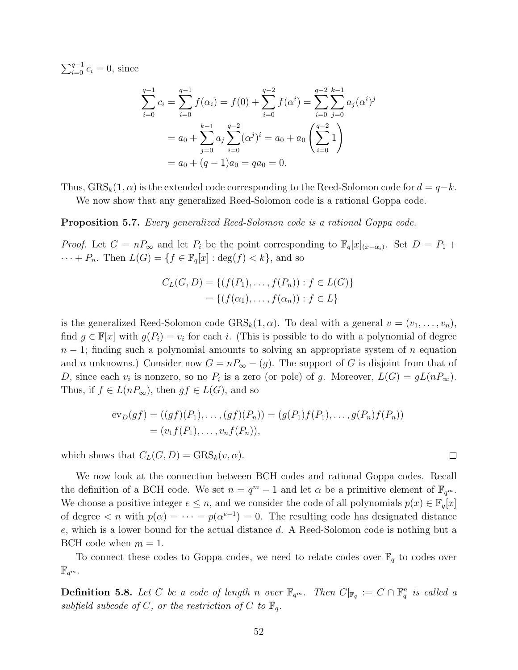$\sum_{i=0}^{q-1} c_i = 0$ , since

$$
\sum_{i=0}^{q-1} c_i = \sum_{i=0}^{q-1} f(\alpha_i) = f(0) + \sum_{i=0}^{q-2} f(\alpha^i) = \sum_{i=0}^{q-2} \sum_{j=0}^{k-1} a_j (\alpha^i)^j
$$

$$
= a_0 + \sum_{j=0}^{k-1} a_j \sum_{i=0}^{q-2} (\alpha^j)^i = a_0 + a_0 \left( \sum_{i=0}^{q-2} 1 \right)
$$

$$
= a_0 + (q-1)a_0 = qa_0 = 0.
$$

Thus,  $GRS_k(1, \alpha)$  is the extended code corresponding to the Reed-Solomon code for  $d = q-k$ . We now show that any generalized Reed-Solomon code is a rational Goppa code.

Proposition 5.7. Every generalized Reed-Solomon code is a rational Goppa code.

*Proof.* Let  $G = nP_{\infty}$  and let  $P_i$  be the point corresponding to  $\mathbb{F}_q[x]_{(x-\alpha_i)}$ . Set  $D = P_1 +$  $\cdots + P_n$ . Then  $L(G) = \{f \in \mathbb{F}_q[x] : \deg(f) < k\}$ , and so

$$
C_L(G, D) = \{ (f(P_1), \dots, f(P_n)) : f \in L(G) \}
$$
  
= \{ (f(\alpha\_1), \dots, f(\alpha\_n)) : f \in L \}

is the generalized Reed-Solomon code  $GRS_k(1, \alpha)$ . To deal with a general  $v = (v_1, \ldots, v_n)$ , find  $g \in \mathbb{F}[x]$  with  $g(P_i) = v_i$  for each i. (This is possible to do with a polynomial of degree  $n-1$ ; finding such a polynomial amounts to solving an appropriate system of n equation and n unknowns.) Consider now  $G = nP_\infty - (g)$ . The support of G is disjoint from that of D, since each  $v_i$  is nonzero, so no  $P_i$  is a zero (or pole) of g. Moreover,  $L(G) = gL(nP_{\infty})$ . Thus, if  $f \in L(nP_{\infty})$ , then  $gf \in L(G)$ , and so

$$
\mathrm{ev}_D(gf) = ((gf)(P_1), \dots, (gf)(P_n)) = (g(P_1)f(P_1), \dots, g(P_n)f(P_n))
$$
  
=  $(v_1f(P_1), \dots, v_nf(P_n)),$ 

which shows that  $C_L(G, D) = \text{GRS}_k(v, \alpha)$ .

We now look at the connection between BCH codes and rational Goppa codes. Recall the definition of a BCH code. We set  $n = q^m - 1$  and let  $\alpha$  be a primitive element of  $\mathbb{F}_{q^m}$ . We choose a positive integer  $e \leq n$ , and we consider the code of all polynomials  $p(x) \in \mathbb{F}_q[x]$ of degree  $\langle n \rangle$  with  $p(\alpha) = \cdots = p(\alpha^{e-1}) = 0$ . The resulting code has designated distance e, which is a lower bound for the actual distance d. A Reed-Solomon code is nothing but a BCH code when  $m = 1$ .

To connect these codes to Goppa codes, we need to relate codes over  $\mathbb{F}_q$  to codes over  $\mathbb{F}_{q^m}.$ 

**Definition 5.8.** Let C be a code of length n over  $\mathbb{F}_{q^m}$ . Then  $C|_{\mathbb{F}_q} := C \cap \mathbb{F}_q^n$  is called a subfield subcode of C, or the restriction of C to  $\mathbb{F}_q$ .

 $\Box$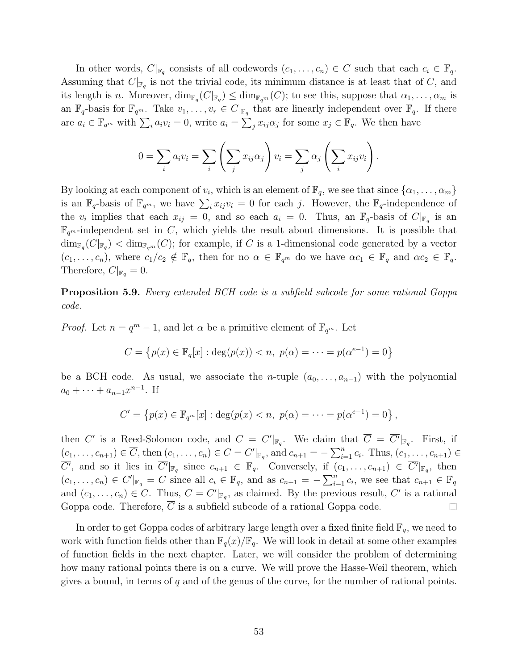In other words,  $C|_{\mathbb{F}_q}$  consists of all codewords  $(c_1, \ldots, c_n) \in C$  such that each  $c_i \in \mathbb{F}_q$ . Assuming that  $C|_{\mathbb{F}_q}$  is not the trivial code, its minimum distance is at least that of C, and its length is *n*. Moreover,  $\dim_{\mathbb{F}_q}(C|_{\mathbb{F}_q}) \leq \dim_{\mathbb{F}_{q^m}}(C)$ ; to see this, suppose that  $\alpha_1, \ldots, \alpha_m$  is an  $\mathbb{F}_q$ -basis for  $\mathbb{F}_{q^m}$ . Take  $v_1, \ldots, v_r \in C|_{\mathbb{F}_q}$  that are linearly independent over  $\mathbb{F}_q$ . If there are  $a_i \in \mathbb{F}_{q^m}$  with  $\sum_i a_i v_i = 0$ , write  $a_i = \sum_j x_{ij} \alpha_j$  for some  $x_j \in \mathbb{F}_q$ . We then have

$$
0 = \sum_{i} a_i v_i = \sum_{i} \left( \sum_{j} x_{ij} \alpha_j \right) v_i = \sum_{j} \alpha_j \left( \sum_{i} x_{ij} v_i \right).
$$

By looking at each component of  $v_i$ , which is an element of  $\mathbb{F}_q$ , we see that since  $\{\alpha_1, \dots, \alpha_m\}$ is an  $\mathbb{F}_q$ -basis of  $\mathbb{F}_{q^m}$ , we have  $\sum_i x_{ij}v_i = 0$  for each j. However, the  $\mathbb{F}_q$ -independence of the  $v_i$  implies that each  $x_{ij} = 0$ , and so each  $a_i = 0$ . Thus, an  $\mathbb{F}_q$ -basis of  $C|_{\mathbb{F}_q}$  is an  $\mathbb{F}_{q^m}$ -independent set in C, which yields the result about dimensions. It is possible that  $\dim_{\mathbb{F}_q}(C|_{\mathbb{F}_q}) < \dim_{\mathbb{F}_{q^m}}(C)$ ; for example, if C is a 1-dimensional code generated by a vector  $(c_1, \ldots, c_n)$ , where  $c_1/c_2 \notin \mathbb{F}_q$ , then for no  $\alpha \in \mathbb{F}_{q^m}$  do we have  $\alpha c_1 \in \mathbb{F}_q$  and  $\alpha c_2 \in \mathbb{F}_q$ . Therefore,  $C|_{\mathbb{F}_q} = 0$ .

Proposition 5.9. Every extended BCH code is a subfield subcode for some rational Goppa code.

*Proof.* Let  $n = q^m - 1$ , and let  $\alpha$  be a primitive element of  $\mathbb{F}_{q^m}$ . Let

$$
C = \{p(x) \in \mathbb{F}_q[x] : \deg(p(x)) < n, \ p(\alpha) = \dots = p(\alpha^{e-1}) = 0\}
$$

be a BCH code. As usual, we associate the *n*-tuple  $(a_0, \ldots, a_{n-1})$  with the polynomial  $a_0 + \cdots + a_{n-1}x^{n-1}$ . If

$$
C' = \{p(x) \in \mathbb{F}_{q^m}[x] : \deg(p(x) < n, \ p(\alpha) = \dots = p(\alpha^{e-1}) = 0\},\
$$

then C' is a Reed-Solomon code, and  $C = C'|_{\mathbb{F}_q}$ . We claim that  $C = C'|_{\mathbb{F}_q}$ . First, if  $(c_1, ..., c_{n+1}) \in \overline{C}$ , then  $(c_1, ..., c_n) \in C = C'|_{\mathbb{F}_q}$ , and  $c_{n+1} = -\sum_{i=1}^n c_i$ . Thus,  $(c_1, ..., c_{n+1}) \in$ C', and so it lies in  $C'|_{\mathbb{F}_q}$  since  $c_{n+1} \in \mathbb{F}_q$ . Conversely, if  $(c_1, \ldots, c_{n+1}) \in C'|_{\mathbb{F}_q}$ , then  $(c_1,\ldots,c_n) \in C'|_{\mathbb{F}_q} = C$  since all  $c_i \in \mathbb{F}_q$ , and as  $c_{n+1} = -\sum_{i=1}^n c_i$ , we see that  $c_{n+1} \in \mathbb{F}_q$ and  $(c_1, \ldots, c_n) \in C$ . Thus,  $C = C'|_{\mathbb{F}_q}$ , as claimed. By the previous result,  $C'$  is a rational Goppa code. Therefore,  $\overline{C}$  is a subfield subcode of a rational Goppa code.  $\Box$ 

In order to get Goppa codes of arbitrary large length over a fixed finite field  $\mathbb{F}_q$ , we need to work with function fields other than  $\mathbb{F}_q(x)/\mathbb{F}_q$ . We will look in detail at some other examples of function fields in the next chapter. Later, we will consider the problem of determining how many rational points there is on a curve. We will prove the Hasse-Weil theorem, which gives a bound, in terms of  $q$  and of the genus of the curve, for the number of rational points.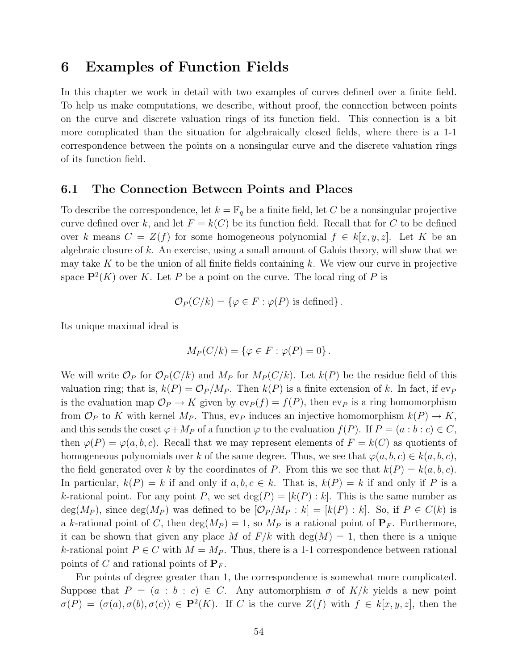# 6 Examples of Function Fields

In this chapter we work in detail with two examples of curves defined over a finite field. To help us make computations, we describe, without proof, the connection between points on the curve and discrete valuation rings of its function field. This connection is a bit more complicated than the situation for algebraically closed fields, where there is a 1-1 correspondence between the points on a nonsingular curve and the discrete valuation rings of its function field.

### 6.1 The Connection Between Points and Places

To describe the correspondence, let  $k = \mathbb{F}_q$  be a finite field, let C be a nonsingular projective curve defined over k, and let  $F = k(C)$  be its function field. Recall that for C to be defined over k means  $C = Z(f)$  for some homogeneous polynomial  $f \in k[x, y, z]$ . Let K be an algebraic closure of k. An exercise, using a small amount of Galois theory, will show that we may take K to be the union of all finite fields containing  $k$ . We view our curve in projective space  $\mathbf{P}^2(K)$  over K. Let P be a point on the curve. The local ring of P is

$$
\mathcal{O}_P(C/k) = \{ \varphi \in F : \varphi(P) \text{ is defined} \}.
$$

Its unique maximal ideal is

$$
M_P(C/k) = \{ \varphi \in F : \varphi(P) = 0 \}.
$$

We will write  $\mathcal{O}_P$  for  $\mathcal{O}_P(C/k)$  and  $M_P$  for  $M_P(C/k)$ . Let  $k(P)$  be the residue field of this valuation ring; that is,  $k(P) = \mathcal{O}_P/M_P$ . Then  $k(P)$  is a finite extension of k. In fact, if ev<sub>P</sub> is the evaluation map  $\mathcal{O}_P \to K$  given by  $ev_P(f) = f(P)$ , then  $ev_P$  is a ring homomorphism from  $\mathcal{O}_P$  to K with kernel  $M_P$ . Thus, ev<sub>P</sub> induces an injective homomorphism  $k(P) \to K$ , and this sends the coset  $\varphi + M_P$  of a function  $\varphi$  to the evaluation  $f(P)$ . If  $P = (a : b : c) \in C$ , then  $\varphi(P) = \varphi(a, b, c)$ . Recall that we may represent elements of  $F = k(C)$  as quotients of homogeneous polynomials over k of the same degree. Thus, we see that  $\varphi(a, b, c) \in k(a, b, c)$ , the field generated over k by the coordinates of P. From this we see that  $k(P) = k(a, b, c)$ . In particular,  $k(P) = k$  if and only if  $a, b, c \in k$ . That is,  $k(P) = k$  if and only if P is a k-rational point. For any point P, we set  $\deg(P) = [k(P) : k]$ . This is the same number as  $deg(M_P)$ , since  $deg(M_P)$  was defined to be  $[\mathcal{O}_P/M_P : k] = [k(P) : k]$ . So, if  $P \in C(k)$  is a k-rational point of C, then  $deg(M_P) = 1$ , so  $M_P$  is a rational point of  $P_F$ . Furthermore, it can be shown that given any place M of  $F/k$  with  $\deg(M) = 1$ , then there is a unique k-rational point  $P \in C$  with  $M = M_P$ . Thus, there is a 1-1 correspondence between rational points of C and rational points of  $P_F$ .

For points of degree greater than 1, the correspondence is somewhat more complicated. Suppose that  $P = (a : b : c) \in C$ . Any automorphism  $\sigma$  of  $K/k$  yields a new point  $\sigma(P) = (\sigma(a), \sigma(b), \sigma(c)) \in \mathbf{P}^2(K)$ . If C is the curve  $Z(f)$  with  $f \in k[x, y, z]$ , then the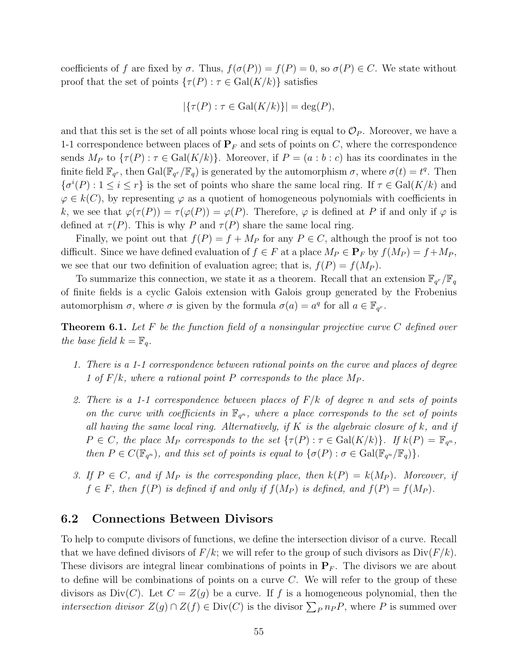coefficients of f are fixed by  $\sigma$ . Thus,  $f(\sigma(P)) = f(P) = 0$ , so  $\sigma(P) \in C$ . We state without proof that the set of points  $\{\tau(P) : \tau \in \text{Gal}(K/k)\}\$  satisfies

$$
|\{\tau(P) : \tau \in \text{Gal}(K/k)\}| = \text{deg}(P),
$$

and that this set is the set of all points whose local ring is equal to  $\mathcal{O}_P$ . Moreover, we have a 1-1 correspondence between places of  $P_F$  and sets of points on C, where the correspondence sends  $M_P$  to  $\{\tau(P): \tau \in \text{Gal}(K/k)\}\$ . Moreover, if  $P = (a:b:c)$  has its coordinates in the finite field  $\mathbb{F}_{q^r}$ , then  $Gal(\mathbb{F}_{q^r}/\mathbb{F}_q)$  is generated by the automorphism  $\sigma$ , where  $\sigma(t) = t^q$ . Then  $\{\sigma^i(P): 1 \leq i \leq r\}$  is the set of points who share the same local ring. If  $\tau \in \text{Gal}(K/k)$  and  $\varphi \in k(C)$ , by representing  $\varphi$  as a quotient of homogeneous polynomials with coefficients in k, we see that  $\varphi(\tau(P)) = \tau(\varphi(P)) = \varphi(P)$ . Therefore,  $\varphi$  is defined at P if and only if  $\varphi$  is defined at  $\tau(P)$ . This is why P and  $\tau(P)$  share the same local ring.

Finally, we point out that  $f(P) = f + M_P$  for any  $P \in C$ , although the proof is not too difficult. Since we have defined evaluation of  $f \in F$  at a place  $M_P \in \mathbf{P}_F$  by  $f(M_P) = f + M_P$ , we see that our two definition of evaluation agree; that is,  $f(P) = f(M_P)$ .

To summarize this connection, we state it as a theorem. Recall that an extension  $\mathbb{F}_{q^r}/\mathbb{F}_q$ of finite fields is a cyclic Galois extension with Galois group generated by the Frobenius automorphism  $\sigma$ , where  $\sigma$  is given by the formula  $\sigma(a) = a^q$  for all  $a \in \mathbb{F}_{q^r}$ .

**Theorem 6.1.** Let F be the function field of a nonsingular projective curve C defined over the base field  $k = \mathbb{F}_q$ .

- 1. There is a 1-1 correspondence between rational points on the curve and places of degree 1 of  $F/k$ , where a rational point P corresponds to the place  $M_P$ .
- 2. There is a 1-1 correspondence between places of  $F/k$  of degree n and sets of points on the curve with coefficients in  $\mathbb{F}_{q^n}$ , where a place corresponds to the set of points all having the same local ring. Alternatively, if  $K$  is the algebraic closure of k, and if  $P \in C$ , the place  $M_P$  corresponds to the set  $\{\tau(P) : \tau \in \text{Gal}(K/k)\}\$ . If  $k(P) = \mathbb{F}_{q^n}$ , then  $P \in C(\mathbb{F}_{q^n})$ , and this set of points is equal to  $\{\sigma(P) : \sigma \in \text{Gal}(\mathbb{F}_{q^n}/\mathbb{F}_q)\}.$
- 3. If  $P \in C$ , and if  $M_P$  is the corresponding place, then  $k(P) = k(M_P)$ . Moreover, if  $f \in F$ , then  $f(P)$  is defined if and only if  $f(M_P)$  is defined, and  $f(P) = f(M_P)$ .

### 6.2 Connections Between Divisors

To help to compute divisors of functions, we define the intersection divisor of a curve. Recall that we have defined divisors of  $F/k$ ; we will refer to the group of such divisors as  $Div(F/k)$ . These divisors are integral linear combinations of points in  $P_F$ . The divisors we are about to define will be combinations of points on a curve  $C$ . We will refer to the group of these divisors as  $Div(C)$ . Let  $C = Z(g)$  be a curve. If f is a homogeneous polynomial, then the *intersection divisor*  $Z(g) \cap Z(f) \in Div(C)$  is the divisor  $\sum_{P} n_{P}P$ , where P is summed over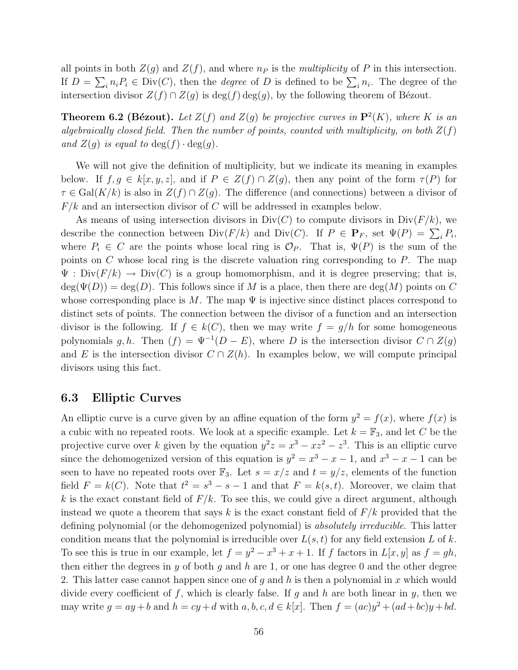all points in both  $Z(g)$  and  $Z(f)$ , and where  $n_P$  is the *multiplicity* of P in this intersection. If  $D = \sum_i n_i P_i \in Div(C)$ , then the *degree* of D is defined to be  $\sum_i n_i$ . The degree of the intersection divisor  $Z(f) \cap Z(g)$  is  $\deg(f) \deg(g)$ , by the following theorem of Bézout.

**Theorem 6.2 (Bézout).** Let  $Z(f)$  and  $Z(g)$  be projective curves in  $\mathbf{P}^2(K)$ , where K is an algebraically closed field. Then the number of points, counted with multiplicity, on both  $Z(f)$ and  $Z(q)$  is equal to  $\deg(f) \cdot \deg(q)$ .

We will not give the definition of multiplicity, but we indicate its meaning in examples below. If  $f, g \in k[x, y, z]$ , and if  $P \in Z(f) \cap Z(g)$ , then any point of the form  $\tau(P)$  for  $\tau \in \text{Gal}(K/k)$  is also in  $Z(f) \cap Z(g)$ . The difference (and connections) between a divisor of  $F/k$  and an intersection divisor of C will be addressed in examples below.

As means of using intersection divisors in  $Div(C)$  to compute divisors in  $Div(F/k)$ , we describe the connection between  $\text{Div}(F/k)$  and  $\text{Div}(C)$ . If  $P \in \mathbf{P}_F$ , set  $\Psi(P) = \sum_i P_i$ , where  $P_i \in C$  are the points whose local ring is  $\mathcal{O}_P$ . That is,  $\Psi(P)$  is the sum of the points on  $C$  whose local ring is the discrete valuation ring corresponding to  $P$ . The map  $\Psi : Div(F/k) \to Div(C)$  is a group homomorphism, and it is degree preserving; that is,  $\deg(\Psi(D)) = \deg(D)$ . This follows since if M is a place, then there are  $\deg(M)$  points on C whose corresponding place is M. The map  $\Psi$  is injective since distinct places correspond to distinct sets of points. The connection between the divisor of a function and an intersection divisor is the following. If  $f \in k(C)$ , then we may write  $f = g/h$  for some homogeneous polynomials g, h. Then  $(f) = \Psi^{-1}(D - E)$ , where D is the intersection divisor  $C \cap Z(g)$ and E is the intersection divisor  $C \cap Z(h)$ . In examples below, we will compute principal divisors using this fact.

#### 6.3 Elliptic Curves

An elliptic curve is a curve given by an affine equation of the form  $y^2 = f(x)$ , where  $f(x)$  is a cubic with no repeated roots. We look at a specific example. Let  $k = \mathbb{F}_3$ , and let C be the projective curve over k given by the equation  $y^2z = x^3 - xz^2 - z^3$ . This is an elliptic curve since the dehomogenized version of this equation is  $y^2 = x^3 - x - 1$ , and  $x^3 - x - 1$  can be seen to have no repeated roots over  $\mathbb{F}_3$ . Let  $s = x/z$  and  $t = y/z$ , elements of the function field  $F = k(C)$ . Note that  $t^2 = s^3 - s - 1$  and that  $F = k(s, t)$ . Moreover, we claim that k is the exact constant field of  $F/k$ . To see this, we could give a direct argument, although instead we quote a theorem that says k is the exact constant field of  $F/k$  provided that the defining polynomial (or the dehomogenized polynomial) is *absolutely irreducible*. This latter condition means that the polynomial is irreducible over  $L(s, t)$  for any field extension L of k. To see this is true in our example, let  $f = y^2 - x^3 + x + 1$ . If f factors in  $L[x, y]$  as  $f = gh$ , then either the degrees in y of both g and h are 1, or one has degree 0 and the other degree 2. This latter case cannot happen since one of g and h is then a polynomial in x which would divide every coefficient of f, which is clearly false. If g and h are both linear in y, then we may write  $g = ay + b$  and  $h = cy + d$  with  $a, b, c, d \in k[x]$ . Then  $f = (ac)y^2 + (ad + bc)y + bd$ .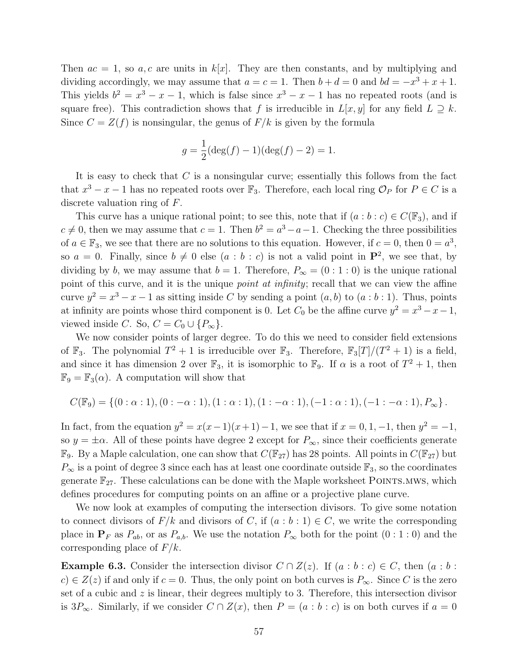Then  $ac = 1$ , so a, c are units in  $k[x]$ . They are then constants, and by multiplying and dividing accordingly, we may assume that  $a = c = 1$ . Then  $b + d = 0$  and  $bd = -x^3 + x + 1$ . This yields  $b^2 = x^3 - x - 1$ , which is false since  $x^3 - x - 1$  has no repeated roots (and is square free). This contradiction shows that f is irreducible in  $L[x, y]$  for any field  $L \supseteq k$ . Since  $C = Z(f)$  is nonsingular, the genus of  $F/k$  is given by the formula

$$
g = \frac{1}{2}(\deg(f) - 1)(\deg(f) - 2) = 1.
$$

It is easy to check that  $C$  is a nonsingular curve; essentially this follows from the fact that  $x^3 - x - 1$  has no repeated roots over  $\mathbb{F}_3$ . Therefore, each local ring  $\mathcal{O}_P$  for  $P \in C$  is a discrete valuation ring of F.

This curve has a unique rational point; to see this, note that if  $(a : b : c) \in C(\mathbb{F}_3)$ , and if  $c \neq 0$ , then we may assume that  $c = 1$ . Then  $b^2 = a^3 - a - 1$ . Checking the three possibilities of  $a \in \mathbb{F}_3$ , we see that there are no solutions to this equation. However, if  $c = 0$ , then  $0 = a^3$ , so  $a = 0$ . Finally, since  $b \neq 0$  else  $(a : b : c)$  is not a valid point in  $\mathbf{P}^2$ , we see that, by dividing by b, we may assume that  $b = 1$ . Therefore,  $P_{\infty} = (0:1:0)$  is the unique rational point of this curve, and it is the unique *point at infinity*; recall that we can view the affine curve  $y^2 = x^3 - x - 1$  as sitting inside C by sending a point  $(a, b)$  to  $(a : b : 1)$ . Thus, points at infinity are points whose third component is 0. Let  $C_0$  be the affine curve  $y^2 = x^3 - x - 1$ , viewed inside C. So,  $C = C_0 \cup \{P_{\infty}\}.$ 

We now consider points of larger degree. To do this we need to consider field extensions of  $\mathbb{F}_3$ . The polynomial  $T^2 + 1$  is irreducible over  $\mathbb{F}_3$ . Therefore,  $\mathbb{F}_3[T]/(T^2 + 1)$  is a field, and since it has dimension 2 over  $\mathbb{F}_3$ , it is isomorphic to  $\mathbb{F}_9$ . If  $\alpha$  is a root of  $T^2 + 1$ , then  $\mathbb{F}_9 = \mathbb{F}_3(\alpha)$ . A computation will show that

$$
C(\mathbb{F}_9) = \{ (0 : \alpha : 1), (0 : -\alpha : 1), (1 : \alpha : 1), (1 : -\alpha : 1), (-1 : \alpha : 1), (-1 : -\alpha : 1), P_\infty \}.
$$

In fact, from the equation  $y^2 = x(x-1)(x+1) - 1$ , we see that if  $x = 0, 1, -1$ , then  $y^2 = -1$ , so  $y = \pm \alpha$ . All of these points have degree 2 except for  $P_{\infty}$ , since their coefficients generate  $\mathbb{F}_9$ . By a Maple calculation, one can show that  $C(\mathbb{F}_{27})$  has 28 points. All points in  $C(\mathbb{F}_{27})$  but  $P_{\infty}$  is a point of degree 3 since each has at least one coordinate outside  $\mathbb{F}_3$ , so the coordinates generate  $\mathbb{F}_{27}$ . These calculations can be done with the Maple worksheet POINTS.MWS, which defines procedures for computing points on an affine or a projective plane curve.

We now look at examples of computing the intersection divisors. To give some notation to connect divisors of  $F/k$  and divisors of C, if  $(a:b:1) \in C$ , we write the corresponding place in  $P_F$  as  $P_{ab}$ , or as  $P_{a,b}$ . We use the notation  $P_{\infty}$  both for the point  $(0:1:0)$  and the corresponding place of  $F/k$ .

**Example 6.3.** Consider the intersection divisor  $C \cap Z(z)$ . If  $(a : b : c) \in C$ , then  $(a : b : c)$  $c \in Z(z)$  if and only if  $c = 0$ . Thus, the only point on both curves is  $P_{\infty}$ . Since C is the zero set of a cubic and  $z$  is linear, their degrees multiply to 3. Therefore, this intersection divisor is  $3P_{\infty}$ . Similarly, if we consider  $C \cap Z(x)$ , then  $P = (a : b : c)$  is on both curves if  $a = 0$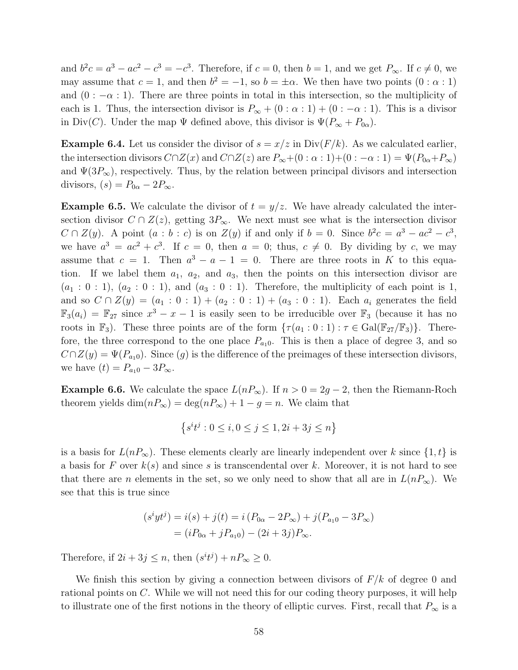and  $b^2c = a^3 - ac^2 - c^3 = -c^3$ . Therefore, if  $c = 0$ , then  $b = 1$ , and we get  $P_{\infty}$ . If  $c \neq 0$ , we may assume that  $c = 1$ , and then  $b^2 = -1$ , so  $b = \pm \alpha$ . We then have two points  $(0 : \alpha : 1)$ and  $(0: -\alpha: 1)$ . There are three points in total in this intersection, so the multiplicity of each is 1. Thus, the intersection divisor is  $P_{\infty} + (0 : \alpha : 1) + (0 : -\alpha : 1)$ . This is a divisor in Div(C). Under the map  $\Psi$  defined above, this divisor is  $\Psi(P_{\infty} + P_{0\alpha})$ .

**Example 6.4.** Let us consider the divisor of  $s = x/z$  in  $Div(F/k)$ . As we calculated earlier, the intersection divisors  $C \cap Z(x)$  and  $C \cap Z(z)$  are  $P_{\infty}+(0:\alpha:1)+(0:-\alpha:1)=\Psi(P_{0\alpha}+P_{\infty})$ and  $\Psi(3P_{\infty})$ , respectively. Thus, by the relation between principal divisors and intersection divisors,  $(s) = P_{0\alpha} - 2P_{\infty}$ .

**Example 6.5.** We calculate the divisor of  $t = y/z$ . We have already calculated the intersection divisor  $C \cap Z(z)$ , getting  $3P_{\infty}$ . We next must see what is the intersection divisor  $C \cap Z(y)$ . A point  $(a : b : c)$  is on  $Z(y)$  if and only if  $b = 0$ . Since  $b^2c = a^3 - ac^2 - c^3$ , we have  $a^3 = ac^2 + c^3$ . If  $c = 0$ , then  $a = 0$ ; thus,  $c \neq 0$ . By dividing by c, we may assume that  $c = 1$ . Then  $a^3 - a - 1 = 0$ . There are three roots in K to this equation. If we label them  $a_1$ ,  $a_2$ , and  $a_3$ , then the points on this intersection divisor are  $(a_1 : 0 : 1), (a_2 : 0 : 1),$  and  $(a_3 : 0 : 1)$ . Therefore, the multiplicity of each point is 1, and so  $C \cap Z(y) = (a_1 : 0 : 1) + (a_2 : 0 : 1) + (a_3 : 0 : 1)$ . Each  $a_i$  generates the field  $\mathbb{F}_3(a_i) = \mathbb{F}_{27}$  since  $x^3 - x - 1$  is easily seen to be irreducible over  $\mathbb{F}_3$  (because it has no roots in  $\mathbb{F}_3$ ). These three points are of the form  $\{\tau(a_1:0:1):\tau\in Gal(\mathbb{F}_{27}/\mathbb{F}_3)\}\.$  Therefore, the three correspond to the one place  $P_{a_10}$ . This is then a place of degree 3, and so  $C \cap Z(y) = \Psi(P_{a_10})$ . Since  $(g)$  is the difference of the preimages of these intersection divisors, we have  $(t) = P_{a_10} - 3P_{\infty}$ .

**Example 6.6.** We calculate the space  $L(nP_{\infty})$ . If  $n > 0 = 2g - 2$ , then the Riemann-Roch theorem yields  $\dim(nP_{\infty}) = \deg(nP_{\infty}) + 1 - g = n$ . We claim that

$$
\left\{s^it^j: 0\leq i, 0\leq j\leq 1, 2i+3j\leq n\right\}
$$

is a basis for  $L(nP_{\infty})$ . These elements clearly are linearly independent over k since  $\{1,t\}$  is a basis for F over  $k(s)$  and since s is transcendental over k. Moreover, it is not hard to see that there are *n* elements in the set, so we only need to show that all are in  $L(nP_\infty)$ . We see that this is true since

$$
(s^i y t^j) = i(s) + j(t) = i (P_{0\alpha} - 2P_{\infty}) + j(P_{a_1 0} - 3P_{\infty})
$$
  
=  $(iP_{0\alpha} + jP_{a_1 0}) - (2i + 3j)P_{\infty}$ .

Therefore, if  $2i + 3j \le n$ , then  $(s^i t^j) + nP_\infty \ge 0$ .

We finish this section by giving a connection between divisors of  $F/k$  of degree 0 and rational points on C. While we will not need this for our coding theory purposes, it will help to illustrate one of the first notions in the theory of elliptic curves. First, recall that  $P_{\infty}$  is a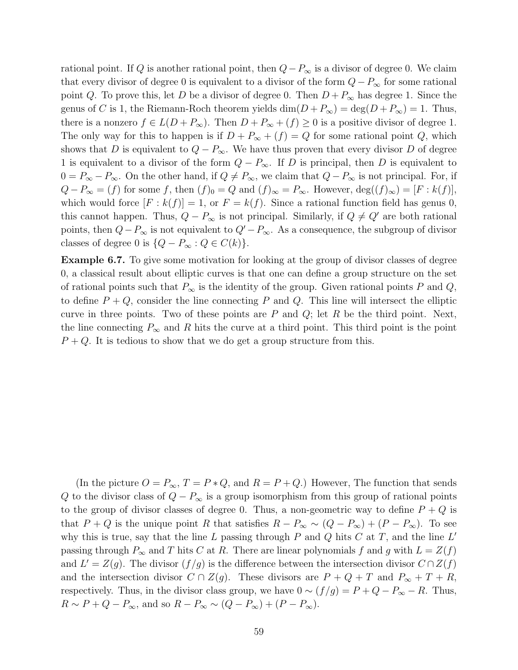rational point. If Q is another rational point, then  $Q-P_{\infty}$  is a divisor of degree 0. We claim that every divisor of degree 0 is equivalent to a divisor of the form  $Q - P_{\infty}$  for some rational point Q. To prove this, let D be a divisor of degree 0. Then  $D + P_{\infty}$  has degree 1. Since the genus of C is 1, the Riemann-Roch theorem yields  $\dim(D + P_\infty) = \deg(D + P_\infty) = 1$ . Thus, there is a nonzero  $f \in L(D + P_{\infty})$ . Then  $D + P_{\infty} + (f) \geq 0$  is a positive divisor of degree 1. The only way for this to happen is if  $D + P_{\infty} + (f) = Q$  for some rational point Q, which shows that D is equivalent to  $Q - P_{\infty}$ . We have thus proven that every divisor D of degree 1 is equivalent to a divisor of the form  $Q - P_{\infty}$ . If D is principal, then D is equivalent to  $0 = P_{\infty} - P_{\infty}$ . On the other hand, if  $Q \neq P_{\infty}$ , we claim that  $Q - P_{\infty}$  is not principal. For, if  $Q - P_{\infty} = (f)$  for some f, then  $(f)_0 = Q$  and  $(f)_{\infty} = P_{\infty}$ . However,  $deg((f)_{\infty}) = [F : k(f)],$ which would force  $[F: k(f)] = 1$ , or  $F = k(f)$ . Since a rational function field has genus 0, this cannot happen. Thus,  $Q - P_{\infty}$  is not principal. Similarly, if  $Q \neq Q'$  are both rational points, then  $Q-P_{\infty}$  is not equivalent to  $Q'-P_{\infty}$ . As a consequence, the subgroup of divisor classes of degree 0 is  $\{Q - P_{\infty} : Q \in C(k)\}.$ 

Example 6.7. To give some motivation for looking at the group of divisor classes of degree 0, a classical result about elliptic curves is that one can define a group structure on the set of rational points such that  $P_{\infty}$  is the identity of the group. Given rational points P and Q, to define  $P + Q$ , consider the line connecting P and Q. This line will intersect the elliptic curve in three points. Two of these points are  $P$  and  $Q$ ; let  $R$  be the third point. Next, the line connecting  $P_{\infty}$  and R hits the curve at a third point. This third point is the point  $P + Q$ . It is tedious to show that we do get a group structure from this.

(In the picture  $O = P_{\infty}$ ,  $T = P * Q$ , and  $R = P + Q$ .) However, The function that sends Q to the divisor class of  $Q - P_{\infty}$  is a group isomorphism from this group of rational points to the group of divisor classes of degree 0. Thus, a non-geometric way to define  $P + Q$  is that  $P + Q$  is the unique point R that satisfies  $R - P_{\infty} \sim (Q - P_{\infty}) + (P - P_{\infty})$ . To see why this is true, say that the line L passing through P and Q hits C at T, and the line  $L'$ passing through  $P_{\infty}$  and T hits C at R. There are linear polynomials f and g with  $L = Z(f)$ and  $L' = Z(g)$ . The divisor  $(f/g)$  is the difference between the intersection divisor  $C \cap Z(f)$ and the intersection divisor  $C \cap Z(g)$ . These divisors are  $P + Q + T$  and  $P_{\infty} + T + R$ , respectively. Thus, in the divisor class group, we have  $0 \sim (f/g) = P + Q - P_{\infty} - R$ . Thus,  $R \sim P + Q - P_{\infty}$ , and so  $R - P_{\infty} \sim (Q - P_{\infty}) + (P - P_{\infty})$ .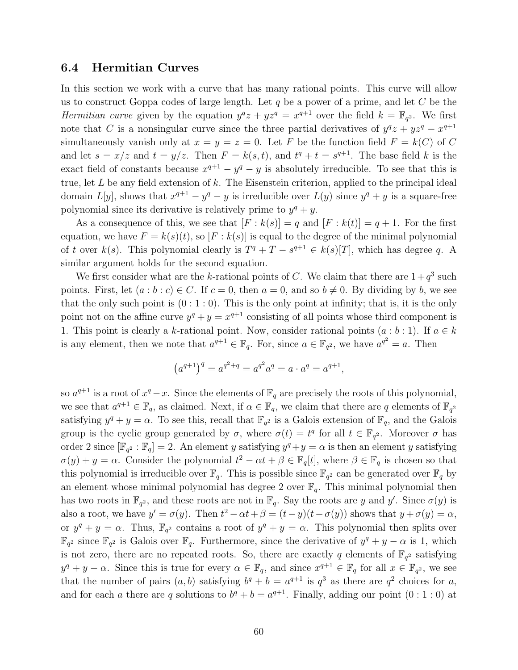### 6.4 Hermitian Curves

In this section we work with a curve that has many rational points. This curve will allow us to construct Goppa codes of large length. Let  $q$  be a power of a prime, and let  $C$  be the Hermitian curve given by the equation  $y^q z + y z^q = x^{q+1}$  over the field  $k = \mathbb{F}_{q^2}$ . We first note that C is a nonsingular curve since the three partial derivatives of  $y^qz + yz^q - x^{q+1}$ simultaneously vanish only at  $x = y = z = 0$ . Let F be the function field  $F = k(C)$  of C and let  $s = x/z$  and  $t = y/z$ . Then  $F = k(s, t)$ , and  $t^q + t = s^{q+1}$ . The base field k is the exact field of constants because  $x^{q+1} - y^q - y$  is absolutely irreducible. To see that this is true, let  $L$  be any field extension of  $k$ . The Eisenstein criterion, applied to the principal ideal domain  $L[y]$ , shows that  $x^{q+1} - y^q - y$  is irreducible over  $L(y)$  since  $y^q + y$  is a square-free polynomial since its derivative is relatively prime to  $y^q + y$ .

As a consequence of this, we see that  $[F : k(s)] = q$  and  $[F : k(t)] = q + 1$ . For the first equation, we have  $F = k(s)(t)$ , so  $[F : k(s)]$  is equal to the degree of the minimal polynomial of t over  $k(s)$ . This polynomial clearly is  $T^q + T - s^{q+1} \in k(s)[T]$ , which has degree q. A similar argument holds for the second equation.

We first consider what are the k-rational points of C. We claim that there are  $1+q^3$  such points. First, let  $(a:b:c) \in C$ . If  $c = 0$ , then  $a = 0$ , and so  $b \neq 0$ . By dividing by b, we see that the only such point is  $(0:1:0)$ . This is the only point at infinity; that is, it is the only point not on the affine curve  $y^q + y = x^{q+1}$  consisting of all points whose third component is 1. This point is clearly a k-rational point. Now, consider rational points  $(a:b:1)$ . If  $a \in k$ is any element, then we note that  $a^{q+1} \in \mathbb{F}_q$ . For, since  $a \in \mathbb{F}_{q^2}$ , we have  $a^{q^2} = a$ . Then

$$
(a^{q+1})^q = a^{q^2+q} = a^{q^2}a^q = a \cdot a^q = a^{q+1},
$$

so  $a^{q+1}$  is a root of  $x^q - x$ . Since the elements of  $\mathbb{F}_q$  are precisely the roots of this polynomial, we see that  $a^{q+1} \in \mathbb{F}_q$ , as claimed. Next, if  $\alpha \in \mathbb{F}_q$ , we claim that there are q elements of  $\mathbb{F}_{q^2}$ satisfying  $y^q + y = \alpha$ . To see this, recall that  $\mathbb{F}_{q^2}$  is a Galois extension of  $\mathbb{F}_q$ , and the Galois group is the cyclic group generated by  $\sigma$ , where  $\sigma(t) = t^q$  for all  $t \in \mathbb{F}_{q^2}$ . Moreover  $\sigma$  has order 2 since  $[\mathbb{F}_{q^2} : \mathbb{F}_q] = 2$ . An element y satisfying  $y^q + y = \alpha$  is then an element y satisfying  $\sigma(y) + y = \alpha$ . Consider the polynomial  $t^2 - \alpha t + \beta \in \mathbb{F}_q[t]$ , where  $\beta \in \mathbb{F}_q$  is chosen so that this polynomial is irreducible over  $\mathbb{F}_q$ . This is possible since  $\mathbb{F}_{q^2}$  can be generated over  $\mathbb{F}_q$  by an element whose minimal polynomial has degree 2 over  $\mathbb{F}_q$ . This minimal polynomial then has two roots in  $\mathbb{F}_{q^2}$ , and these roots are not in  $\mathbb{F}_q$ . Say the roots are y and y'. Since  $\sigma(y)$  is also a root, we have  $y' = \sigma(y)$ . Then  $t^2 - \alpha t + \beta = (t - y)(t - \sigma(y))$  shows that  $y + \sigma(y) = \alpha$ , or  $y^q + y = \alpha$ . Thus,  $\mathbb{F}_{q^2}$  contains a root of  $y^q + y = \alpha$ . This polynomial then splits over  $\mathbb{F}_{q^2}$  since  $\mathbb{F}_{q^2}$  is Galois over  $\mathbb{F}_q$ . Furthermore, since the derivative of  $y^q + y - \alpha$  is 1, which is not zero, there are no repeated roots. So, there are exactly q elements of  $\mathbb{F}_{q^2}$  satisfying  $y^q + y - \alpha$ . Since this is true for every  $\alpha \in \mathbb{F}_q$ , and since  $x^{q+1} \in \mathbb{F}_q$  for all  $x \in \mathbb{F}_{q^2}$ , we see that the number of pairs  $(a, b)$  satisfying  $b^q + b = a^{q+1}$  is  $q^3$  as there are  $q^2$  choices for a, and for each a there are q solutions to  $b^q + b = a^{q+1}$ . Finally, adding our point  $(0:1:0)$  at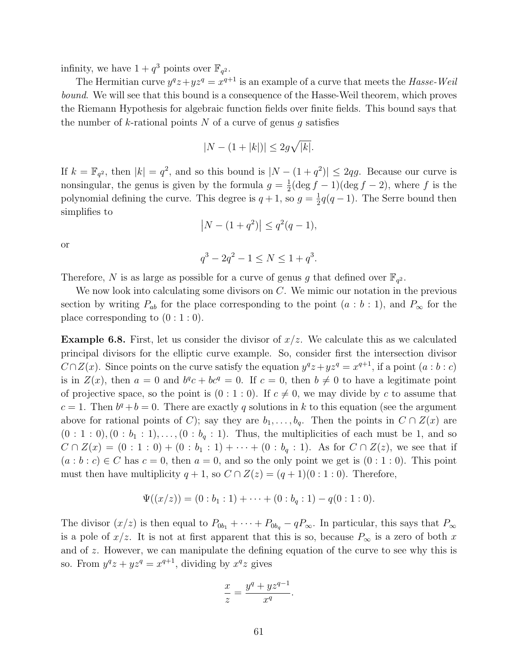infinity, we have  $1 + q^3$  points over  $\mathbb{F}_{q^2}$ .

The Hermitian curve  $y^q z + y z^q = x^{q+1}$  is an example of a curve that meets the Hasse-Weil bound. We will see that this bound is a consequence of the Hasse-Weil theorem, which proves the Riemann Hypothesis for algebraic function fields over finite fields. This bound says that the number of k-rational points N of a curve of genus q satisfies

$$
|N - (1+|k|)| \le 2g\sqrt{|k|}.
$$

If  $k = \mathbb{F}_{q^2}$ , then  $|k| = q^2$ , and so this bound is  $|N - (1 + q^2)| \leq 2qg$ . Because our curve is nonsingular, the genus is given by the formula  $g = \frac{1}{2}$  $\frac{1}{2}(\deg f-1)(\deg f-2)$ , where f is the polynomial defining the curve. This degree is  $q+1$ , so  $q=\frac{1}{2}$  $\frac{1}{2}q(q-1)$ . The Serre bound then simplifies to

$$
|N - (1 + q^2)| \le q^2(q - 1),
$$

or

$$
q^3 - 2q^2 - 1 \le N \le 1 + q^3.
$$

Therefore, N is as large as possible for a curve of genus g that defined over  $\mathbb{F}_{q^2}$ .

We now look into calculating some divisors on  $C$ . We mimic our notation in the previous section by writing  $P_{ab}$  for the place corresponding to the point  $(a : b : 1)$ , and  $P_{\infty}$  for the place corresponding to  $(0:1:0)$ .

**Example 6.8.** First, let us consider the divisor of  $x/z$ . We calculate this as we calculated principal divisors for the elliptic curve example. So, consider first the intersection divisor  $C \cap Z(x)$ . Since points on the curve satisfy the equation  $y^q z + y z^q = x^{q+1}$ , if a point  $(a : b : c)$ is in  $Z(x)$ , then  $a = 0$  and  $b^q c + bc^q = 0$ . If  $c = 0$ , then  $b \neq 0$  to have a legitimate point of projective space, so the point is  $(0:1:0)$ . If  $c \neq 0$ , we may divide by c to assume that  $c = 1$ . Then  $b^q + b = 0$ . There are exactly q solutions in k to this equation (see the argument above for rational points of C); say they are  $b_1, \ldots, b_q$ . Then the points in  $C \cap Z(x)$  are  $(0:1:0), (0:b_1:1), \ldots, (0:b_q:1)$ . Thus, the multiplicities of each must be 1, and so  $C \cap Z(x) = (0 : 1 : 0) + (0 : b_1 : 1) + \cdots + (0 : b_q : 1)$ . As for  $C \cap Z(z)$ , we see that if  $(a:b:c) \in C$  has  $c=0$ , then  $a=0$ , and so the only point we get is  $(0:1:0)$ . This point must then have multiplicity  $q + 1$ , so  $C \cap Z(z) = (q + 1)(0 : 1 : 0)$ . Therefore,

$$
\Psi((x/z)) = (0:b_1:1) + \cdots + (0:b_q:1) - q(0:1:0).
$$

The divisor  $(x/z)$  is then equal to  $P_{0b_1} + \cdots + P_{0b_q} - qP_{\infty}$ . In particular, this says that  $P_{\infty}$ is a pole of  $x/z$ . It is not at first apparent that this is so, because  $P_{\infty}$  is a zero of both x and of z. However, we can manipulate the defining equation of the curve to see why this is so. From  $y^q z + y z^q = x^{q+1}$ , dividing by  $x^q z$  gives

$$
\frac{x}{z} = \frac{y^q + yz^{q-1}}{x^q}.
$$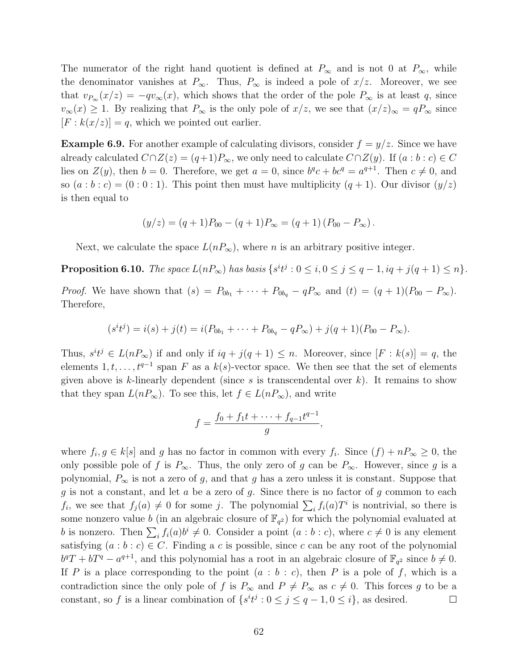The numerator of the right hand quotient is defined at  $P_{\infty}$  and is not 0 at  $P_{\infty}$ , while the denominator vanishes at  $P_{\infty}$ . Thus,  $P_{\infty}$  is indeed a pole of  $x/z$ . Moreover, we see that  $v_{P_{\infty}}(x/z) = -qv_{\infty}(x)$ , which shows that the order of the pole  $P_{\infty}$  is at least q, since  $v_{\infty}(x) \geq 1$ . By realizing that  $P_{\infty}$  is the only pole of  $x/z$ , we see that  $(x/z)_{\infty} = qP_{\infty}$  since  $[F: k(x/z)] = q$ , which we pointed out earlier.

**Example 6.9.** For another example of calculating divisors, consider  $f = y/z$ . Since we have already calculated  $C \cap Z(z) = (q+1)P_{\infty}$ , we only need to calculate  $C \cap Z(y)$ . If  $(a:b:c) \in C$ lies on  $Z(y)$ , then  $b = 0$ . Therefore, we get  $a = 0$ , since  $b^q c + b c^q = a^{q+1}$ . Then  $c \neq 0$ , and so  $(a:b:c) = (0:0:1)$ . This point then must have multiplicity  $(q+1)$ . Our divisor  $(y/z)$ is then equal to

$$
(y/z) = (q + 1)P_{00} - (q + 1)P_{\infty} = (q + 1) (P_{00} - P_{\infty}).
$$

Next, we calculate the space  $L(nP_{\infty})$ , where *n* is an arbitrary positive integer.

**Proposition 6.10.** The space  $L(nP_{\infty})$  has basis  $\{s^it^j : 0 \le i, 0 \le j \le q-1, iq+j(q+1) \le n\}$ .

*Proof.* We have shown that  $(s) = P_{0b_1} + \cdots + P_{0b_q} - qP_{\infty}$  and  $(t) = (q+1)(P_{00} - P_{\infty})$ . Therefore,

$$
(sitj) = i(s) + j(t) = i(P0b1 + \cdots + P0bq - qP\infty) + j(q + 1)(P00 - P\infty).
$$

Thus,  $s^it^j \in L(nP_\infty)$  if and only if  $iq + j(q + 1) \leq n$ . Moreover, since  $[F : k(s)] = q$ , the elements  $1, t, \ldots, t^{q-1}$  span F as a  $k(s)$ -vector space. We then see that the set of elements given above is k-linearly dependent (since s is transcendental over  $k$ ). It remains to show that they span  $L(nP_{\infty})$ . To see this, let  $f \in L(nP_{\infty})$ , and write

$$
f = \frac{f_0 + f_1 t + \dots + f_{q-1} t^{q-1}}{g},
$$

where  $f_i, g \in k[s]$  and g has no factor in common with every  $f_i$ . Since  $(f) + nP_{\infty} \geq 0$ , the only possible pole of f is  $P_{\infty}$ . Thus, the only zero of g can be  $P_{\infty}$ . However, since g is a polynomial,  $P_{\infty}$  is not a zero of g, and that g has a zero unless it is constant. Suppose that g is not a constant, and let  $a$  be a zero of  $g$ . Since there is no factor of  $g$  common to each  $f_i$ , we see that  $f_j(a) \neq 0$  for some j. The polynomial  $\sum_i f_i(a)T^i$  is nontrivial, so there is some nonzero value b (in an algebraic closure of  $\mathbb{F}_{q^2}$ ) for which the polynomial evaluated at b is nonzero. Then  $\sum_i f_i(a)b^i \neq 0$ . Consider a point  $(a:b:c)$ , where  $c \neq 0$  is any element satisfying  $(a : b : c) \in C$ . Finding a c is possible, since c can be any root of the polynomial  $b^qT + bT^q - a^{q+1}$ , and this polynomial has a root in an algebraic closure of  $\mathbb{F}_{q^2}$  since  $b \neq 0$ . If P is a place corresponding to the point  $(a : b : c)$ , then P is a pole of f, which is a contradiction since the only pole of f is  $P_{\infty}$  and  $P \neq P_{\infty}$  as  $c \neq 0$ . This forces g to be a constant, so f is a linear combination of  $\{s^it^j : 0 \le j \le q-1, 0 \le i\}$ , as desired.  $\Box$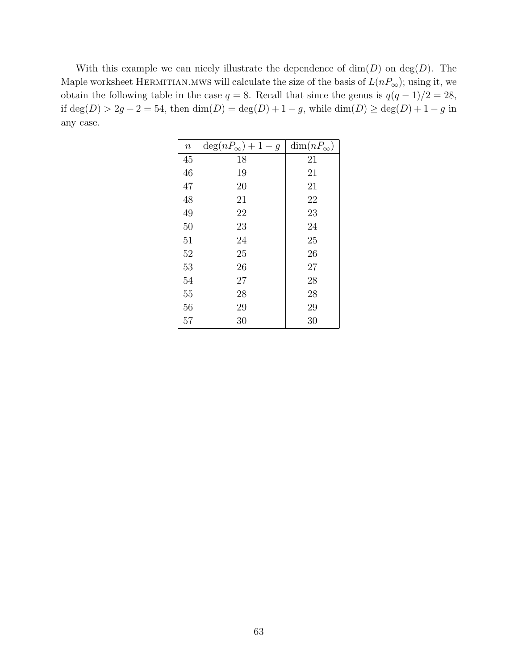With this example we can nicely illustrate the dependence of  $\dim(D)$  on  $\deg(D)$ . The Maple worksheet HERMITIAN.MWS will calculate the size of the basis of  $L(nP_{\infty})$ ; using it, we obtain the following table in the case  $q = 8$ . Recall that since the genus is  $q(q - 1)/2 = 28$ , if  $\deg(D) > 2g - 2 = 54$ , then  $\dim(D) = \deg(D) + 1 - g$ , while  $\dim(D) \ge \deg(D) + 1 - g$  in any case.

| $\, n$ | $\deg(nP_{\infty})+1-g$ | $\dim(nP_{\infty})$ |
|--------|-------------------------|---------------------|
| 45     | 18                      | 21                  |
| 46     | 19                      | 21                  |
| 47     | 20                      | 21                  |
| 48     | 21                      | 22                  |
| 49     | 22                      | 23                  |
| 50     | 23                      | 24                  |
| 51     | 24                      | 25                  |
| 52     | 25                      | 26                  |
| 53     | 26                      | 27                  |
| 54     | 27                      | 28                  |
| 55     | 28                      | 28                  |
| 56     | 29                      | 29                  |
| 57     | 30                      | 30                  |
|        |                         |                     |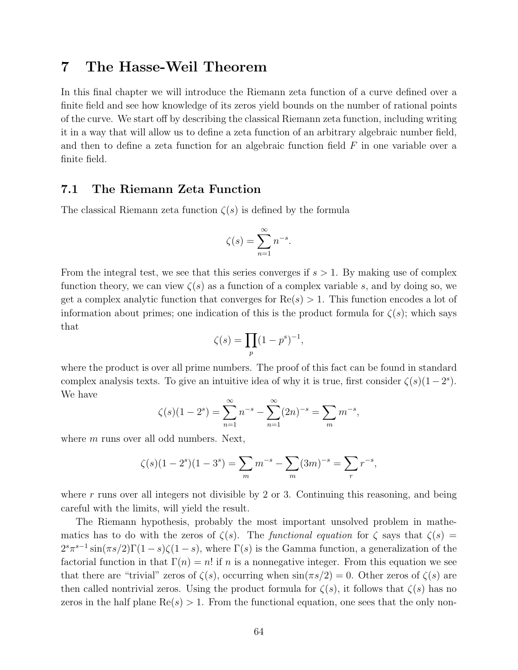# 7 The Hasse-Weil Theorem

In this final chapter we will introduce the Riemann zeta function of a curve defined over a finite field and see how knowledge of its zeros yield bounds on the number of rational points of the curve. We start off by describing the classical Riemann zeta function, including writing it in a way that will allow us to define a zeta function of an arbitrary algebraic number field, and then to define a zeta function for an algebraic function field F in one variable over a finite field.

## 7.1 The Riemann Zeta Function

The classical Riemann zeta function  $\zeta(s)$  is defined by the formula

$$
\zeta(s) = \sum_{n=1}^{\infty} n^{-s}.
$$

From the integral test, we see that this series converges if  $s > 1$ . By making use of complex function theory, we can view  $\zeta(s)$  as a function of a complex variable s, and by doing so, we get a complex analytic function that converges for  $Re(s) > 1$ . This function encodes a lot of information about primes; one indication of this is the product formula for  $\zeta(s)$ ; which says that

$$
\zeta(s) = \prod_p (1 - p^s)^{-1},
$$

where the product is over all prime numbers. The proof of this fact can be found in standard complex analysis texts. To give an intuitive idea of why it is true, first consider  $\zeta(s)(1-2^s)$ . We have

$$
\zeta(s)(1-2^s) = \sum_{n=1}^{\infty} n^{-s} - \sum_{n=1}^{\infty} (2n)^{-s} = \sum_m m^{-s},
$$

where  $m$  runs over all odd numbers. Next,

$$
\zeta(s)(1-2^s)(1-3^s) = \sum_m m^{-s} - \sum_m (3m)^{-s} = \sum_r r^{-s},
$$

where  $r$  runs over all integers not divisible by 2 or 3. Continuing this reasoning, and being careful with the limits, will yield the result.

The Riemann hypothesis, probably the most important unsolved problem in mathematics has to do with the zeros of  $\zeta(s)$ . The functional equation for  $\zeta$  says that  $\zeta(s)$  =  $2^{s}\pi^{s-1}\sin(\pi s/2)\Gamma(1-s)\zeta(1-s)$ , where  $\Gamma(s)$  is the Gamma function, a generalization of the factorial function in that  $\Gamma(n) = n!$  if n is a nonnegative integer. From this equation we see that there are "trivial" zeros of  $\zeta(s)$ , occurring when  $\sin(\pi s/2) = 0$ . Other zeros of  $\zeta(s)$  are then called nontrivial zeros. Using the product formula for  $\zeta(s)$ , it follows that  $\zeta(s)$  has no zeros in the half plane  $\text{Re}(s) > 1$ . From the functional equation, one sees that the only non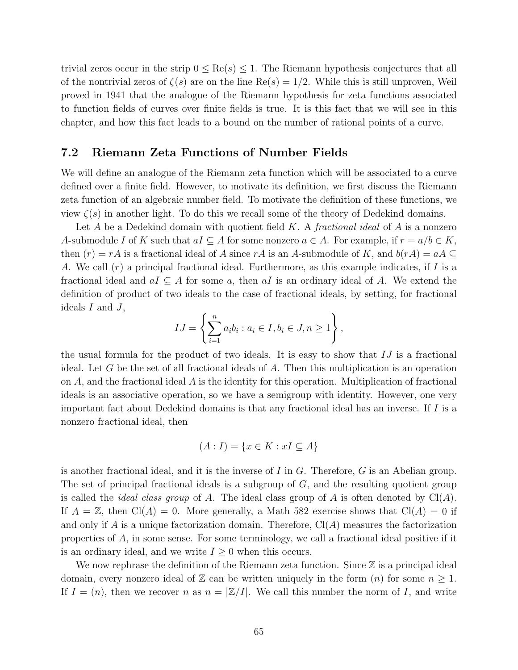trivial zeros occur in the strip  $0 \leq \text{Re}(s) \leq 1$ . The Riemann hypothesis conjectures that all of the nontrivial zeros of  $\zeta(s)$  are on the line Re $(s) = 1/2$ . While this is still unproven, Weil proved in 1941 that the analogue of the Riemann hypothesis for zeta functions associated to function fields of curves over finite fields is true. It is this fact that we will see in this chapter, and how this fact leads to a bound on the number of rational points of a curve.

### 7.2 Riemann Zeta Functions of Number Fields

We will define an analogue of the Riemann zeta function which will be associated to a curve defined over a finite field. However, to motivate its definition, we first discuss the Riemann zeta function of an algebraic number field. To motivate the definition of these functions, we view  $\zeta(s)$  in another light. To do this we recall some of the theory of Dedekind domains.

Let A be a Dedekind domain with quotient field K. A *fractional ideal* of A is a nonzero A-submodule I of K such that  $aI \subseteq A$  for some nonzero  $a \in A$ . For example, if  $r = a/b \in K$ , then  $(r) = rA$  is a fractional ideal of A since rA is an A-submodule of K, and  $b(rA) = aA \subseteq$ A. We call  $(r)$  a principal fractional ideal. Furthermore, as this example indicates, if I is a fractional ideal and  $aI \subseteq A$  for some a, then aI is an ordinary ideal of A. We extend the definition of product of two ideals to the case of fractional ideals, by setting, for fractional ideals  $I$  and  $J$ ,

$$
IJ = \left\{ \sum_{i=1}^{n} a_i b_i : a_i \in I, b_i \in J, n \ge 1 \right\},\
$$

the usual formula for the product of two ideals. It is easy to show that  $IJ$  is a fractional ideal. Let  $G$  be the set of all fractional ideals of  $A$ . Then this multiplication is an operation on A, and the fractional ideal A is the identity for this operation. Multiplication of fractional ideals is an associative operation, so we have a semigroup with identity. However, one very important fact about Dedekind domains is that any fractional ideal has an inverse. If I is a nonzero fractional ideal, then

$$
(A: I) = \{x \in K : xI \subseteq A\}
$$

is another fractional ideal, and it is the inverse of  $I$  in  $G$ . Therefore,  $G$  is an Abelian group. The set of principal fractional ideals is a subgroup of G, and the resulting quotient group is called the *ideal class group* of A. The ideal class group of A is often denoted by  $Cl(A)$ . If  $A = \mathbb{Z}$ , then  $Cl(A) = 0$ . More generally, a Math 582 exercise shows that  $Cl(A) = 0$  if and only if A is a unique factorization domain. Therefore,  $Cl(A)$  measures the factorization properties of A, in some sense. For some terminology, we call a fractional ideal positive if it is an ordinary ideal, and we write  $I \geq 0$  when this occurs.

We now rephrase the definition of the Riemann zeta function. Since  $\mathbb Z$  is a principal ideal domain, every nonzero ideal of  $\mathbb Z$  can be written uniquely in the form  $(n)$  for some  $n \geq 1$ . If  $I = (n)$ , then we recover n as  $n = \mathbb{Z}/I$ . We call this number the norm of I, and write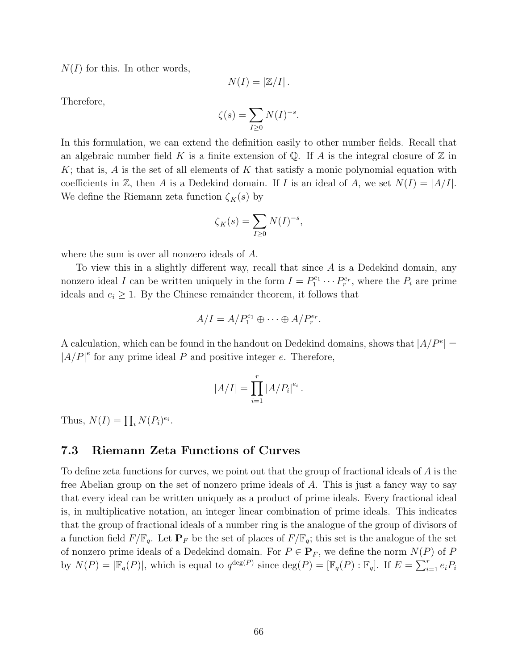$N(I)$  for this. In other words,

$$
N(I)=\left|\mathbb{Z}/I\right|.
$$

Therefore,

$$
\zeta(s) = \sum_{I \ge 0} N(I)^{-s}.
$$

In this formulation, we can extend the definition easily to other number fields. Recall that an algebraic number field K is a finite extension of  $\mathbb{Q}$ . If A is the integral closure of  $\mathbb{Z}$  in  $K$ ; that is, A is the set of all elements of K that satisfy a monic polynomial equation with coefficients in Z, then A is a Dedekind domain. If I is an ideal of A, we set  $N(I) = |A/I|$ . We define the Riemann zeta function  $\zeta_K(s)$  by

$$
\zeta_K(s) = \sum_{I \ge 0} N(I)^{-s},
$$

where the sum is over all nonzero ideals of A.

To view this in a slightly different way, recall that since A is a Dedekind domain, any nonzero ideal I can be written uniquely in the form  $I = P_1^{e_1} \cdots P_r^{e_r}$ , where the  $P_i$  are prime ideals and  $e_i \geq 1$ . By the Chinese remainder theorem, it follows that

$$
A/I = A/P_1^{e_1} \oplus \cdots \oplus A/P_r^{e_r}.
$$

A calculation, which can be found in the handout on Dedekind domains, shows that  $|A/P^e|$  =  $|A/P|^e$  for any prime ideal P and positive integer e. Therefore,

$$
|A/I| = \prod_{i=1}^{r} |A/P_i|^{e_i}.
$$

Thus,  $N(I) = \prod_i N(P_i)^{e_i}$ .

#### 7.3 Riemann Zeta Functions of Curves

To define zeta functions for curves, we point out that the group of fractional ideals of A is the free Abelian group on the set of nonzero prime ideals of A. This is just a fancy way to say that every ideal can be written uniquely as a product of prime ideals. Every fractional ideal is, in multiplicative notation, an integer linear combination of prime ideals. This indicates that the group of fractional ideals of a number ring is the analogue of the group of divisors of a function field  $F/\mathbb{F}_q$ . Let  $\mathbf{P}_F$  be the set of places of  $F/\mathbb{F}_q$ ; this set is the analogue of the set of nonzero prime ideals of a Dedekind domain. For  $P \in \mathbf{P}_F$ , we define the norm  $N(P)$  of P by  $N(P) = |\mathbb{F}_q(P)|$ , which is equal to  $q^{\deg(P)}$  since  $\deg(P) = [\mathbb{F}_q(P) : \mathbb{F}_q]$ . If  $E = \sum_{i=1}^r e_i P_i$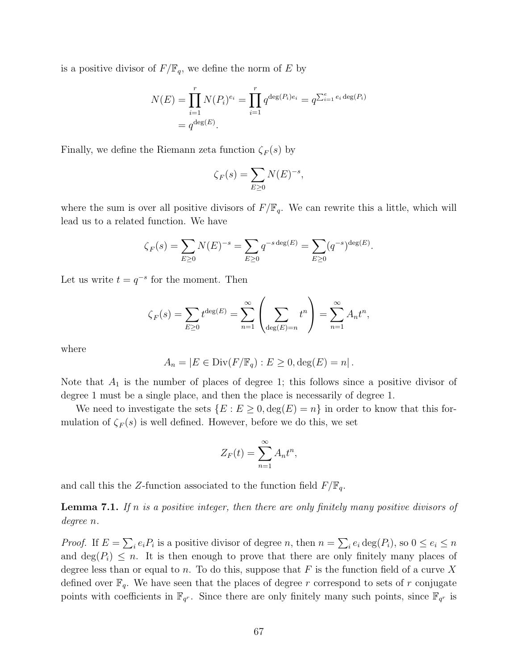is a positive divisor of  $F/\mathbb{F}_q$ , we define the norm of E by

$$
N(E) = \prod_{i=1}^{r} N(P_i)^{e_i} = \prod_{i=1}^{r} q^{\deg(P_i)e_i} = q^{\sum_{i=1}^{e} e_i \deg(P_i)}
$$
  
=  $q^{\deg(E)}$ .

Finally, we define the Riemann zeta function  $\zeta_F(s)$  by

$$
\zeta_F(s) = \sum_{E \ge 0} N(E)^{-s},
$$

where the sum is over all positive divisors of  $F/\mathbb{F}_q$ . We can rewrite this a little, which will lead us to a related function. We have

$$
\zeta_F(s) = \sum_{E \ge 0} N(E)^{-s} = \sum_{E \ge 0} q^{-s \deg(E)} = \sum_{E \ge 0} (q^{-s})^{\deg(E)}.
$$

Let us write  $t = q^{-s}$  for the moment. Then

$$
\zeta_F(s) = \sum_{E \ge 0} t^{\deg(E)} = \sum_{n=1}^{\infty} \left( \sum_{\deg(E)=n} t^n \right) = \sum_{n=1}^{\infty} A_n t^n,
$$

where

$$
A_n = |E \in \text{Div}(F/\mathbb{F}_q) : E \ge 0, \deg(E) = n|.
$$

Note that  $A_1$  is the number of places of degree 1; this follows since a positive divisor of degree 1 must be a single place, and then the place is necessarily of degree 1.

We need to investigate the sets  $\{E : E \geq 0, \deg(E) = n\}$  in order to know that this formulation of  $\zeta_F(s)$  is well defined. However, before we do this, we set

$$
Z_F(t) = \sum_{n=1}^{\infty} A_n t^n,
$$

and call this the Z-function associated to the function field  $F/\mathbb{F}_q$ .

**Lemma 7.1.** If n is a positive integer, then there are only finitely many positive divisors of degree n.

*Proof.* If  $E = \sum_i e_i P_i$  is a positive divisor of degree n, then  $n = \sum_i e_i \deg(P_i)$ , so  $0 \le e_i \le n$ and  $\deg(P_i) \leq n$ . It is then enough to prove that there are only finitely many places of degree less than or equal to n. To do this, suppose that F is the function field of a curve X defined over  $\mathbb{F}_q$ . We have seen that the places of degree r correspond to sets of r conjugate points with coefficients in  $\mathbb{F}_{q^r}$ . Since there are only finitely many such points, since  $\mathbb{F}_{q^r}$  is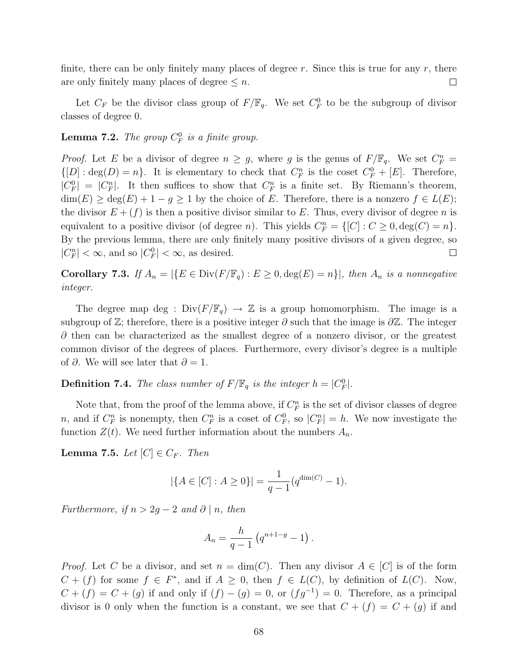finite, there can be only finitely many places of degree  $r$ . Since this is true for any  $r$ , there are only finitely many places of degree  $\leq n$ .  $\Box$ 

Let  $C_F$  be the divisor class group of  $F/\mathbb{F}_q$ . We set  $C_F^0$  to be the subgroup of divisor classes of degree 0.

# **Lemma 7.2.** The group  $C_F^0$  is a finite group.

*Proof.* Let E be a divisor of degree  $n \geq g$ , where g is the genus of  $F/\mathbb{F}_q$ . We set  $C_F^n =$  $\{[D]: \deg(D) = n\}.$  It is elementary to check that  $C_F^n$  is the coset  $C_F^0 + [E]$ . Therefore,  $|C_F^0| = |C_F^n|$ . It then suffices to show that  $C_F^n$  is a finite set. By Riemann's theorem,  $\dim(E) \geq \deg(E) + 1 - g \geq 1$  by the choice of E. Therefore, there is a nonzero  $f \in L(E)$ ; the divisor  $E + (f)$  is then a positive divisor similar to E. Thus, every divisor of degree n is equivalent to a positive divisor (of degree *n*). This yields  $C_F^n = \{[C] : C \ge 0, \deg(C) = n\}.$ By the previous lemma, there are only finitely many positive divisors of a given degree, so  $|C_F^n| < \infty$ , and so  $|C_F^0| < \infty$ , as desired.  $\Box$ 

Corollary 7.3. If  $A_n = |\{E \in \text{Div}(F/\mathbb{F}_q) : E \geq 0, \deg(E) = n\}|$ , then  $A_n$  is a nonnegative integer.

The degree map deg :  $Div(F/\mathbb{F}_q) \to \mathbb{Z}$  is a group homomorphism. The image is a subgroup of  $\mathbb{Z}$ ; therefore, there is a positive integer  $\partial$  such that the image is  $\partial \mathbb{Z}$ . The integer  $\partial$  then can be characterized as the smallest degree of a nonzero divisor, or the greatest common divisor of the degrees of places. Furthermore, every divisor's degree is a multiple of  $\partial$ . We will see later that  $\partial = 1$ .

**Definition 7.4.** The class number of  $F/\mathbb{F}_q$  is the integer  $h = |C_F^0|$ .

Note that, from the proof of the lemma above, if  $C_F^n$  is the set of divisor classes of degree n, and if  $C_F^n$  is nonempty, then  $C_F^n$  is a coset of  $C_F^0$ , so  $|C_F^n| = h$ . We now investigate the function  $Z(t)$ . We need further information about the numbers  $A_n$ .

**Lemma 7.5.** Let  $[C] \in C_F$ . Then

$$
|\{A \in [C] : A \ge 0\}| = \frac{1}{q-1}(q^{\dim(C)} - 1).
$$

Furthermore, if  $n > 2g - 2$  and  $\partial \mid n$ , then

$$
A_n = \frac{h}{q-1} \left( q^{n+1-g} - 1 \right).
$$

*Proof.* Let C be a divisor, and set  $n = \dim(C)$ . Then any divisor  $A \in [C]$  is of the form  $C + (f)$  for some  $f \in F^*$ , and if  $A \geq 0$ , then  $f \in L(C)$ , by definition of  $L(C)$ . Now,  $C + (f) = C + (g)$  if and only if  $(f) - (g) = 0$ , or  $(fg^{-1}) = 0$ . Therefore, as a principal divisor is 0 only when the function is a constant, we see that  $C + (f) = C + (g)$  if and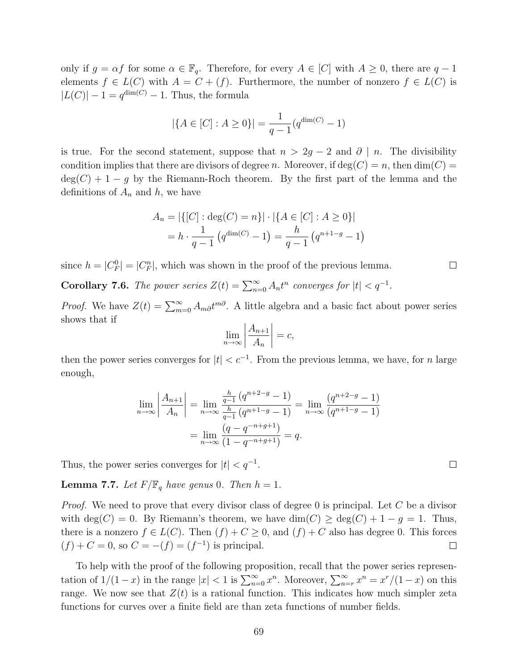only if  $g = \alpha f$  for some  $\alpha \in \mathbb{F}_q$ . Therefore, for every  $A \in [C]$  with  $A \geq 0$ , there are  $q - 1$ elements  $f \in L(C)$  with  $A = C + (f)$ . Furthermore, the number of nonzero  $f \in L(C)$  is  $|L(C)| - 1 = q^{\dim(C)} - 1$ . Thus, the formula

$$
|\{A \in [C] : A \ge 0\}| = \frac{1}{q-1}(q^{\dim(C)} - 1)
$$

is true. For the second statement, suppose that  $n > 2g - 2$  and  $\partial \mid n$ . The divisibility condition implies that there are divisors of degree n. Moreover, if  $deg(C) = n$ , then  $dim(C) =$  $deg(C) + 1 - g$  by the Riemann-Roch theorem. By the first part of the lemma and the definitions of  $A_n$  and h, we have

$$
A_n = |\{ [C] : \deg(C) = n \}| \cdot |\{ A \in [C] : A \ge 0 \}|
$$
  
= 
$$
h \cdot \frac{1}{q-1} (q^{\dim(C)} - 1) = \frac{h}{q-1} (q^{n+1-g} - 1)
$$

since  $h = |C_F^0| = |C_F^n|$ , which was shown in the proof of the previous lemma.

**Corollary 7.6.** The power series  $Z(t) = \sum_{n=0}^{\infty} A_n t^n$  converges for  $|t| < q^{-1}$ .

*Proof.* We have  $Z(t) = \sum_{m=0}^{\infty} A_m \partial t^{m\partial}$ . A little algebra and a basic fact about power series shows that if

$$
\lim_{n \to \infty} \left| \frac{A_{n+1}}{A_n} \right| = c,
$$

then the power series converges for  $|t| < c^{-1}$ . From the previous lemma, we have, for n large enough,

$$
\lim_{n \to \infty} \left| \frac{A_{n+1}}{A_n} \right| = \lim_{n \to \infty} \frac{\frac{h}{q-1} \left( q^{n+2-g} - 1 \right)}{\frac{h}{q-1} \left( q^{n+1-g} - 1 \right)} = \lim_{n \to \infty} \frac{\left( q^{n+2-g} - 1 \right)}{\left( q^{n+1-g} - 1 \right)}
$$
\n
$$
= \lim_{n \to \infty} \frac{\left( q - q^{-n+g+1} \right)}{\left( 1 - q^{-n+g+1} \right)} = q.
$$

Thus, the power series converges for  $|t| < q^{-1}$ .

**Lemma 7.7.** Let  $F/\mathbb{F}_q$  have genus 0. Then  $h = 1$ .

*Proof.* We need to prove that every divisor class of degree 0 is principal. Let C be a divisor with deg(C) = 0. By Riemann's theorem, we have  $\dim(C) \geq \deg(C) + 1 - g = 1$ . Thus, there is a nonzero  $f \in L(C)$ . Then  $(f) + C \geq 0$ , and  $(f) + C$  also has degree 0. This forces  $(f) + C = 0$ , so  $C = -(f) = (f^{-1})$  is principal.  $\Box$ 

To help with the proof of the following proposition, recall that the power series representation of  $1/(1-x)$  in the range  $|x| < 1$  is  $\sum_{n=0}^{\infty} x^n$ . Moreover,  $\sum_{n=r}^{\infty} x^n = x^r/(1-x)$  on this range. We now see that  $Z(t)$  is a rational function. This indicates how much simpler zeta functions for curves over a finite field are than zeta functions of number fields.

 $\Box$ 

 $\Box$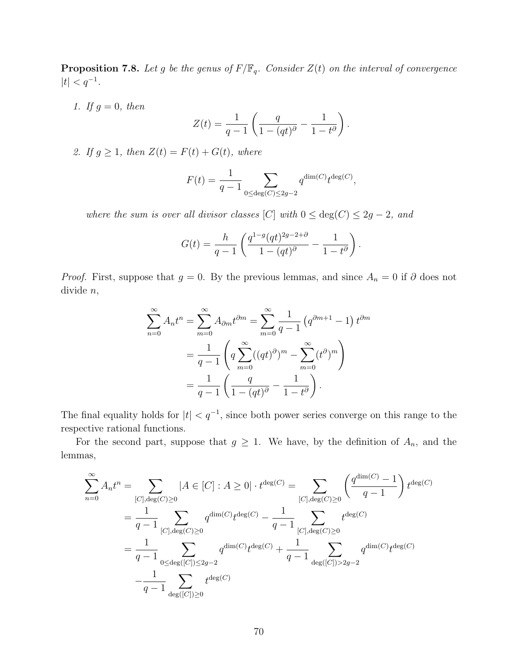**Proposition 7.8.** Let g be the genus of  $F/\mathbb{F}_q$ . Consider  $Z(t)$  on the interval of convergence  $|t| < q^{-1}$ .

1. If  $g = 0$ , then

$$
Z(t) = \frac{1}{q-1} \left( \frac{q}{1-(qt)^{\partial}} - \frac{1}{1-t^{\partial}} \right).
$$

2. If  $g \geq 1$ , then  $Z(t) = F(t) + G(t)$ , where

$$
F(t) = \frac{1}{q-1} \sum_{0 \le \deg(C) \le 2g-2} q^{\dim(C)} t^{\deg(C)},
$$

where the sum is over all divisor classes [C] with  $0 \le \deg(C) \le 2g - 2$ , and

$$
G(t) = \frac{h}{q-1} \left( \frac{q^{1-q}(qt)^{2g-2+\partial}}{1-(qt)^{\partial}} - \frac{1}{1-t^{\partial}} \right).
$$

*Proof.* First, suppose that  $g = 0$ . By the previous lemmas, and since  $A_n = 0$  if  $\partial$  does not divide n,

$$
\sum_{n=0}^{\infty} A_n t^n = \sum_{m=0}^{\infty} A_{\partial m} t^{\partial m} = \sum_{m=0}^{\infty} \frac{1}{q-1} (q^{\partial m+1} - 1) t^{\partial m}
$$

$$
= \frac{1}{q-1} \left( q \sum_{m=0}^{\infty} ((qt)^{\partial})^m - \sum_{m=0}^{\infty} (t^{\partial})^m \right)
$$

$$
= \frac{1}{q-1} \left( \frac{q}{1 - (qt)^{\partial}} - \frac{1}{1 - t^{\partial}} \right).
$$

The final equality holds for  $|t| < q^{-1}$ , since both power series converge on this range to the respective rational functions.

For the second part, suppose that  $g \geq 1$ . We have, by the definition of  $A_n$ , and the lemmas,

$$
\sum_{n=0}^{\infty} A_n t^n = \sum_{[C], \deg(C) \ge 0} |A \in [C] : A \ge 0| \cdot t^{\deg(C)} = \sum_{[C], \deg(C) \ge 0} \left( \frac{q^{\dim(C)} - 1}{q - 1} \right) t^{\deg(C)}
$$

$$
= \frac{1}{q - 1} \sum_{[C], \deg(C) \ge 0} q^{\dim(C)} t^{\deg(C)} - \frac{1}{q - 1} \sum_{[C], \deg(C) \ge 0} t^{\deg(C)}
$$

$$
= \frac{1}{q - 1} \sum_{0 \le \deg([C]) \le 2g - 2} q^{\dim(C)} t^{\deg(C)} + \frac{1}{q - 1} \sum_{\deg([C]) > 2g - 2} q^{\dim(C)} t^{\deg(C)}
$$

$$
- \frac{1}{q - 1} \sum_{\deg([C]) \ge 0} t^{\deg(C)}
$$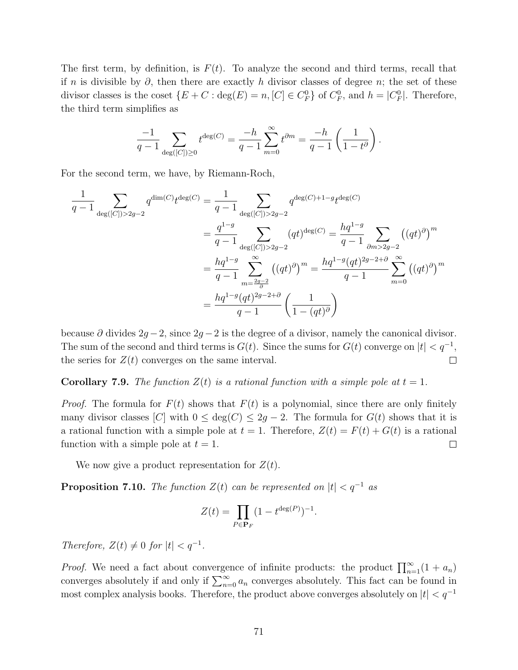The first term, by definition, is  $F(t)$ . To analyze the second and third terms, recall that if n is divisible by  $\partial$ , then there are exactly h divisor classes of degree n; the set of these divisor classes is the coset  $\{E+C : \deg(E) = n, [C] \in C_F^0\}$  of  $C_F^0$ , and  $h = |C_F^0|$ . Therefore, the third term simplifies as

$$
\frac{-1}{q-1}\sum_{\deg([C])\geq 0} t^{\deg(C)}=\frac{-h}{q-1}\sum_{m=0}^{\infty}t^{\partial m}=\frac{-h}{q-1}\left(\frac{1}{1-t^{\partial}}\right).
$$

For the second term, we have, by Riemann-Roch,

$$
\frac{1}{q-1} \sum_{\deg([C])>2g-2} q^{\dim(C)} t^{\deg(C)} = \frac{1}{q-1} \sum_{\deg([C])>2g-2} q^{\deg(C)+1-g} t^{\deg(C)}
$$
\n
$$
= \frac{q^{1-g}}{q-1} \sum_{\deg([C])>2g-2} (qt)^{\deg(C)} = \frac{hq^{1-g}}{q-1} \sum_{\partial m>2g-2} ((qt)^{\partial})^m
$$
\n
$$
= \frac{hq^{1-g}}{q-1} \sum_{m=\frac{2g-2}{\partial}}^{\infty} ((qt)^{\partial})^m = \frac{hq^{1-g}(qt)^{2g-2+\partial}}{q-1} \sum_{m=0}^{\infty} ((qt)^{\partial})^m
$$
\n
$$
= \frac{hq^{1-g}(qt)^{2g-2+\partial}}{q-1} \left(\frac{1}{1-(qt)^{\partial}}\right)
$$

because  $\partial$  divides  $2g - 2$ , since  $2g - 2$  is the degree of a divisor, namely the canonical divisor. The sum of the second and third terms is  $G(t)$ . Since the sums for  $G(t)$  converge on  $|t| < q^{-1}$ , the series for  $Z(t)$  converges on the same interval.  $\Box$ 

**Corollary 7.9.** The function  $Z(t)$  is a rational function with a simple pole at  $t = 1$ .

*Proof.* The formula for  $F(t)$  shows that  $F(t)$  is a polynomial, since there are only finitely many divisor classes [C] with  $0 \le \deg(C) \le 2g - 2$ . The formula for  $G(t)$  shows that it is a rational function with a simple pole at  $t = 1$ . Therefore,  $Z(t) = F(t) + G(t)$  is a rational function with a simple pole at  $t = 1$ .  $\Box$ 

We now give a product representation for  $Z(t)$ .

**Proposition 7.10.** The function  $Z(t)$  can be represented on  $|t| < q^{-1}$  as

$$
Z(t) = \prod_{P \in \mathbf{P}_F} (1 - t^{\deg(P)})^{-1}.
$$

Therefore,  $Z(t) \neq 0$  for  $|t| < q^{-1}$ .

*Proof.* We need a fact about convergence of infinite products: the product  $\prod_{n=1}^{\infty} (1 + a_n)$ converges absolutely if and only if  $\sum_{n=0}^{\infty} a_n$  converges absolutely. This fact can be found in most complex analysis books. Therefore, the product above converges absolutely on  $|t| < q^{-1}$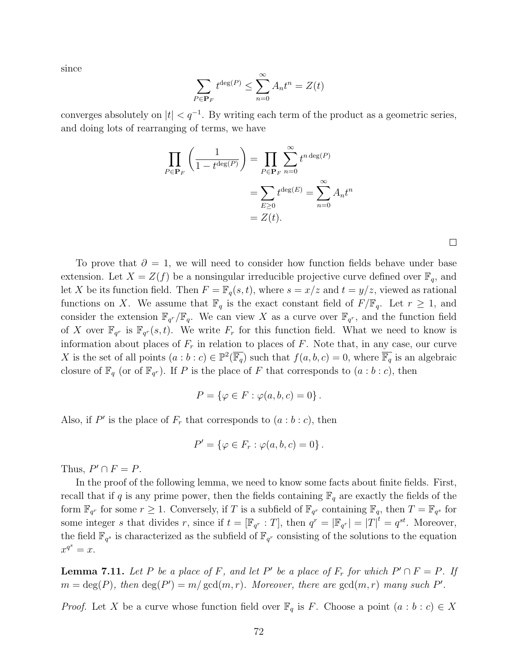since

$$
\sum_{P \in \mathbf{P}_F} t^{\deg(P)} \le \sum_{n=0}^{\infty} A_n t^n = Z(t)
$$

converges absolutely on  $|t| < q^{-1}$ . By writing each term of the product as a geometric series, and doing lots of rearranging of terms, we have

$$
\prod_{P \in \mathbf{P}_F} \left( \frac{1}{1 - t^{\deg(P)}} \right) = \prod_{P \in \mathbf{P}_F} \sum_{n=0}^{\infty} t^{n \deg(P)}
$$

$$
= \sum_{E \ge 0} t^{\deg(E)} = \sum_{n=0}^{\infty} A_n t^n
$$

$$
= Z(t).
$$

 $\Box$ 

To prove that  $\partial = 1$ , we will need to consider how function fields behave under base extension. Let  $X = Z(f)$  be a nonsingular irreducible projective curve defined over  $\mathbb{F}_q$ , and let X be its function field. Then  $F = \mathbb{F}_q(s,t)$ , where  $s = x/z$  and  $t = y/z$ , viewed as rational functions on X. We assume that  $\mathbb{F}_q$  is the exact constant field of  $F/\mathbb{F}_q$ . Let  $r \geq 1$ , and consider the extension  $\mathbb{F}_{q^r}/\mathbb{F}_q$ . We can view X as a curve over  $\mathbb{F}_{q^r}$ , and the function field of X over  $\mathbb{F}_{q^r}$  is  $\mathbb{F}_{q^r}(s,t)$ . We write  $F_r$  for this function field. What we need to know is information about places of  $F_r$  in relation to places of F. Note that, in any case, our curve X is the set of all points  $(a:b:c) \in \mathbb{P}^2(\overline{\mathbb{F}_q})$  such that  $f(a,b,c) = 0$ , where  $\overline{\mathbb{F}_q}$  is an algebraic closure of  $\mathbb{F}_q$  (or of  $\mathbb{F}_{q^r}$ ). If P is the place of F that corresponds to  $(a:b:c)$ , then

$$
P = \{ \varphi \in F : \varphi(a, b, c) = 0 \}.
$$

Also, if P' is the place of  $F_r$  that corresponds to  $(a:b:c)$ , then

$$
P' = \{ \varphi \in F_r : \varphi(a, b, c) = 0 \}.
$$

Thus,  $P' \cap F = P$ .

In the proof of the following lemma, we need to know some facts about finite fields. First, recall that if q is any prime power, then the fields containing  $\mathbb{F}_q$  are exactly the fields of the form  $\mathbb{F}_{q^r}$  for some  $r \geq 1$ . Conversely, if T is a subfield of  $\mathbb{F}_{q^r}$  containing  $\mathbb{F}_{q}$ , then  $T = \mathbb{F}_{q^s}$  for some integer s that divides r, since if  $t = [\mathbb{F}_{q^r} : T]$ , then  $q^r = |\mathbb{F}_{q^r}| = |T|^t = q^{st}$ . Moreover, the field  $\mathbb{F}_{q^s}$  is characterized as the subfield of  $\mathbb{F}_{q^r}$  consisting of the solutions to the equation  $x^{q^s} = x.$ 

**Lemma 7.11.** Let P be a place of F, and let P' be a place of  $F_r$  for which  $P' \cap F = P$ . If  $m = \deg(P)$ , then  $\deg(P') = m/\gcd(m, r)$ . Moreover, there are  $\gcd(m, r)$  many such P'.

*Proof.* Let X be a curve whose function field over  $\mathbb{F}_q$  is F. Choose a point  $(a : b : c) \in X$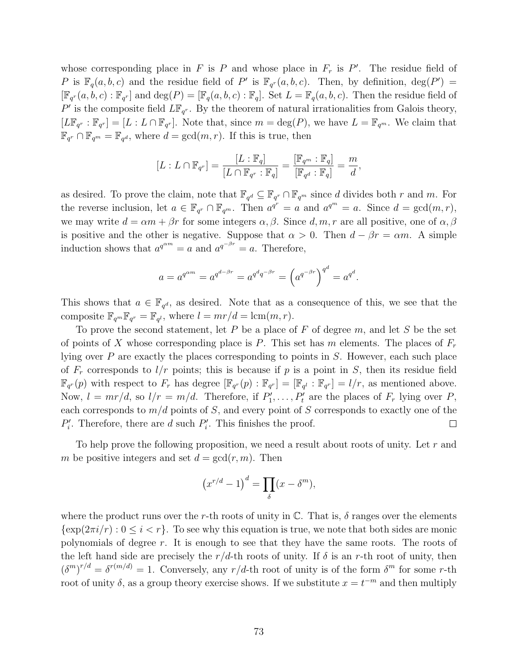whose corresponding place in F is P and whose place in  $F_r$  is P'. The residue field of P is  $\mathbb{F}_q(a, b, c)$  and the residue field of P' is  $\mathbb{F}_{q^r}(a, b, c)$ . Then, by definition,  $\deg(P') =$  $[\mathbb{F}_{q^r}(a,b,c):\mathbb{F}_{q^r}]$  and  $\text{deg}(P)=[\mathbb{F}_q(a,b,c):\mathbb{F}_q]$ . Set  $L=\mathbb{F}_q(a,b,c)$ . Then the residue field of P' is the composite field  $L\mathbb{F}_{q^r}$ . By the theorem of natural irrationalities from Galois theory,  $[L\mathbb{F}_{q^r}:\mathbb{F}_{q^r}]=[L:L\cap\mathbb{F}_{q^r}].$  Note that, since  $m=\deg(P)$ , we have  $L=\mathbb{F}_{q^m}$ . We claim that  $\mathbb{F}_{q^r} \cap \mathbb{F}_{q^m} = \mathbb{F}_{q^d}$ , where  $d = \gcd(m, r)$ . If this is true, then

$$
[L:L\cap \mathbb{F}_{q^r}]=\frac{[L:\mathbb{F}_q]}{[L\cap \mathbb{F}_{q^r}:\mathbb{F}_q]}=\frac{[\mathbb{F}_{q^m}:\mathbb{F}_q]}{[\mathbb{F}_{q^d}:\mathbb{F}_q]}=\frac{m}{d},
$$

as desired. To prove the claim, note that  $\mathbb{F}_{q^d} \subseteq \mathbb{F}_{q^r} \cap \mathbb{F}_{q^m}$  since d divides both r and m. For the reverse inclusion, let  $a \in \mathbb{F}_{q^r} \cap \mathbb{F}_{q^m}$ . Then  $a^{q^r} = a$  and  $a^{q^m} = a$ . Since  $d = \gcd(m, r)$ , we may write  $d = \alpha m + \beta r$  for some integers  $\alpha, \beta$ . Since  $d, m, r$  are all positive, one of  $\alpha, \beta$ is positive and the other is negative. Suppose that  $\alpha > 0$ . Then  $d - \beta r = \alpha m$ . A simple induction shows that  $a^{q^{\alpha m}} = a$  and  $a^{q^{-\beta r}} = a$ . Therefore,

$$
a = a^{q^{\alpha m}} = a^{q^{d-\beta r}} = a^{q^d q^{-\beta r}} = \left(a^{q^{-\beta r}}\right)^{q^d} = a^{q^d}.
$$

This shows that  $a \in \mathbb{F}_{q^d}$ , as desired. Note that as a consequence of this, we see that the composite  $\mathbb{F}_{q^m}\mathbb{F}_{q^r} = \mathbb{F}_{q^l}$ , where  $l = mr/d = \text{lcm}(m, r)$ .

To prove the second statement, let  $P$  be a place of  $F$  of degree  $m$ , and let  $S$  be the set of points of X whose corresponding place is P. This set has m elements. The places of  $F_r$ lying over P are exactly the places corresponding to points in S. However, each such place of  $F_r$  corresponds to  $l/r$  points; this is because if p is a point in S, then its residue field  $\mathbb{F}_{q^r}(p)$  with respect to  $F_r$  has degree  $[\mathbb{F}_{q^r}(p) : \mathbb{F}_{q^r}] = [\mathbb{F}_{q^l} : \mathbb{F}_{q^r}] = l/r$ , as mentioned above. Now,  $l = mr/d$ , so  $l/r = m/d$ . Therefore, if  $P'_1, \ldots, P'_t$  are the places of  $F_r$  lying over P, each corresponds to  $m/d$  points of S, and every point of S corresponds to exactly one of the  $P'_i$ . Therefore, there are d such  $P'_i$ . This finishes the proof.  $\Box$ 

To help prove the following proposition, we need a result about roots of unity. Let  $r$  and m be positive integers and set  $d = \gcd(r, m)$ . Then

$$
(x^{r/d} - 1)^d = \prod_{\delta} (x - \delta^m),
$$

where the product runs over the r-th roots of unity in  $\mathbb{C}$ . That is,  $\delta$  ranges over the elements  $\{\exp(2\pi i/r): 0 \leq i < r\}$ . To see why this equation is true, we note that both sides are monic polynomials of degree r. It is enough to see that they have the same roots. The roots of the left hand side are precisely the  $r/d$ -th roots of unity. If  $\delta$  is an r-th root of unity, then  $(\delta^m)^{r/d} = \delta^{r(m/d)} = 1$ . Conversely, any  $r/d$ -th root of unity is of the form  $\delta^m$  for some r-th root of unity  $\delta$ , as a group theory exercise shows. If we substitute  $x = t^{-m}$  and then multiply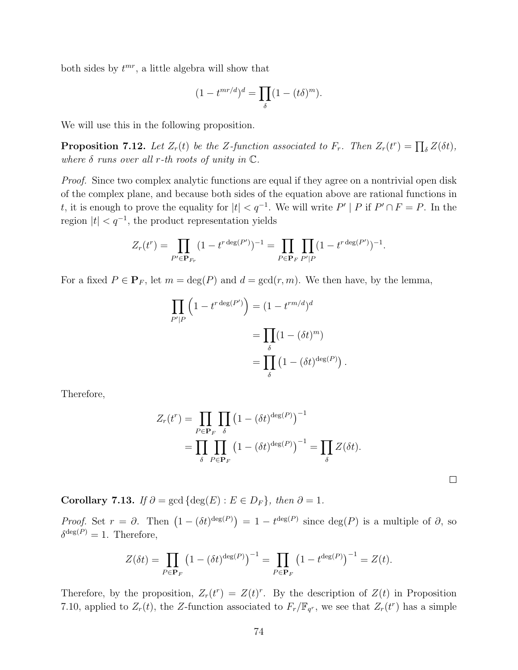both sides by  $t^{mr}$ , a little algebra will show that

$$
(1 - t^{mr/d})^d = \prod_{\delta} (1 - (t\delta)^m).
$$

We will use this in the following proposition.

**Proposition 7.12.** Let  $Z_r(t)$  be the Z-function associated to  $F_r$ . Then  $Z_r(t^r) = \prod_{\delta} Z(\delta t)$ , where  $\delta$  runs over all r-th roots of unity in  $\mathbb{C}$ .

Proof. Since two complex analytic functions are equal if they agree on a nontrivial open disk of the complex plane, and because both sides of the equation above are rational functions in t, it is enough to prove the equality for  $|t| < q^{-1}$ . We will write  $P' | P$  if  $P' \cap F = P$ . In the region  $|t| < q^{-1}$ , the product representation yields

$$
Z_r(t^r) = \prod_{P' \in \mathbf{P}_{F_r}} (1 - t^{r \deg(P')})^{-1} = \prod_{P \in \mathbf{P}_F} \prod_{P'|P} (1 - t^{r \deg(P')})^{-1}.
$$

For a fixed  $P \in \mathbf{P}_F$ , let  $m = \deg(P)$  and  $d = \gcd(r, m)$ . We then have, by the lemma,

$$
\prod_{P'|P} \left( 1 - t^{r \deg(P')} \right) = (1 - t^{rm/d})^d
$$

$$
= \prod_{\delta} (1 - (\delta t)^m)
$$

$$
= \prod_{\delta} \left( 1 - (\delta t)^{\deg(P)} \right).
$$

Therefore,

$$
Z_r(t^r) = \prod_{P \in \mathbf{P}_F} \prod_{\delta} \left(1 - (\delta t)^{\deg(P)}\right)^{-1}
$$
  
= 
$$
\prod_{\delta} \prod_{P \in \mathbf{P}_F} \left(1 - (\delta t)^{\deg(P)}\right)^{-1} = \prod_{\delta} Z(\delta t).
$$

 $\Box$ 

Corollary 7.13. If  $\partial = \gcd \{ \deg(E) : E \in D_F \}$ , then  $\partial = 1$ .

*Proof.* Set  $r = \partial$ . Then  $(1 - (\delta t)^{\deg(P)}) = 1 - t^{\deg(P)}$  since  $\deg(P)$  is a multiple of  $\partial$ , so  $\delta^{\deg(P)}=1$ . Therefore,

$$
Z(\delta t) = \prod_{P \in \mathbf{P}_F} \left(1 - (\delta t)^{\deg(P)}\right)^{-1} = \prod_{P \in \mathbf{P}_F} \left(1 - t^{\deg(P)}\right)^{-1} = Z(t).
$$

Therefore, by the proposition,  $Z_r(t^r) = Z(t)^r$ . By the description of  $Z(t)$  in Proposition 7.10, applied to  $Z_r(t)$ , the Z-function associated to  $F_r/\mathbb{F}_{q^r}$ , we see that  $Z_r(t^r)$  has a simple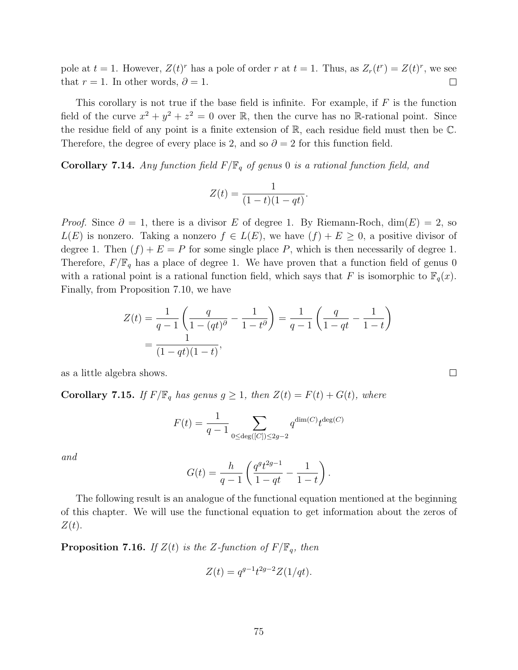pole at  $t = 1$ . However,  $Z(t)^r$  has a pole of order r at  $t = 1$ . Thus, as  $Z_r(t^r) = Z(t)^r$ , we see that  $r = 1$ . In other words,  $\partial = 1$ .  $\Box$ 

This corollary is not true if the base field is infinite. For example, if  $F$  is the function field of the curve  $x^2 + y^2 + z^2 = 0$  over R, then the curve has no R-rational point. Since the residue field of any point is a finite extension of  $\mathbb{R}$ , each residue field must then be  $\mathbb{C}$ . Therefore, the degree of every place is 2, and so  $\partial = 2$  for this function field.

**Corollary 7.14.** Any function field  $F/\mathbb{F}_q$  of genus 0 is a rational function field, and

$$
Z(t) = \frac{1}{(1-t)(1-qt)}.
$$

*Proof.* Since  $\partial = 1$ , there is a divisor E of degree 1. By Riemann-Roch, dim(E) = 2, so  $L(E)$  is nonzero. Taking a nonzero  $f \in L(E)$ , we have  $(f) + E \geq 0$ , a positive divisor of degree 1. Then  $(f) + E = P$  for some single place P, which is then necessarily of degree 1. Therefore,  $F/\mathbb{F}_q$  has a place of degree 1. We have proven that a function field of genus 0 with a rational point is a rational function field, which says that F is isomorphic to  $\mathbb{F}_q(x)$ . Finally, from Proposition 7.10, we have

$$
Z(t) = \frac{1}{q-1} \left( \frac{q}{1 - (qt)^{\partial}} - \frac{1}{1 - t^{\partial}} \right) = \frac{1}{q-1} \left( \frac{q}{1 - qt} - \frac{1}{1 - t} \right)
$$
  
= 
$$
\frac{1}{(1 - qt)(1 - t)},
$$

as a little algebra shows.

**Corollary 7.15.** If  $F/\mathbb{F}_q$  has genus  $g \geq 1$ , then  $Z(t) = F(t) + G(t)$ , where

$$
F(t) = \frac{1}{q-1} \sum_{0 \le \deg([C]) \le 2g-2} q^{\dim(C)} t^{\deg(C)}
$$

and

$$
G(t) = \frac{h}{q-1} \left( \frac{q^g t^{2g-1}}{1-qt} - \frac{1}{1-t} \right).
$$

The following result is an analogue of the functional equation mentioned at the beginning of this chapter. We will use the functional equation to get information about the zeros of  $Z(t)$ .

**Proposition 7.16.** If  $Z(t)$  is the Z-function of  $F/\mathbb{F}_q$ , then

$$
Z(t) = q^{g-1}t^{2g-2}Z(1/qt).
$$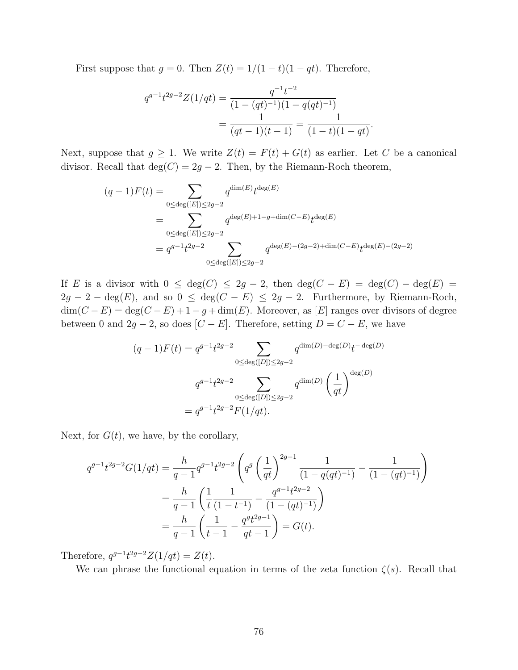First suppose that  $g = 0$ . Then  $Z(t) = 1/(1-t)(1-qt)$ . Therefore,

$$
q^{g-1}t^{2g-2}Z(1/qt) = \frac{q^{-1}t^{-2}}{(1-(qt)^{-1})(1-q(qt)^{-1})}
$$
  
= 
$$
\frac{1}{(qt-1)(t-1)} = \frac{1}{(1-t)(1-qt)}.
$$

Next, suppose that  $g \geq 1$ . We write  $Z(t) = F(t) + G(t)$  as earlier. Let C be a canonical divisor. Recall that  $deg(C) = 2g - 2$ . Then, by the Riemann-Roch theorem,

$$
(q-1)F(t) = \sum_{0 \le \deg([E]) \le 2g-2} q^{\dim(E)} t^{\deg(E)}
$$
  
= 
$$
\sum_{0 \le \deg([E]) \le 2g-2} q^{\deg(E)+1-g+\dim(C-E)} t^{\deg(E)}
$$
  
= 
$$
q^{g-1}t^{2g-2} \sum_{0 \le \deg([E]) \le 2g-2} q^{\deg(E)-(2g-2)+\dim(C-E)} t^{\deg(E)-(2g-2)}
$$

If E is a divisor with  $0 \le \deg(C) \le 2g - 2$ , then  $\deg(C - E) = \deg(C) - \deg(E) =$  $2g - 2 - \deg(E)$ , and so  $0 \le \deg(C - E) \le 2g - 2$ . Furthermore, by Riemann-Roch,  $\dim(C - E) = \deg(C - E) + 1 - g + \dim(E)$ . Moreover, as [E] ranges over divisors of degree between 0 and  $2g - 2$ , so does [C − E]. Therefore, setting  $D = C - E$ , we have

$$
(q-1)F(t) = q^{g-1}t^{2g-2} \sum_{0 \le \deg([D]) \le 2g-2} q^{\dim(D) - \deg(D)} t^{-\deg(D)}
$$

$$
q^{g-1}t^{2g-2} \sum_{0 \le \deg([D]) \le 2g-2} q^{\dim(D)} \left(\frac{1}{qt}\right)^{\deg(D)}
$$

$$
= q^{g-1}t^{2g-2}F(1/qt).
$$

Next, for  $G(t)$ , we have, by the corollary,

$$
q^{g-1}t^{2g-2}G(1/qt) = \frac{h}{q-1}q^{g-1}t^{2g-2}\left(q^g\left(\frac{1}{qt}\right)^{2g-1}\frac{1}{(1-q(qt)^{-1})} - \frac{1}{(1-(qt)^{-1})}\right)
$$
  
= 
$$
\frac{h}{q-1}\left(\frac{1}{t}\frac{1}{(1-t^{-1})} - \frac{q^{g-1}t^{2g-2}}{(1-(qt)^{-1})}\right)
$$
  
= 
$$
\frac{h}{q-1}\left(\frac{1}{t-1} - \frac{q^gt^{2g-1}}{qt-1}\right) = G(t).
$$

Therefore,  $q^{g-1}t^{2g-2}Z(1/qt) = Z(t)$ .

We can phrase the functional equation in terms of the zeta function  $\zeta(s)$ . Recall that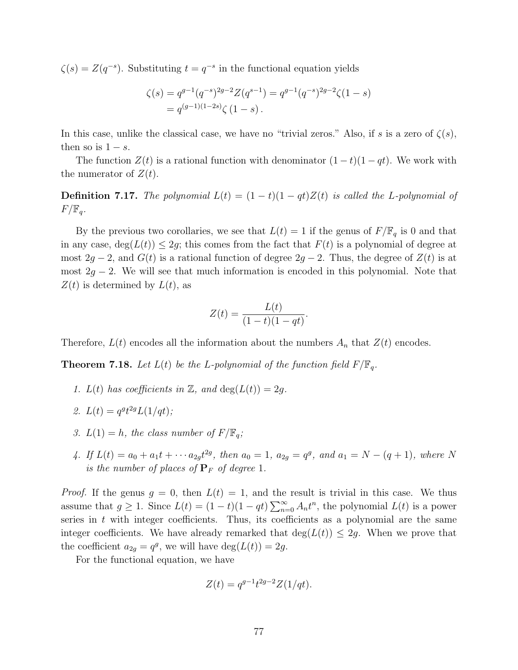$\zeta(s) = Z(q^{-s})$ . Substituting  $t = q^{-s}$  in the functional equation yields

$$
\zeta(s) = q^{g-1} (q^{-s})^{2g-2} Z(q^{s-1}) = q^{g-1} (q^{-s})^{2g-2} \zeta(1-s)
$$
  
=  $q^{(g-1)(1-2s)} \zeta(1-s)$ .

In this case, unlike the classical case, we have no "trivial zeros." Also, if s is a zero of  $\zeta(s)$ , then so is  $1 - s$ .

The function  $Z(t)$  is a rational function with denominator  $(1-t)(1-qt)$ . We work with the numerator of  $Z(t)$ .

**Definition 7.17.** The polynomial  $L(t) = (1-t)(1-qt)Z(t)$  is called the L-polynomial of  $F/\mathbb{F}_q$ .

By the previous two corollaries, we see that  $L(t) = 1$  if the genus of  $F/\mathbb{F}_q$  is 0 and that in any case,  $deg(L(t)) \leq 2g$ ; this comes from the fact that  $F(t)$  is a polynomial of degree at most 2g − 2, and  $G(t)$  is a rational function of degree 2g − 2. Thus, the degree of  $Z(t)$  is at most  $2g - 2$ . We will see that much information is encoded in this polynomial. Note that  $Z(t)$  is determined by  $L(t)$ , as

$$
Z(t) = \frac{L(t)}{(1-t)(1-qt)}.
$$

Therefore,  $L(t)$  encodes all the information about the numbers  $A_n$  that  $Z(t)$  encodes.

**Theorem 7.18.** Let  $L(t)$  be the L-polynomial of the function field  $F/\mathbb{F}_q$ .

- 1.  $L(t)$  has coefficients in Z, and  $\deg(L(t)) = 2g$ .
- 2.  $L(t) = q^{g}t^{2g}L(1/qt);$
- 3.  $L(1) = h$ , the class number of  $F/\mathbb{F}_q$ ;
- 4. If  $L(t) = a_0 + a_1t + \cdots + a_{2g}t^{2g}$ , then  $a_0 = 1$ ,  $a_{2g} = q^g$ , and  $a_1 = N (q + 1)$ , where N is the number of places of  $P_F$  of degree 1.

*Proof.* If the genus  $g = 0$ , then  $L(t) = 1$ , and the result is trivial in this case. We thus assume that  $g \ge 1$ . Since  $L(t) = (1 - t)(1 - qt) \sum_{n=0}^{\infty} A_n t^n$ , the polynomial  $L(t)$  is a power series in  $t$  with integer coefficients. Thus, its coefficients as a polynomial are the same integer coefficients. We have already remarked that  $deg(L(t)) \leq 2g$ . When we prove that the coefficient  $a_{2g} = q^g$ , we will have  $\deg(L(t)) = 2g$ .

For the functional equation, we have

$$
Z(t) = q^{g-1}t^{2g-2}Z(1/qt).
$$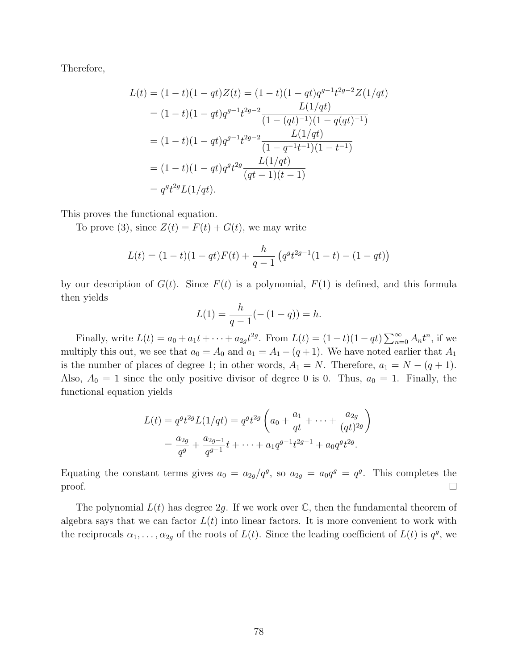Therefore,

$$
L(t) = (1 - t)(1 - qt)Z(t) = (1 - t)(1 - qt)q^{g-1}t^{2g-2}Z(1/qt)
$$
  
=  $(1 - t)(1 - qt)q^{g-1}t^{2g-2} \frac{L(1/qt)}{(1 - (qt)^{-1})(1 - q(qt)^{-1})}$   
=  $(1 - t)(1 - qt)q^{g-1}t^{2g-2} \frac{L(1/qt)}{(1 - q^{-1}t^{-1})(1 - t^{-1})}$   
=  $(1 - t)(1 - qt)q^{gt}t^{2g} \frac{L(1/qt)}{(qt - 1)(t - 1)}$   
=  $q^{gt}t^{2g}L(1/qt).$ 

This proves the functional equation.

To prove (3), since  $Z(t) = F(t) + G(t)$ , we may write

$$
L(t) = (1-t)(1-qt)F(t) + \frac{h}{q-1} \left( q^q t^{2g-1} (1-t) - (1-qt) \right)
$$

by our description of  $G(t)$ . Since  $F(t)$  is a polynomial,  $F(1)$  is defined, and this formula then yields

$$
L(1) = \frac{h}{q-1}(- (1-q)) = h.
$$

Finally, write  $L(t) = a_0 + a_1 t + \dots + a_{2g} t^{2g}$ . From  $L(t) = (1 - t)(1 - qt) \sum_{n=0}^{\infty} A_n t^n$ , if we multiply this out, we see that  $a_0 = A_0$  and  $a_1 = A_1 - (q + 1)$ . We have noted earlier that  $A_1$ is the number of places of degree 1; in other words,  $A_1 = N$ . Therefore,  $a_1 = N - (q + 1)$ . Also,  $A_0 = 1$  since the only positive divisor of degree 0 is 0. Thus,  $a_0 = 1$ . Finally, the functional equation yields

$$
L(t) = q^{g}t^{2g}L(1/qt) = q^{g}t^{2g} \left(a_{0} + \frac{a_{1}}{qt} + \dots + \frac{a_{2g}}{(qt)^{2g}}\right)
$$
  
= 
$$
\frac{a_{2g}}{q^{g}} + \frac{a_{2g-1}}{q^{g-1}}t + \dots + a_{1}q^{g-1}t^{2g-1} + a_{0}q^{g}t^{2g}.
$$

Equating the constant terms gives  $a_0 = a_{2g}/q^g$ , so  $a_{2g} = a_0 q^g = q^g$ . This completes the proof.  $\Box$ 

The polynomial  $L(t)$  has degree 2g. If we work over  $\mathbb{C}$ , then the fundamental theorem of algebra says that we can factor  $L(t)$  into linear factors. It is more convenient to work with the reciprocals  $\alpha_1, \ldots, \alpha_{2g}$  of the roots of  $L(t)$ . Since the leading coefficient of  $L(t)$  is  $q^g$ , we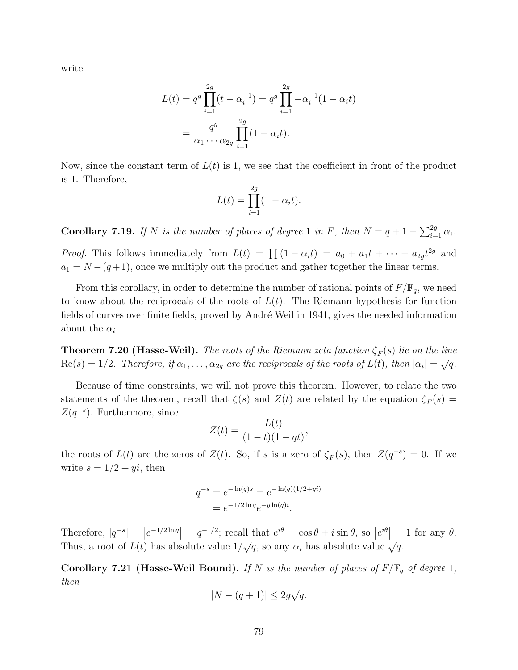write

$$
L(t) = q^g \prod_{i=1}^{2g} (t - \alpha_i^{-1}) = q^g \prod_{i=1}^{2g} -\alpha_i^{-1} (1 - \alpha_i t)
$$
  
= 
$$
\frac{q^g}{\alpha_1 \cdots \alpha_{2g}} \prod_{i=1}^{2g} (1 - \alpha_i t).
$$

Now, since the constant term of  $L(t)$  is 1, we see that the coefficient in front of the product is 1. Therefore,

$$
L(t) = \prod_{i=1}^{2g} (1 - \alpha_i t).
$$

**Corollary 7.19.** If N is the number of places of degree 1 in F, then  $N = q + 1 - \sum_{i=1}^{2g} \alpha_i$ .

*Proof.* This follows immediately from  $L(t) = \prod (1 - \alpha_i t) = a_0 + a_1 t + \cdots + a_{2g} t^{2g}$  and  $a_1 = N - (q+1)$ , once we multiply out the product and gather together the linear terms.  $\Box$ 

From this corollary, in order to determine the number of rational points of  $F/\mathbb{F}_q$ , we need to know about the reciprocals of the roots of  $L(t)$ . The Riemann hypothesis for function fields of curves over finite fields, proved by André Weil in 1941, gives the needed information about the  $\alpha_i$ .

**Theorem 7.20 (Hasse-Weil).** The roots of the Riemann zeta function  $\zeta_F(s)$  lie on the line  $\text{Re}(s) = 1/2$ . Therefore, if  $\alpha_1, \ldots, \alpha_{2g}$  are the reciprocals of the roots of  $L(t)$ , then  $|\alpha_i| = \sqrt{q}$ .

Because of time constraints, we will not prove this theorem. However, to relate the two statements of the theorem, recall that  $\zeta(s)$  and  $Z(t)$  are related by the equation  $\zeta_F(s)$  =  $Z(q^{-s})$ . Furthermore, since

$$
Z(t) = \frac{L(t)}{(1-t)(1-qt)},
$$

the roots of  $L(t)$  are the zeros of  $Z(t)$ . So, if s is a zero of  $\zeta_F(s)$ , then  $Z(q^{-s}) = 0$ . If we write  $s = 1/2 + yi$ , then

$$
q^{-s} = e^{-\ln(q)s} = e^{-\ln(q)(1/2 + yi)}
$$
  
= 
$$
e^{-1/2\ln q}e^{-y\ln(q)i}.
$$

Therefore,  $|q^{-s}| = |e^{-1/2 \ln q}| = q^{-1/2}$ ; recall that  $e^{i\theta} = \cos \theta + i \sin \theta$ , so  $|e^{i\theta}| = 1$  for any  $\theta$ . Thus, a root of  $L(t)$  has absolute value  $1/\sqrt{q}$ , so any  $\alpha_i$  has absolute value  $\sqrt{q}$ .

Corollary 7.21 (Hasse-Weil Bound). If N is the number of places of  $F/\mathbb{F}_q$  of degree 1, then

$$
|N - (q+1)| \le 2g\sqrt{q}.
$$